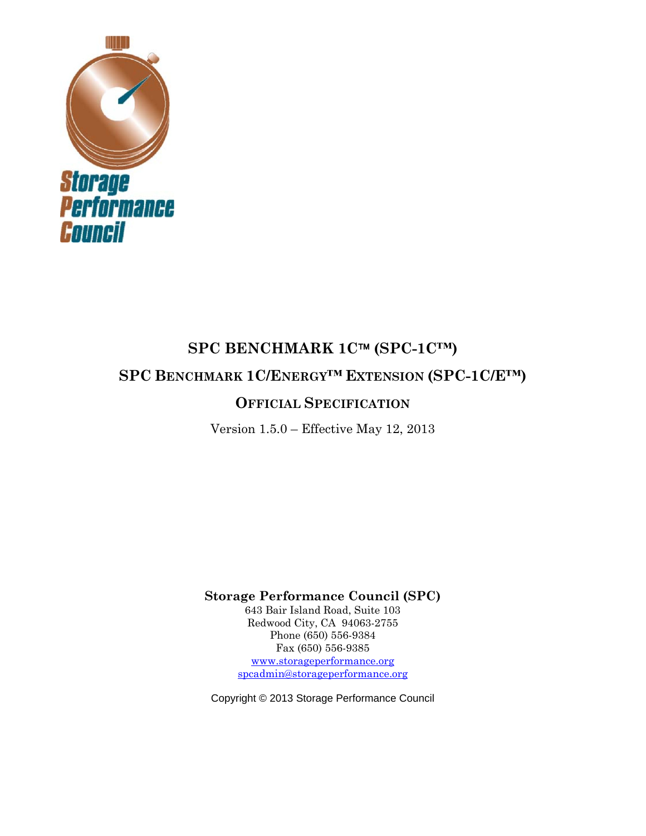

# **SPC BENCHMARK 1C™ (SPC-1C™)**

**SPC BENCHMARK 1C/ENERGY™ EXTENSION (SPC-1C/E™)** 

# **OFFICIAL SPECIFICATION**

Version 1.5.0 – Effective May 12, 2013

**Storage Performance Council (SPC)** 

643 Bair Island Road, Suite 103 Redwood City, CA 94063-2755 Phone (650) 556-9384 Fax (650) 556-9385 www.storageperformance.org

spcadmin@storageperformance.org

Copyright © 2013 Storage Performance Council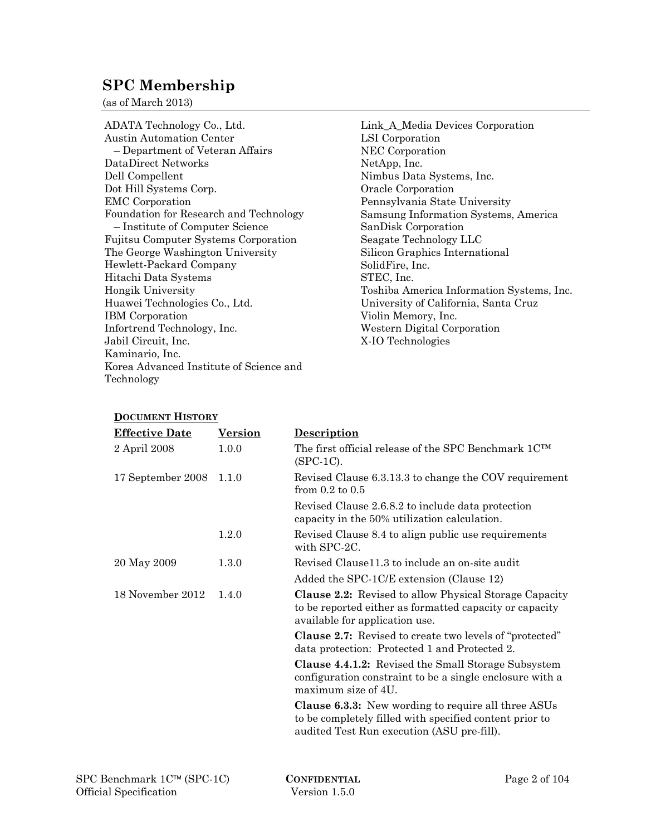# **SPC Membership**

(as of March 2013)

ADATA Technology Co., Ltd. Austin Automation Center – Department of Veteran Affairs DataDirect Networks Dell Compellent Dot Hill Systems Corp. EMC Corporation Foundation for Research and Technology – Institute of Computer Science Fujitsu Computer Systems Corporation The George Washington University Hewlett-Packard Company Hitachi Data Systems Hongik University Huawei Technologies Co., Ltd. IBM Corporation Infortrend Technology, Inc. Jabil Circuit, Inc. Kaminario, Inc. Korea Advanced Institute of Science and Technology

Link\_A\_Media Devices Corporation LSI Corporation NEC Corporation NetApp, Inc. Nimbus Data Systems, Inc. Oracle Corporation Pennsylvania State University Samsung Information Systems, America SanDisk Corporation Seagate Technology LLC Silicon Graphics International SolidFire, Inc. STEC, Inc. Toshiba America Information Systems, Inc. University of California, Santa Cruz Violin Memory, Inc. Western Digital Corporation X-IO Technologies

#### **DOCUMENT HISTORY**

| <b>Effective Date</b> | <b>Version</b> | <b>Description</b>                                                                                                                                                  |
|-----------------------|----------------|---------------------------------------------------------------------------------------------------------------------------------------------------------------------|
| 2 April 2008          | 1.0.0          | The first official release of the SPC Benchmark 1CTM<br>$(SPC-1C)$ .                                                                                                |
| 17 September 2008     | 1.1.0          | Revised Clause 6.3.13.3 to change the COV requirement<br>from $0.2$ to $0.5$                                                                                        |
|                       |                | Revised Clause 2.6.8.2 to include data protection<br>capacity in the 50% utilization calculation.                                                                   |
|                       | 1.2.0          | Revised Clause 8.4 to align public use requirements<br>with SPC-2C.                                                                                                 |
| 20 May 2009           | 1.3.0          | Revised Clause11.3 to include an on-site audit                                                                                                                      |
|                       |                | Added the SPC-1C/E extension (Clause 12)                                                                                                                            |
| 18 November 2012      | 1.4.0          | Clause 2.2: Revised to allow Physical Storage Capacity<br>to be reported either as formatted capacity or capacity<br>available for application use.                 |
|                       |                | <b>Clause 2.7:</b> Revised to create two levels of "protected"<br>data protection: Protected 1 and Protected 2.                                                     |
|                       |                | <b>Clause 4.4.1.2:</b> Revised the Small Storage Subsystem<br>configuration constraint to be a single enclosure with a<br>maximum size of 4U.                       |
|                       |                | <b>Clause 6.3.3:</b> New wording to require all three ASUs<br>to be completely filled with specified content prior to<br>audited Test Run execution (ASU pre-fill). |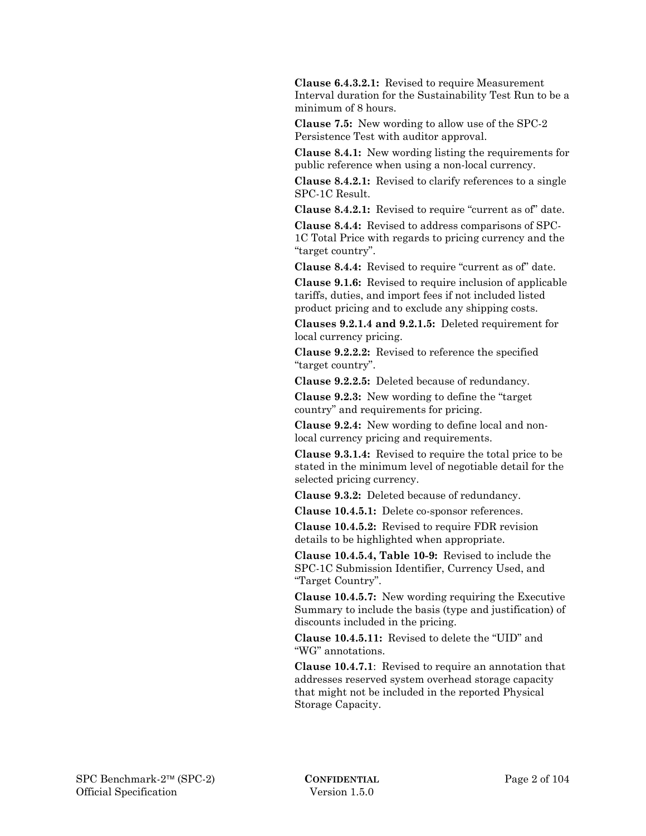**Clause 6.4.3.2.1:** Revised to require Measurement Interval duration for the Sustainability Test Run to be a minimum of 8 hours.

 **Clause 7.5:** New wording to allow use of the SPC-2 Persistence Test with auditor approval.

 **Clause 8.4.1:** New wording listing the requirements for public reference when using a non-local currency.

 **Clause 8.4.2.1:** Revised to clarify references to a single SPC-1C Result.

 **Clause 8.4.2.1:** Revised to require "current as of" date.

 **Clause 8.4.4:** Revised to address comparisons of SPC-1C Total Price with regards to pricing currency and the "target country".

 **Clause 8.4.4:** Revised to require "current as of" date.

 **Clause 9.1.6:** Revised to require inclusion of applicable tariffs, duties, and import fees if not included listed product pricing and to exclude any shipping costs.

 **Clauses 9.2.1.4 and 9.2.1.5:** Deleted requirement for local currency pricing.

 **Clause 9.2.2.2:** Revised to reference the specified "target country".

 **Clause 9.2.2.5:** Deleted because of redundancy.

 **Clause 9.2.3:** New wording to define the "target country" and requirements for pricing.

 **Clause 9.2.4:** New wording to define local and nonlocal currency pricing and requirements.

 **Clause 9.3.1.4:** Revised to require the total price to be stated in the minimum level of negotiable detail for the selected pricing currency.

 **Clause 9.3.2:** Deleted because of redundancy.

 **Clause 10.4.5.1:** Delete co-sponsor references.

 **Clause 10.4.5.2:** Revised to require FDR revision details to be highlighted when appropriate.

 **Clause 10.4.5.4, Table 10-9:** Revised to include the SPC-1C Submission Identifier, Currency Used, and "Target Country".

 **Clause 10.4.5.7:** New wording requiring the Executive Summary to include the basis (type and justification) of discounts included in the pricing.

 **Clause 10.4.5.11:** Revised to delete the "UID" and "WG" annotations.

 **Clause 10.4.7.1**: Revised to require an annotation that addresses reserved system overhead storage capacity that might not be included in the reported Physical Storage Capacity.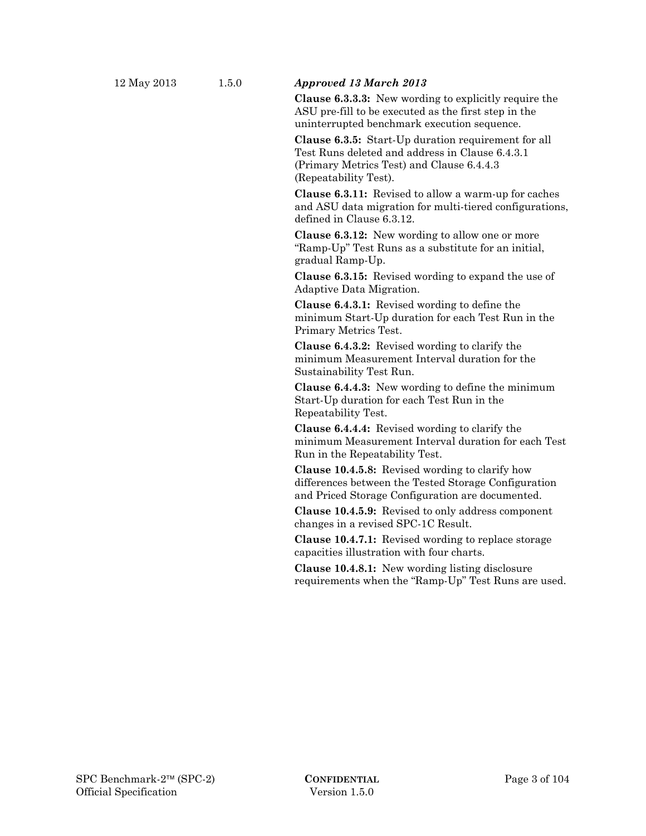#### 12 May 2013 1.5.0 *Approved 13 March 2013*

 **Clause 6.3.3.3:** New wording to explicitly require the ASU pre-fill to be executed as the first step in the uninterrupted benchmark execution sequence.

 **Clause 6.3.5:** Start-Up duration requirement for all Test Runs deleted and address in Clause 6.4.3.1 (Primary Metrics Test) and Clause 6.4.4.3 (Repeatability Test).

 **Clause 6.3.11:** Revised to allow a warm-up for caches and ASU data migration for multi-tiered configurations, defined in Clause 6.3.12.

 **Clause 6.3.12:** New wording to allow one or more "Ramp-Up" Test Runs as a substitute for an initial, gradual Ramp-Up.

 **Clause 6.3.15:** Revised wording to expand the use of Adaptive Data Migration.

 **Clause 6.4.3.1:** Revised wording to define the minimum Start-Up duration for each Test Run in the Primary Metrics Test.

 **Clause 6.4.3.2:** Revised wording to clarify the minimum Measurement Interval duration for the Sustainability Test Run.

 **Clause 6.4.4.3:** New wording to define the minimum Start-Up duration for each Test Run in the Repeatability Test.

 **Clause 6.4.4.4:** Revised wording to clarify the minimum Measurement Interval duration for each Test Run in the Repeatability Test.

 **Clause 10.4.5.8:** Revised wording to clarify how differences between the Tested Storage Configuration and Priced Storage Configuration are documented.

 **Clause 10.4.5.9:** Revised to only address component changes in a revised SPC-1C Result.

 **Clause 10.4.7.1:** Revised wording to replace storage capacities illustration with four charts.

 **Clause 10.4.8.1:** New wording listing disclosure requirements when the "Ramp-Up" Test Runs are used.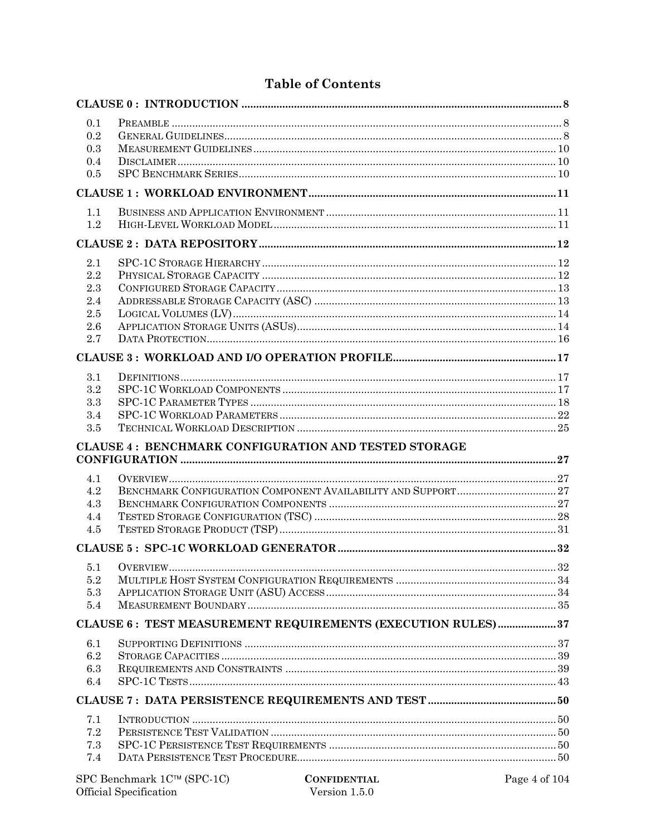| 0.1       |                                                                                                                                                                                                                                                                                                                                         |    |
|-----------|-----------------------------------------------------------------------------------------------------------------------------------------------------------------------------------------------------------------------------------------------------------------------------------------------------------------------------------------|----|
| 0.2       |                                                                                                                                                                                                                                                                                                                                         |    |
| 0.3       |                                                                                                                                                                                                                                                                                                                                         |    |
| 0.4       |                                                                                                                                                                                                                                                                                                                                         |    |
| 0.5       |                                                                                                                                                                                                                                                                                                                                         |    |
|           |                                                                                                                                                                                                                                                                                                                                         |    |
| 1.1       |                                                                                                                                                                                                                                                                                                                                         |    |
| 1.2       |                                                                                                                                                                                                                                                                                                                                         |    |
|           |                                                                                                                                                                                                                                                                                                                                         |    |
| 2.1       |                                                                                                                                                                                                                                                                                                                                         |    |
| 2.2       |                                                                                                                                                                                                                                                                                                                                         |    |
| 2.3       |                                                                                                                                                                                                                                                                                                                                         |    |
| 2.4       |                                                                                                                                                                                                                                                                                                                                         |    |
| 2.5       |                                                                                                                                                                                                                                                                                                                                         |    |
| 2.6       |                                                                                                                                                                                                                                                                                                                                         |    |
| 2.7       |                                                                                                                                                                                                                                                                                                                                         |    |
|           |                                                                                                                                                                                                                                                                                                                                         |    |
| 3.1       |                                                                                                                                                                                                                                                                                                                                         |    |
| 3.2       |                                                                                                                                                                                                                                                                                                                                         |    |
| 3.3       |                                                                                                                                                                                                                                                                                                                                         |    |
| 3.4       |                                                                                                                                                                                                                                                                                                                                         |    |
| 3.5       |                                                                                                                                                                                                                                                                                                                                         |    |
|           | <b>CLAUSE 4: BENCHMARK CONFIGURATION AND TESTED STORAGE</b>                                                                                                                                                                                                                                                                             |    |
|           |                                                                                                                                                                                                                                                                                                                                         |    |
| 4.1       |                                                                                                                                                                                                                                                                                                                                         |    |
| 4.2       |                                                                                                                                                                                                                                                                                                                                         |    |
| 4.3       |                                                                                                                                                                                                                                                                                                                                         |    |
| 4.4       |                                                                                                                                                                                                                                                                                                                                         |    |
| 4.5       |                                                                                                                                                                                                                                                                                                                                         |    |
|           |                                                                                                                                                                                                                                                                                                                                         |    |
|           | 5.1 OVERVIEW                                                                                                                                                                                                                                                                                                                            | 39 |
| 5.2       |                                                                                                                                                                                                                                                                                                                                         |    |
| 5.3       |                                                                                                                                                                                                                                                                                                                                         |    |
| 5.4       |                                                                                                                                                                                                                                                                                                                                         |    |
|           | CLAUSE 6: TEST MEASUREMENT REQUIREMENTS (EXECUTION RULES)37                                                                                                                                                                                                                                                                             |    |
| 6.1       |                                                                                                                                                                                                                                                                                                                                         |    |
| 6.2       |                                                                                                                                                                                                                                                                                                                                         |    |
| 6.3       |                                                                                                                                                                                                                                                                                                                                         |    |
| 6.4       |                                                                                                                                                                                                                                                                                                                                         |    |
|           |                                                                                                                                                                                                                                                                                                                                         |    |
| 7.1       |                                                                                                                                                                                                                                                                                                                                         |    |
|           |                                                                                                                                                                                                                                                                                                                                         |    |
| $\!\!7.2$ |                                                                                                                                                                                                                                                                                                                                         |    |
| 7.3       |                                                                                                                                                                                                                                                                                                                                         |    |
| 7.4       | CONFIDENTIAL $P_{\text{C}}$ $P_{\text{C}}$ $P_{\text{C}}$ $P_{\text{C}}$ $P_{\text{C}}$ $P_{\text{C}}$ $P_{\text{C}}$ $P_{\text{C}}$ $P_{\text{C}}$ $P_{\text{C}}$ $P_{\text{C}}$ $P_{\text{C}}$ $P_{\text{C}}$ $P_{\text{C}}$ $P_{\text{C}}$ $P_{\text{C}}$ $P_{\text{C}}$ $P_{\text{C}}$ $P_{\text{C}}$ $P_{\text{C}}$ $P_{\text{C}}$ |    |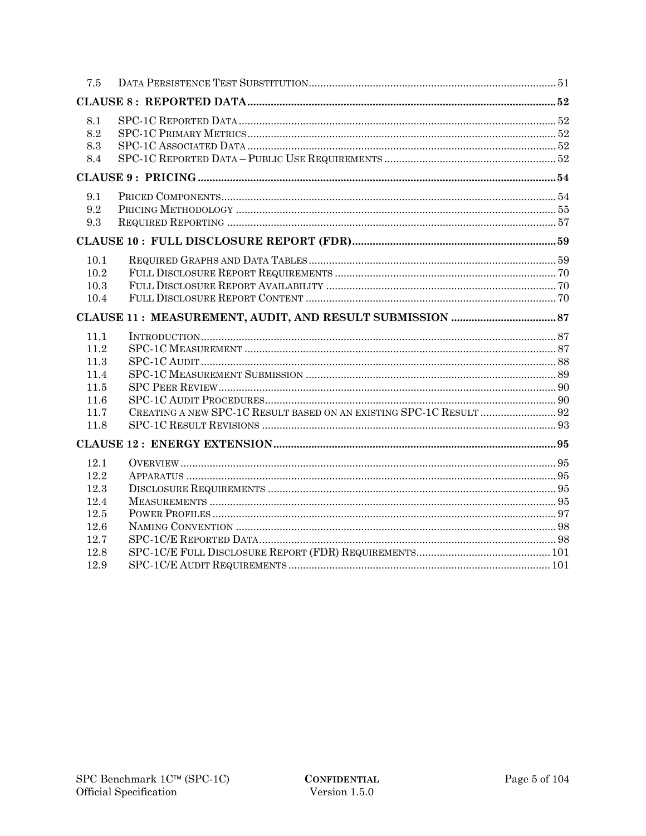| 7.5          |                                                                     |  |
|--------------|---------------------------------------------------------------------|--|
|              |                                                                     |  |
| 8.1          |                                                                     |  |
| 8.2          |                                                                     |  |
| 8.3          |                                                                     |  |
| 8.4          |                                                                     |  |
|              |                                                                     |  |
| 9.1          |                                                                     |  |
| 9.2          |                                                                     |  |
| 9.3          |                                                                     |  |
|              |                                                                     |  |
| 10.1         |                                                                     |  |
| 10.2         |                                                                     |  |
| 10.3         |                                                                     |  |
| 10.4         |                                                                     |  |
|              |                                                                     |  |
|              |                                                                     |  |
| 11.1         |                                                                     |  |
| 11.2         |                                                                     |  |
| 11.3         |                                                                     |  |
| 11.4         |                                                                     |  |
| 11.5         |                                                                     |  |
| 11.6         |                                                                     |  |
| 11.7         | CREATING A NEW SPC-1C RESULT BASED ON AN EXISTING SPC-1C RESULT  92 |  |
| 11.8         |                                                                     |  |
|              |                                                                     |  |
| 12.1         |                                                                     |  |
| 12.2         |                                                                     |  |
| 12.3         |                                                                     |  |
| 12.4         |                                                                     |  |
| 12.5         |                                                                     |  |
| 12.6         |                                                                     |  |
| 12.7         |                                                                     |  |
| 12.8<br>12.9 |                                                                     |  |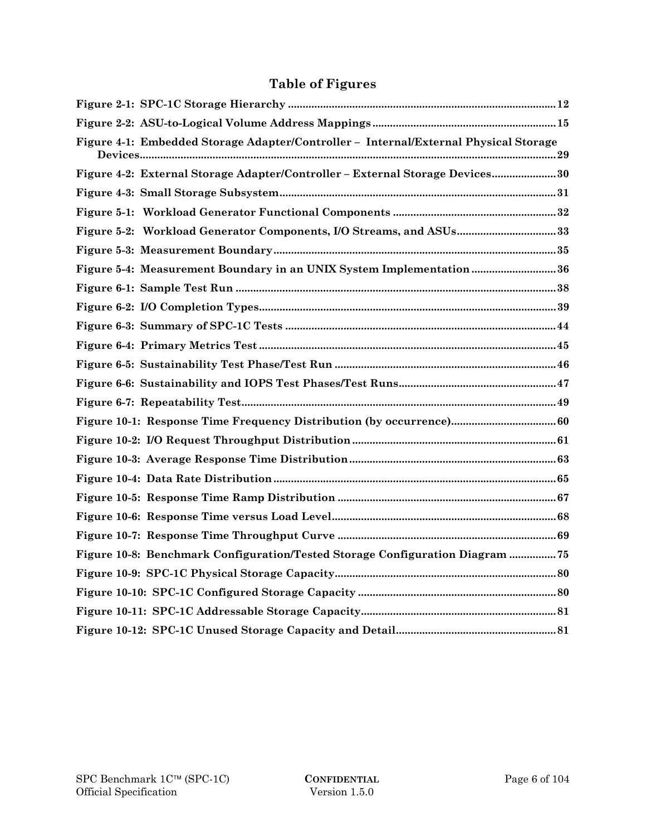# **Table of Figures**

| Figure 4-1: Embedded Storage Adapter/Controller - Internal/External Physical Storage |  |
|--------------------------------------------------------------------------------------|--|
| Figure 4-2: External Storage Adapter/Controller - External Storage Devices 30        |  |
|                                                                                      |  |
|                                                                                      |  |
| Figure 5-2: Workload Generator Components, I/O Streams, and ASUs 33                  |  |
|                                                                                      |  |
| Figure 5-4: Measurement Boundary in an UNIX System Implementation  36                |  |
|                                                                                      |  |
|                                                                                      |  |
|                                                                                      |  |
|                                                                                      |  |
|                                                                                      |  |
|                                                                                      |  |
|                                                                                      |  |
|                                                                                      |  |
|                                                                                      |  |
|                                                                                      |  |
|                                                                                      |  |
|                                                                                      |  |
|                                                                                      |  |
|                                                                                      |  |
| Figure 10-8: Benchmark Configuration/Tested Storage Configuration Diagram  75        |  |
|                                                                                      |  |
|                                                                                      |  |
|                                                                                      |  |
|                                                                                      |  |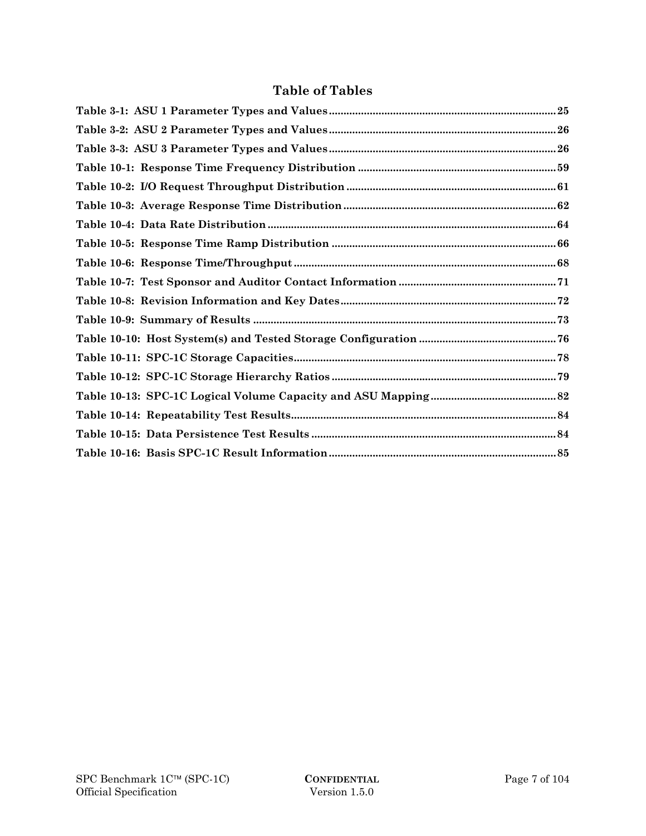|  |  | <b>Table of Tables</b> |
|--|--|------------------------|
|--|--|------------------------|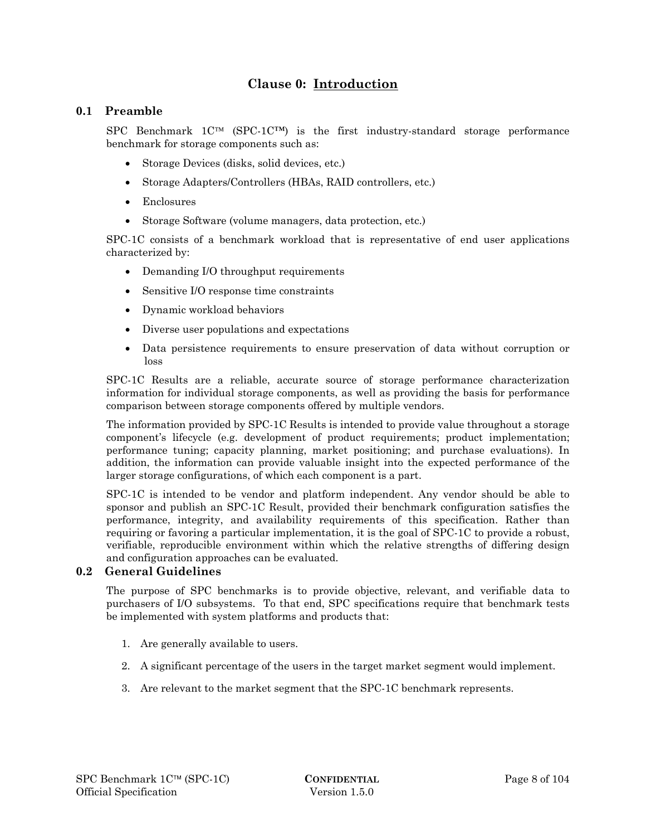# **Clause 0: Introduction**

# **0.1 Preamble**

SPC Benchmark  $1C^{TM}$  (SPC-1C<sup>TM</sup>) is the first industry-standard storage performance benchmark for storage components such as:

- Storage Devices (disks, solid devices, etc.)
- Storage Adapters/Controllers (HBAs, RAID controllers, etc.)
- Enclosures
- Storage Software (volume managers, data protection, etc.)

SPC-1C consists of a benchmark workload that is representative of end user applications characterized by:

- Demanding I/O throughput requirements
- Sensitive I/O response time constraints
- Dynamic workload behaviors
- Diverse user populations and expectations
- Data persistence requirements to ensure preservation of data without corruption or loss

SPC-1C Results are a reliable, accurate source of storage performance characterization information for individual storage components, as well as providing the basis for performance comparison between storage components offered by multiple vendors.

The information provided by SPC-1C Results is intended to provide value throughout a storage component's lifecycle (e.g. development of product requirements; product implementation; performance tuning; capacity planning, market positioning; and purchase evaluations). In addition, the information can provide valuable insight into the expected performance of the larger storage configurations, of which each component is a part.

SPC-1C is intended to be vendor and platform independent. Any vendor should be able to sponsor and publish an SPC-1C Result, provided their benchmark configuration satisfies the performance, integrity, and availability requirements of this specification. Rather than requiring or favoring a particular implementation, it is the goal of SPC-1C to provide a robust, verifiable, reproducible environment within which the relative strengths of differing design and configuration approaches can be evaluated.

# **0.2 General Guidelines**

The purpose of SPC benchmarks is to provide objective, relevant, and verifiable data to purchasers of I/O subsystems. To that end, SPC specifications require that benchmark tests be implemented with system platforms and products that:

- 1. Are generally available to users.
- 2. A significant percentage of the users in the target market segment would implement.
- 3. Are relevant to the market segment that the SPC-1C benchmark represents.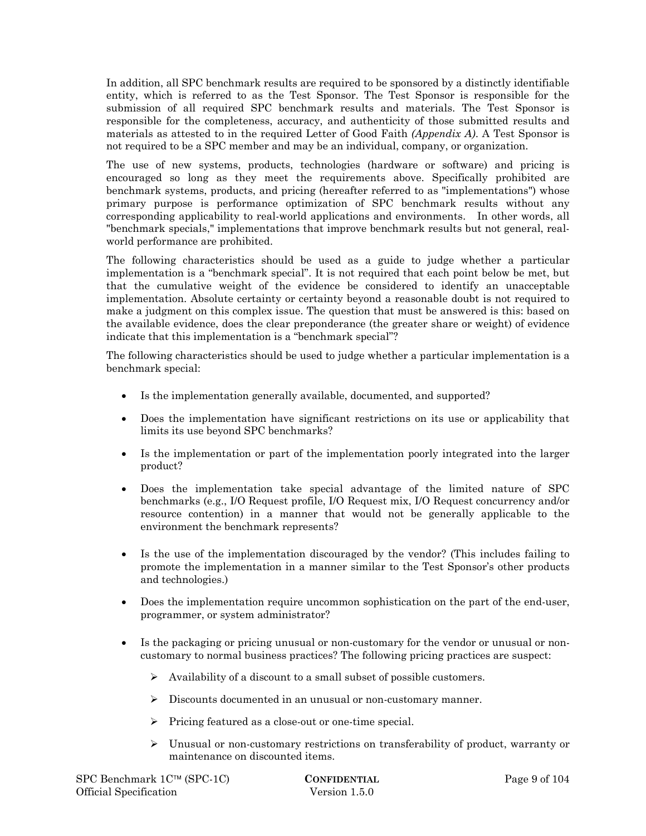In addition, all SPC benchmark results are required to be sponsored by a distinctly identifiable entity, which is referred to as the Test Sponsor. The Test Sponsor is responsible for the submission of all required SPC benchmark results and materials. The Test Sponsor is responsible for the completeness, accuracy, and authenticity of those submitted results and materials as attested to in the required Letter of Good Faith *(Appendix A)*. A Test Sponsor is not required to be a SPC member and may be an individual, company, or organization.

The use of new systems, products, technologies (hardware or software) and pricing is encouraged so long as they meet the requirements above. Specifically prohibited are benchmark systems, products, and pricing (hereafter referred to as "implementations") whose primary purpose is performance optimization of SPC benchmark results without any corresponding applicability to real-world applications and environments. In other words, all "benchmark specials," implementations that improve benchmark results but not general, realworld performance are prohibited.

The following characteristics should be used as a guide to judge whether a particular implementation is a "benchmark special". It is not required that each point below be met, but that the cumulative weight of the evidence be considered to identify an unacceptable implementation. Absolute certainty or certainty beyond a reasonable doubt is not required to make a judgment on this complex issue. The question that must be answered is this: based on the available evidence, does the clear preponderance (the greater share or weight) of evidence indicate that this implementation is a "benchmark special"?

The following characteristics should be used to judge whether a particular implementation is a benchmark special:

- Is the implementation generally available, documented, and supported?
- Does the implementation have significant restrictions on its use or applicability that limits its use beyond SPC benchmarks?
- Is the implementation or part of the implementation poorly integrated into the larger product?
- Does the implementation take special advantage of the limited nature of SPC benchmarks (e.g., I/O Request profile, I/O Request mix, I/O Request concurrency and/or resource contention) in a manner that would not be generally applicable to the environment the benchmark represents?
- Is the use of the implementation discouraged by the vendor? (This includes failing to promote the implementation in a manner similar to the Test Sponsor's other products and technologies.)
- Does the implementation require uncommon sophistication on the part of the end-user, programmer, or system administrator?
- Is the packaging or pricing unusual or non-customary for the vendor or unusual or noncustomary to normal business practices? The following pricing practices are suspect:
	- $\triangleright$  Availability of a discount to a small subset of possible customers.
	- Discounts documented in an unusual or non-customary manner.
	- $\triangleright$  Pricing featured as a close-out or one-time special.
	- Unusual or non-customary restrictions on transferability of product, warranty or maintenance on discounted items.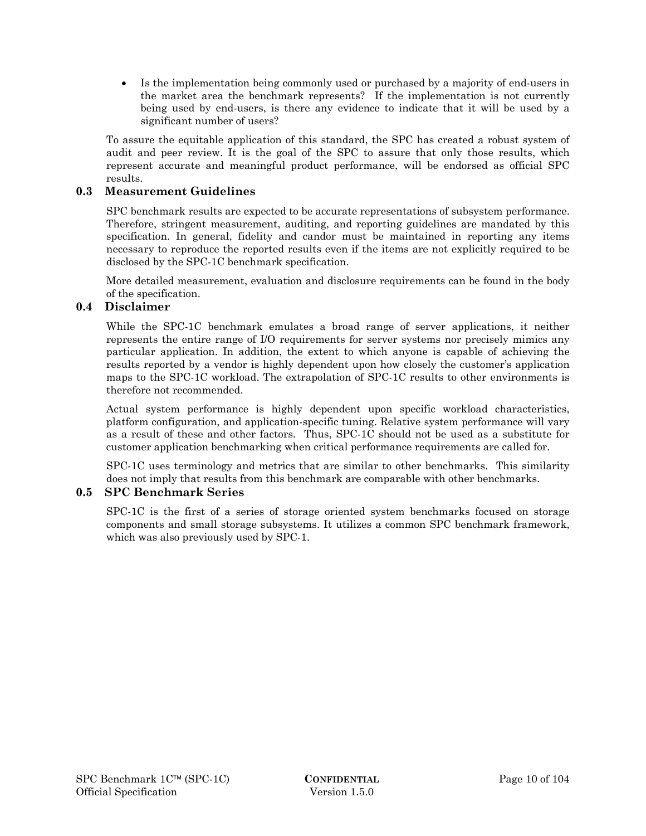Is the implementation being commonly used or purchased by a majority of end-users in the market area the benchmark represents? If the implementation is not currently being used by end-users, is there any evidence to indicate that it will be used by a significant number of users?

To assure the equitable application of this standard, the SPC has created a robust system of audit and peer review. It is the goal of the SPC to assure that only those results, which represent accurate and meaningful product performance, will be endorsed as official SPC results.

# **0.3 Measurement Guidelines**

SPC benchmark results are expected to be accurate representations of subsystem performance. Therefore, stringent measurement, auditing, and reporting guidelines are mandated by this specification. In general, fidelity and candor must be maintained in reporting any items necessary to reproduce the reported results even if the items are not explicitly required to be disclosed by the SPC-1C benchmark specification.

More detailed measurement, evaluation and disclosure requirements can be found in the body of the specification.

# **0.4 Disclaimer**

While the SPC-1C benchmark emulates a broad range of server applications, it neither represents the entire range of I/O requirements for server systems nor precisely mimics any particular application. In addition, the extent to which anyone is capable of achieving the results reported by a vendor is highly dependent upon how closely the customer's application maps to the SPC-1C workload. The extrapolation of SPC-1C results to other environments is therefore not recommended.

Actual system performance is highly dependent upon specific workload characteristics, platform configuration, and application-specific tuning. Relative system performance will vary as a result of these and other factors. Thus, SPC-1C should not be used as a substitute for customer application benchmarking when critical performance requirements are called for.

SPC-1C uses terminology and metrics that are similar to other benchmarks. This similarity does not imply that results from this benchmark are comparable with other benchmarks.

# **0.5 SPC Benchmark Series**

SPC-1C is the first of a series of storage oriented system benchmarks focused on storage components and small storage subsystems. It utilizes a common SPC benchmark framework, which was also previously used by SPC-1.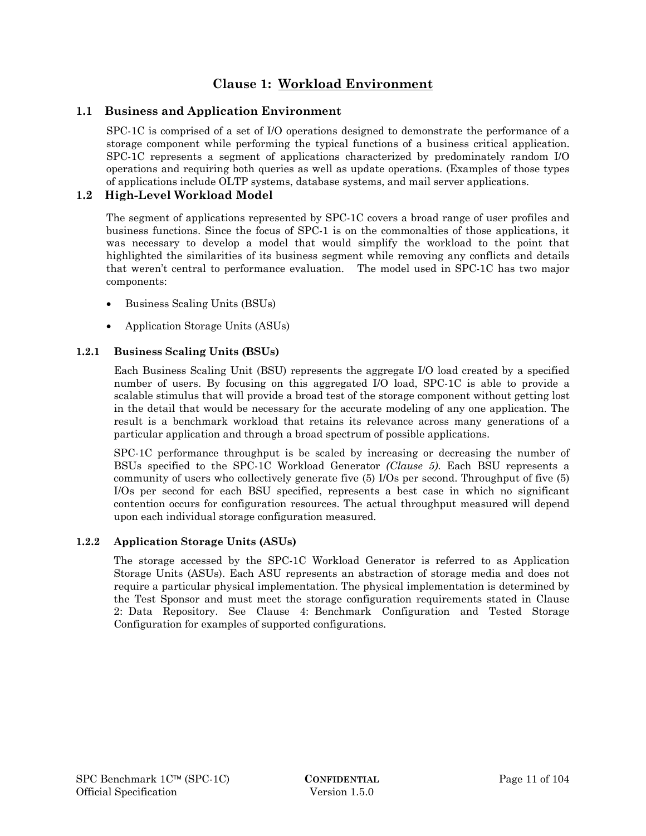# **Clause 1: Workload Environment**

# **1.1 Business and Application Environment**

SPC-1C is comprised of a set of I/O operations designed to demonstrate the performance of a storage component while performing the typical functions of a business critical application. SPC-1C represents a segment of applications characterized by predominately random I/O operations and requiring both queries as well as update operations. (Examples of those types of applications include OLTP systems, database systems, and mail server applications.

# **1.2 High-Level Workload Model**

The segment of applications represented by SPC-1C covers a broad range of user profiles and business functions. Since the focus of SPC-1 is on the commonalties of those applications, it was necessary to develop a model that would simplify the workload to the point that highlighted the similarities of its business segment while removing any conflicts and details that weren't central to performance evaluation. The model used in SPC-1C has two major components:

- Business Scaling Units (BSUs)
- Application Storage Units (ASUs)

# **1.2.1 Business Scaling Units (BSUs)**

Each Business Scaling Unit (BSU) represents the aggregate I/O load created by a specified number of users. By focusing on this aggregated I/O load, SPC-1C is able to provide a scalable stimulus that will provide a broad test of the storage component without getting lost in the detail that would be necessary for the accurate modeling of any one application. The result is a benchmark workload that retains its relevance across many generations of a particular application and through a broad spectrum of possible applications.

SPC-1C performance throughput is be scaled by increasing or decreasing the number of BSUs specified to the SPC-1C Workload Generator *(Clause 5)*. Each BSU represents a community of users who collectively generate five (5) I/Os per second. Throughput of five (5) I/Os per second for each BSU specified, represents a best case in which no significant contention occurs for configuration resources. The actual throughput measured will depend upon each individual storage configuration measured.

# **1.2.2 Application Storage Units (ASUs)**

The storage accessed by the SPC-1C Workload Generator is referred to as Application Storage Units (ASUs). Each ASU represents an abstraction of storage media and does not require a particular physical implementation. The physical implementation is determined by the Test Sponsor and must meet the storage configuration requirements stated in Clause 2: Data Repository. See Clause 4: Benchmark Configuration and Tested Storage Configuration for examples of supported configurations.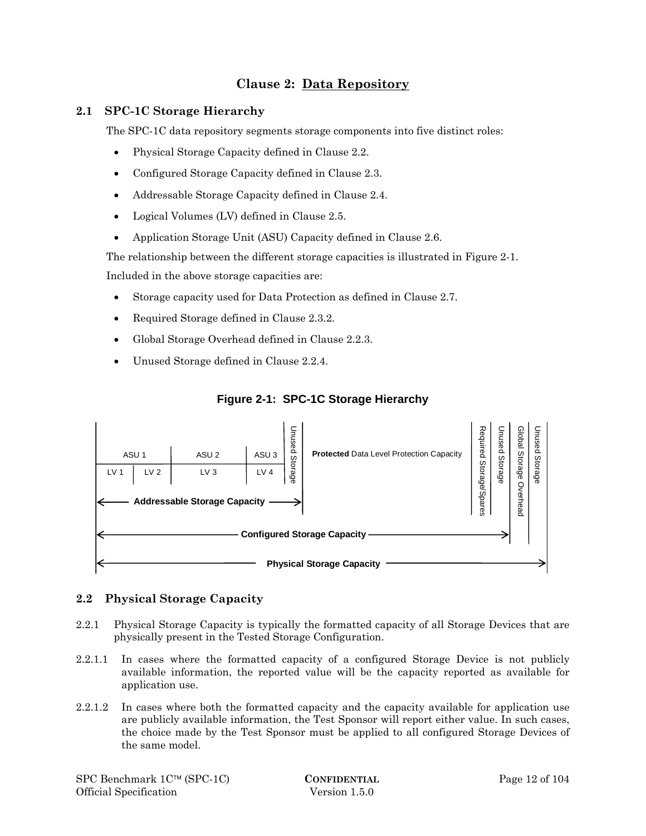# **Clause 2: Data Repository**

# **2.1 SPC-1C Storage Hierarchy**

The SPC-1C data repository segments storage components into five distinct roles:

- Physical Storage Capacity defined in Clause 2.2.
- Configured Storage Capacity defined in Clause 2.3.
- Addressable Storage Capacity defined in Clause 2.4.
- Logical Volumes (LV) defined in Clause 2.5.
- Application Storage Unit (ASU) Capacity defined in Clause 2.6.

The relationship between the different storage capacities is illustrated in Figure 2-1.

Included in the above storage capacities are:

- Storage capacity used for Data Protection as defined in Clause 2.7.
- Required Storage defined in Clause 2.3.2.
- Global Storage Overhead defined in Clause 2.2.3.
- Unused Storage defined in Clause 2.2.4.



# **Figure 2-1: SPC-1C Storage Hierarchy**

# **2.2 Physical Storage Capacity**

- 2.2.1 Physical Storage Capacity is typically the formatted capacity of all Storage Devices that are physically present in the Tested Storage Configuration.
- 2.2.1.1 In cases where the formatted capacity of a configured Storage Device is not publicly available information, the reported value will be the capacity reported as available for application use.
- 2.2.1.2 In cases where both the formatted capacity and the capacity available for application use are publicly available information, the Test Sponsor will report either value. In such cases, the choice made by the Test Sponsor must be applied to all configured Storage Devices of the same model.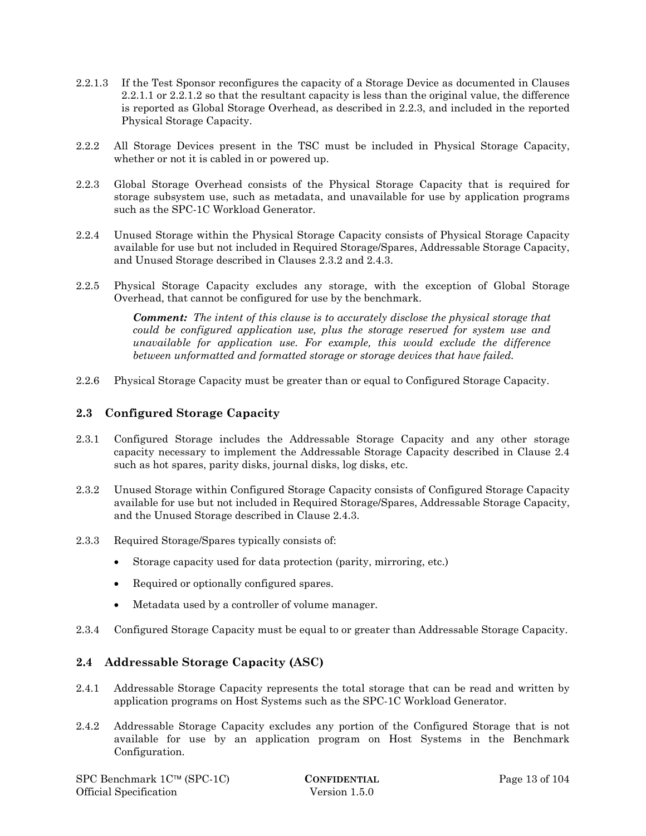- 2.2.1.3 If the Test Sponsor reconfigures the capacity of a Storage Device as documented in Clauses 2.2.1.1 or 2.2.1.2 so that the resultant capacity is less than the original value, the difference is reported as Global Storage Overhead, as described in 2.2.3, and included in the reported Physical Storage Capacity.
- 2.2.2 All Storage Devices present in the TSC must be included in Physical Storage Capacity, whether or not it is cabled in or powered up.
- 2.2.3 Global Storage Overhead consists of the Physical Storage Capacity that is required for storage subsystem use, such as metadata, and unavailable for use by application programs such as the SPC-1C Workload Generator.
- 2.2.4 Unused Storage within the Physical Storage Capacity consists of Physical Storage Capacity available for use but not included in Required Storage/Spares, Addressable Storage Capacity, and Unused Storage described in Clauses 2.3.2 and 2.4.3.
- 2.2.5 Physical Storage Capacity excludes any storage, with the exception of Global Storage Overhead, that cannot be configured for use by the benchmark.

*Comment: The intent of this clause is to accurately disclose the physical storage that could be configured application use, plus the storage reserved for system use and unavailable for application use. For example, this would exclude the difference between unformatted and formatted storage or storage devices that have failed.* 

2.2.6 Physical Storage Capacity must be greater than or equal to Configured Storage Capacity.

# **2.3 Configured Storage Capacity**

- 2.3.1 Configured Storage includes the Addressable Storage Capacity and any other storage capacity necessary to implement the Addressable Storage Capacity described in Clause 2.4 such as hot spares, parity disks, journal disks, log disks, etc.
- 2.3.2 Unused Storage within Configured Storage Capacity consists of Configured Storage Capacity available for use but not included in Required Storage/Spares, Addressable Storage Capacity, and the Unused Storage described in Clause 2.4.3.
- 2.3.3 Required Storage/Spares typically consists of:
	- Storage capacity used for data protection (parity, mirroring, etc.)
	- Required or optionally configured spares.
	- Metadata used by a controller of volume manager.
- 2.3.4 Configured Storage Capacity must be equal to or greater than Addressable Storage Capacity.

# **2.4 Addressable Storage Capacity (ASC)**

- 2.4.1 Addressable Storage Capacity represents the total storage that can be read and written by application programs on Host Systems such as the SPC-1C Workload Generator.
- 2.4.2 Addressable Storage Capacity excludes any portion of the Configured Storage that is not available for use by an application program on Host Systems in the Benchmark Configuration.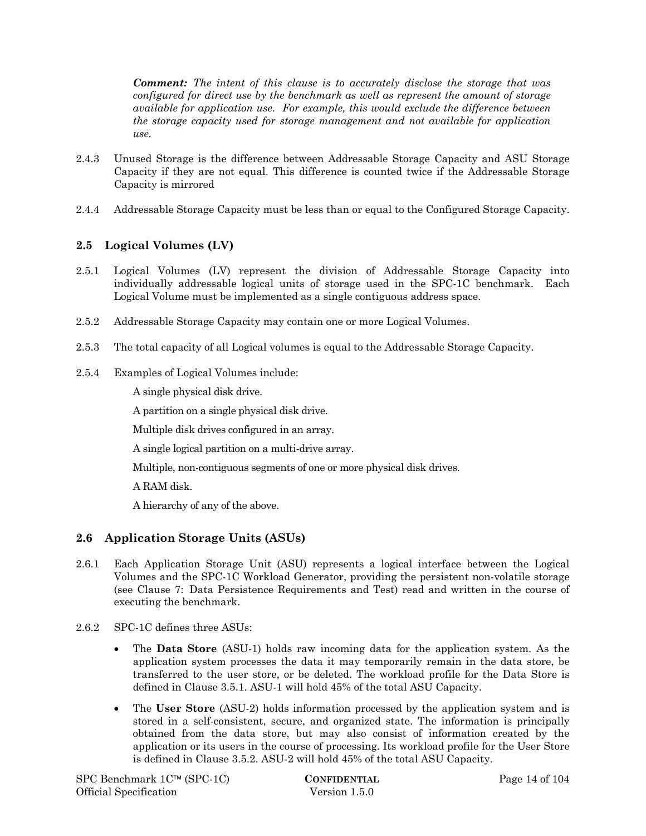*Comment: The intent of this clause is to accurately disclose the storage that was configured for direct use by the benchmark as well as represent the amount of storage available for application use. For example, this would exclude the difference between the storage capacity used for storage management and not available for application use.* 

- 2.4.3 Unused Storage is the difference between Addressable Storage Capacity and ASU Storage Capacity if they are not equal. This difference is counted twice if the Addressable Storage Capacity is mirrored
- 2.4.4 Addressable Storage Capacity must be less than or equal to the Configured Storage Capacity.

# **2.5 Logical Volumes (LV)**

- 2.5.1 Logical Volumes (LV) represent the division of Addressable Storage Capacity into individually addressable logical units of storage used in the SPC-1C benchmark. Each Logical Volume must be implemented as a single contiguous address space.
- 2.5.2 Addressable Storage Capacity may contain one or more Logical Volumes.
- 2.5.3 The total capacity of all Logical volumes is equal to the Addressable Storage Capacity.
- 2.5.4 Examples of Logical Volumes include:

A single physical disk drive.

A partition on a single physical disk drive.

Multiple disk drives configured in an array.

A single logical partition on a multi-drive array.

Multiple, non-contiguous segments of one or more physical disk drives.

A RAM disk.

A hierarchy of any of the above.

# **2.6 Application Storage Units (ASUs)**

- 2.6.1 Each Application Storage Unit (ASU) represents a logical interface between the Logical Volumes and the SPC-1C Workload Generator, providing the persistent non-volatile storage (see Clause 7: Data Persistence Requirements and Test) read and written in the course of executing the benchmark.
- 2.6.2 SPC-1C defines three ASUs:
	- The **Data Store** (ASU-1) holds raw incoming data for the application system. As the application system processes the data it may temporarily remain in the data store, be transferred to the user store, or be deleted. The workload profile for the Data Store is defined in Clause 3.5.1. ASU-1 will hold 45% of the total ASU Capacity.
	- The **User Store** (ASU-2) holds information processed by the application system and is stored in a self-consistent, secure, and organized state. The information is principally obtained from the data store, but may also consist of information created by the application or its users in the course of processing. Its workload profile for the User Store is defined in Clause 3.5.2. ASU-2 will hold 45% of the total ASU Capacity.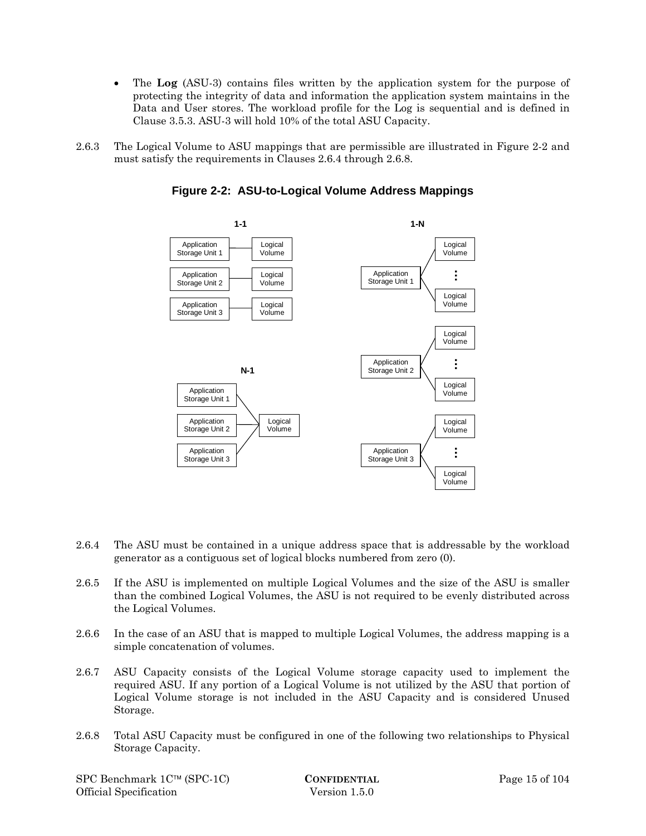- The **Log** (ASU-3) contains files written by the application system for the purpose of protecting the integrity of data and information the application system maintains in the Data and User stores. The workload profile for the Log is sequential and is defined in Clause 3.5.3. ASU-3 will hold 10% of the total ASU Capacity.
- 2.6.3 The Logical Volume to ASU mappings that are permissible are illustrated in Figure 2-2 and must satisfy the requirements in Clauses 2.6.4 through 2.6.8.



**Figure 2-2: ASU-to-Logical Volume Address Mappings** 

- 2.6.4 The ASU must be contained in a unique address space that is addressable by the workload generator as a contiguous set of logical blocks numbered from zero (0).
- 2.6.5 If the ASU is implemented on multiple Logical Volumes and the size of the ASU is smaller than the combined Logical Volumes, the ASU is not required to be evenly distributed across the Logical Volumes.
- 2.6.6 In the case of an ASU that is mapped to multiple Logical Volumes, the address mapping is a simple concatenation of volumes.
- 2.6.7 ASU Capacity consists of the Logical Volume storage capacity used to implement the required ASU. If any portion of a Logical Volume is not utilized by the ASU that portion of Logical Volume storage is not included in the ASU Capacity and is considered Unused Storage.
- 2.6.8 Total ASU Capacity must be configured in one of the following two relationships to Physical Storage Capacity.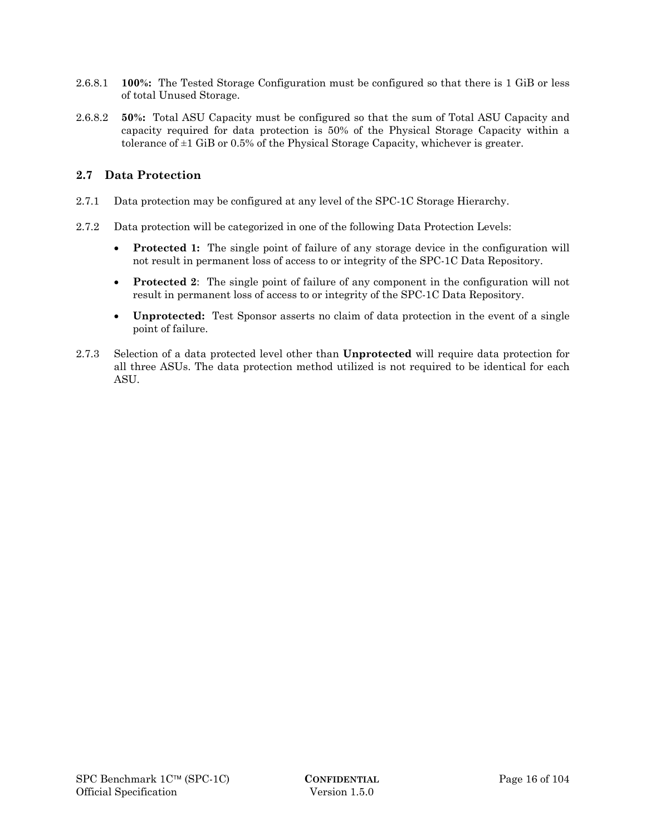- 2.6.8.1 **100%:** The Tested Storage Configuration must be configured so that there is 1 GiB or less of total Unused Storage.
- 2.6.8.2 **50%:** Total ASU Capacity must be configured so that the sum of Total ASU Capacity and capacity required for data protection is 50% of the Physical Storage Capacity within a tolerance of ±1 GiB or 0.5% of the Physical Storage Capacity, whichever is greater.

# **2.7 Data Protection**

- 2.7.1 Data protection may be configured at any level of the SPC-1C Storage Hierarchy.
- 2.7.2 Data protection will be categorized in one of the following Data Protection Levels:
	- **Protected 1:** The single point of failure of any storage device in the configuration will not result in permanent loss of access to or integrity of the SPC-1C Data Repository.
	- **Protected 2**: The single point of failure of any component in the configuration will not result in permanent loss of access to or integrity of the SPC-1C Data Repository.
	- **Unprotected:** Test Sponsor asserts no claim of data protection in the event of a single point of failure.
- 2.7.3 Selection of a data protected level other than **Unprotected** will require data protection for all three ASUs. The data protection method utilized is not required to be identical for each ASU.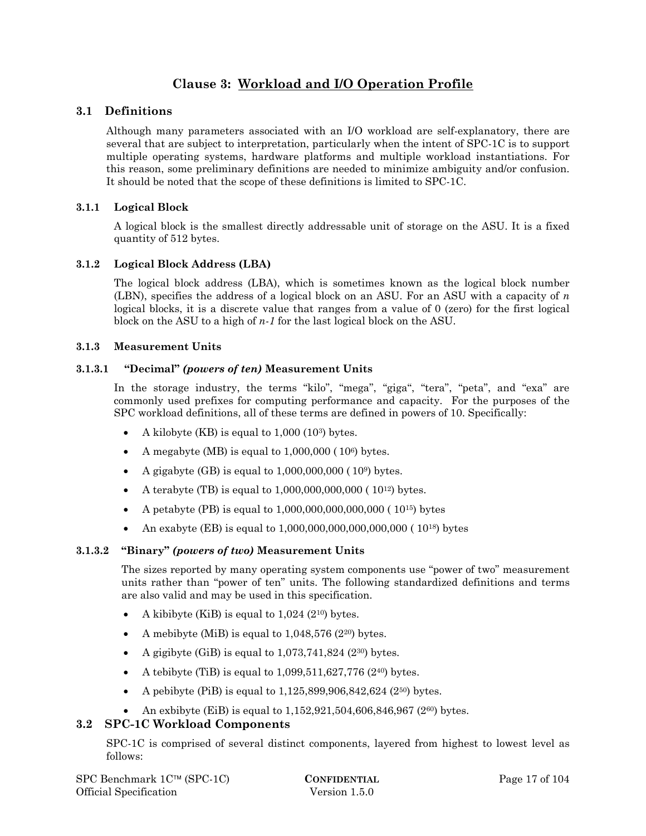# **Clause 3: Workload and I/O Operation Profile**

# **3.1 Definitions**

Although many parameters associated with an I/O workload are self-explanatory, there are several that are subject to interpretation, particularly when the intent of SPC-1C is to support multiple operating systems, hardware platforms and multiple workload instantiations. For this reason, some preliminary definitions are needed to minimize ambiguity and/or confusion. It should be noted that the scope of these definitions is limited to SPC-1C.

# **3.1.1 Logical Block**

A logical block is the smallest directly addressable unit of storage on the ASU. It is a fixed quantity of 512 bytes.

# **3.1.2 Logical Block Address (LBA)**

The logical block address (LBA), which is sometimes known as the logical block number (LBN), specifies the address of a logical block on an ASU. For an ASU with a capacity of *n* logical blocks, it is a discrete value that ranges from a value of 0 (zero) for the first logical block on the ASU to a high of *n-1* for the last logical block on the ASU.

# **3.1.3 Measurement Units**

# **3.1.3.1 "Decimal"** *(powers of ten)* **Measurement Units**

In the storage industry, the terms "kilo", "mega", "giga", "tera", "peta", and "exa" are commonly used prefixes for computing performance and capacity. For the purposes of the SPC workload definitions, all of these terms are defined in powers of 10. Specifically:

- A kilobyte (KB) is equal to  $1,000$  (10<sup>3</sup>) bytes.
- A megabyte (MB) is equal to  $1,000,000$  ( $10<sup>6</sup>$ ) bytes.
- A gigabyte  $(BB)$  is equal to  $1,000,000,000$  ( $10<sup>9</sup>$ ) bytes.
- A terabyte (TB) is equal to 1,000,000,000,000 ( 1012) bytes.
- A petabyte (PB) is equal to  $1,000,000,000,000,000$  ( $10^{15}$ ) bytes
- An exabyte (EB) is equal to  $1,000,000,000,000,000,000$  ( $10^{18}$ ) bytes

# **3.1.3.2 "Binary"** *(powers of two)* **Measurement Units**

The sizes reported by many operating system components use "power of two" measurement units rather than "power of ten" units. The following standardized definitions and terms are also valid and may be used in this specification.

- A kibibyte (KiB) is equal to 1,024 (210) bytes.
- A mebibyte (MiB) is equal to  $1,048,576$  ( $2^{20}$ ) bytes.
- A gigibyte (GiB) is equal to  $1,073,741,824$  ( $2^{30}$ ) bytes.
- A tebibyte (TiB) is equal to  $1,099,511,627,776$  (2<sup>40</sup>) bytes.
- A pebibyte (PiB) is equal to 1,125,899,906,842,624 (250) bytes.
- An exbibyte (EiB) is equal to  $1,152,921,504,606,846,967$  ( $2^{60}$ ) bytes.

# **3.2 SPC-1C Workload Components**

SPC-1C is comprised of several distinct components, layered from highest to lowest level as follows: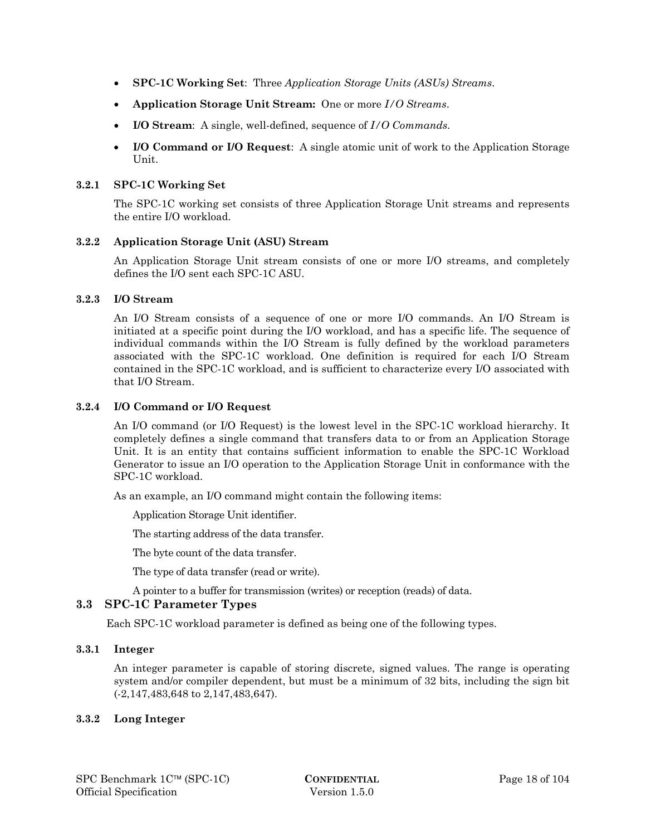- **SPC-1C Working Set**: Three *Application Storage Units (ASUs) Streams*.
- **Application Storage Unit Stream:** One or more *I/O Streams*.
- **I/O Stream**: A single, well-defined, sequence of *I/O Commands*.
- **I/O Command or I/O Request**: A single atomic unit of work to the Application Storage Unit.

#### **3.2.1 SPC-1C Working Set**

The SPC-1C working set consists of three Application Storage Unit streams and represents the entire I/O workload.

#### **3.2.2 Application Storage Unit (ASU) Stream**

An Application Storage Unit stream consists of one or more I/O streams, and completely defines the I/O sent each SPC-1C ASU.

#### **3.2.3 I/O Stream**

An I/O Stream consists of a sequence of one or more I/O commands. An I/O Stream is initiated at a specific point during the I/O workload, and has a specific life. The sequence of individual commands within the I/O Stream is fully defined by the workload parameters associated with the SPC-1C workload. One definition is required for each I/O Stream contained in the SPC-1C workload, and is sufficient to characterize every I/O associated with that I/O Stream.

#### **3.2.4 I/O Command or I/O Request**

An I/O command (or I/O Request) is the lowest level in the SPC-1C workload hierarchy. It completely defines a single command that transfers data to or from an Application Storage Unit. It is an entity that contains sufficient information to enable the SPC-1C Workload Generator to issue an I/O operation to the Application Storage Unit in conformance with the SPC-1C workload.

As an example, an I/O command might contain the following items:

Application Storage Unit identifier.

The starting address of the data transfer.

The byte count of the data transfer.

The type of data transfer (read or write).

A pointer to a buffer for transmission (writes) or reception (reads) of data.

# **3.3 SPC-1C Parameter Types**

Each SPC-1C workload parameter is defined as being one of the following types.

### **3.3.1 Integer**

An integer parameter is capable of storing discrete, signed values. The range is operating system and/or compiler dependent, but must be a minimum of 32 bits, including the sign bit (-2,147,483,648 to 2,147,483,647).

#### **3.3.2 Long Integer**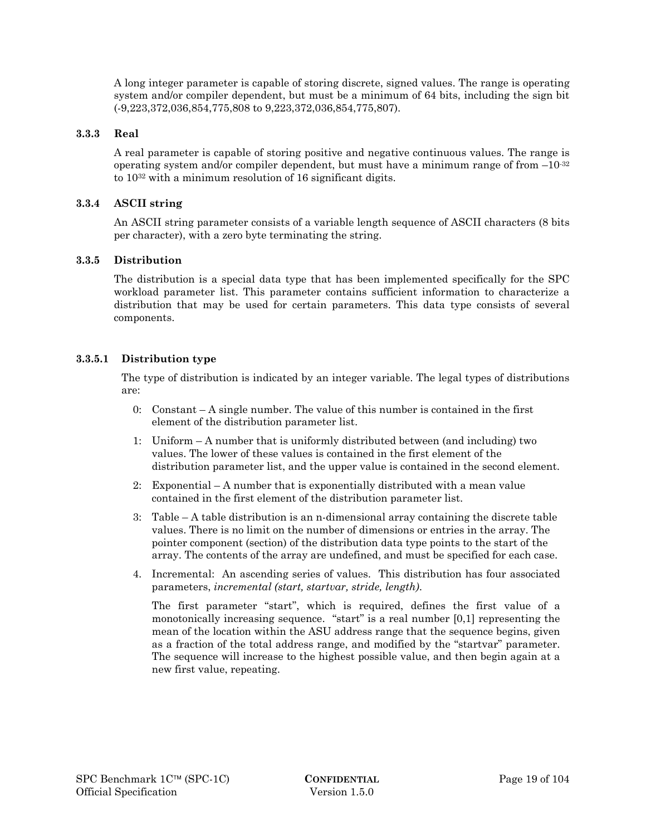A long integer parameter is capable of storing discrete, signed values. The range is operating system and/or compiler dependent, but must be a minimum of 64 bits, including the sign bit (-9,223,372,036,854,775,808 to 9,223,372,036,854,775,807).

### **3.3.3 Real**

A real parameter is capable of storing positive and negative continuous values. The range is operating system and/or compiler dependent, but must have a minimum range of from  $-10^{-32}$ to 1032 with a minimum resolution of 16 significant digits.

### **3.3.4 ASCII string**

An ASCII string parameter consists of a variable length sequence of ASCII characters (8 bits per character), with a zero byte terminating the string.

#### **3.3.5 Distribution**

The distribution is a special data type that has been implemented specifically for the SPC workload parameter list. This parameter contains sufficient information to characterize a distribution that may be used for certain parameters. This data type consists of several components.

#### **3.3.5.1 Distribution type**

The type of distribution is indicated by an integer variable. The legal types of distributions are:

- 0: Constant  $-A$  single number. The value of this number is contained in the first element of the distribution parameter list.
- 1: Uniform A number that is uniformly distributed between (and including) two values. The lower of these values is contained in the first element of the distribution parameter list, and the upper value is contained in the second element.
- 2: Exponential A number that is exponentially distributed with a mean value contained in the first element of the distribution parameter list.
- 3: Table A table distribution is an n-dimensional array containing the discrete table values. There is no limit on the number of dimensions or entries in the array. The pointer component (section) of the distribution data type points to the start of the array. The contents of the array are undefined, and must be specified for each case.
- 4. Incremental: An ascending series of values. This distribution has four associated parameters, *incremental (start, startvar, stride, length)*.

The first parameter "start", which is required, defines the first value of a monotonically increasing sequence. "start" is a real number [0,1] representing the mean of the location within the ASU address range that the sequence begins, given as a fraction of the total address range, and modified by the "startvar" parameter. The sequence will increase to the highest possible value, and then begin again at a new first value, repeating.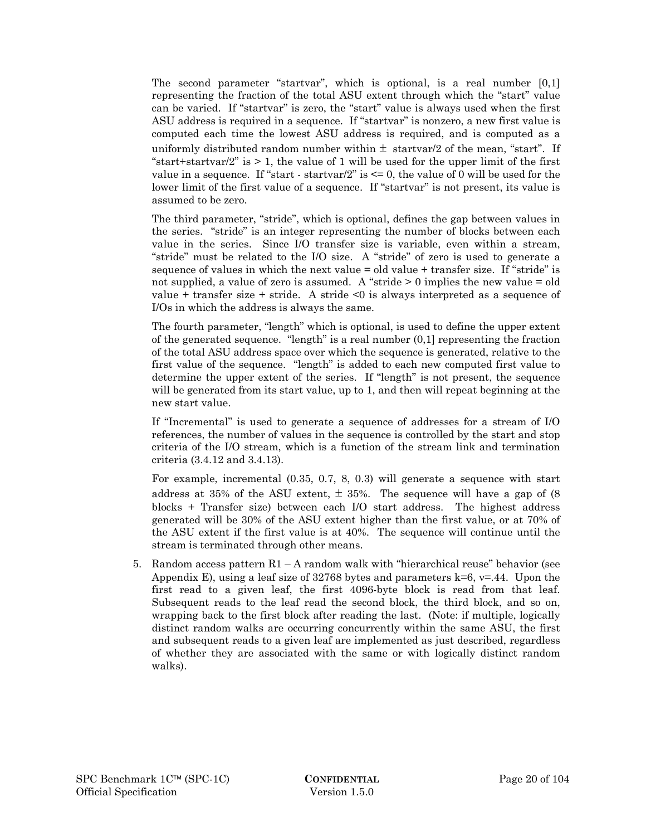The second parameter "startvar", which is optional, is a real number [0,1] representing the fraction of the total ASU extent through which the "start" value can be varied. If "startvar" is zero, the "start" value is always used when the first ASU address is required in a sequence. If "startvar" is nonzero, a new first value is computed each time the lowest ASU address is required, and is computed as a uniformly distributed random number within  $\pm$  startvar/2 of the mean, "start". If "start+startvar/2" is  $> 1$ , the value of 1 will be used for the upper limit of the first value in a sequence. If "start - startvar/2" is  $\leq$  0, the value of 0 will be used for the lower limit of the first value of a sequence. If "startvar" is not present, its value is assumed to be zero.

The third parameter, "stride", which is optional, defines the gap between values in the series. "stride" is an integer representing the number of blocks between each value in the series. Since I/O transfer size is variable, even within a stream, "stride" must be related to the I/O size. A "stride" of zero is used to generate a sequence of values in which the next value = old value + transfer size. If "stride" is not supplied, a value of zero is assumed. A "stride > 0 implies the new value = old value  $+$  transfer size  $+$  stride. A stride  $\leq 0$  is always interpreted as a sequence of I/Os in which the address is always the same.

The fourth parameter, "length" which is optional, is used to define the upper extent of the generated sequence. "length" is a real number (0,1] representing the fraction of the total ASU address space over which the sequence is generated, relative to the first value of the sequence. "length" is added to each new computed first value to determine the upper extent of the series. If "length" is not present, the sequence will be generated from its start value, up to 1, and then will repeat beginning at the new start value.

If "Incremental" is used to generate a sequence of addresses for a stream of I/O references, the number of values in the sequence is controlled by the start and stop criteria of the I/O stream, which is a function of the stream link and termination criteria (3.4.12 and 3.4.13).

For example, incremental (0.35, 0.7, 8, 0.3) will generate a sequence with start address at 35% of the ASU extent,  $\pm$  35%. The sequence will have a gap of (8) blocks + Transfer size) between each I/O start address. The highest address generated will be 30% of the ASU extent higher than the first value, or at 70% of the ASU extent if the first value is at 40%. The sequence will continue until the stream is terminated through other means.

5. Random access pattern  $R1 - A$  random walk with "hierarchical reuse" behavior (see Appendix E), using a leaf size of 32768 bytes and parameters  $k=6$ ,  $v=.44$ . Upon the first read to a given leaf, the first 4096-byte block is read from that leaf. Subsequent reads to the leaf read the second block, the third block, and so on, wrapping back to the first block after reading the last. (Note: if multiple, logically distinct random walks are occurring concurrently within the same ASU, the first and subsequent reads to a given leaf are implemented as just described, regardless of whether they are associated with the same or with logically distinct random walks).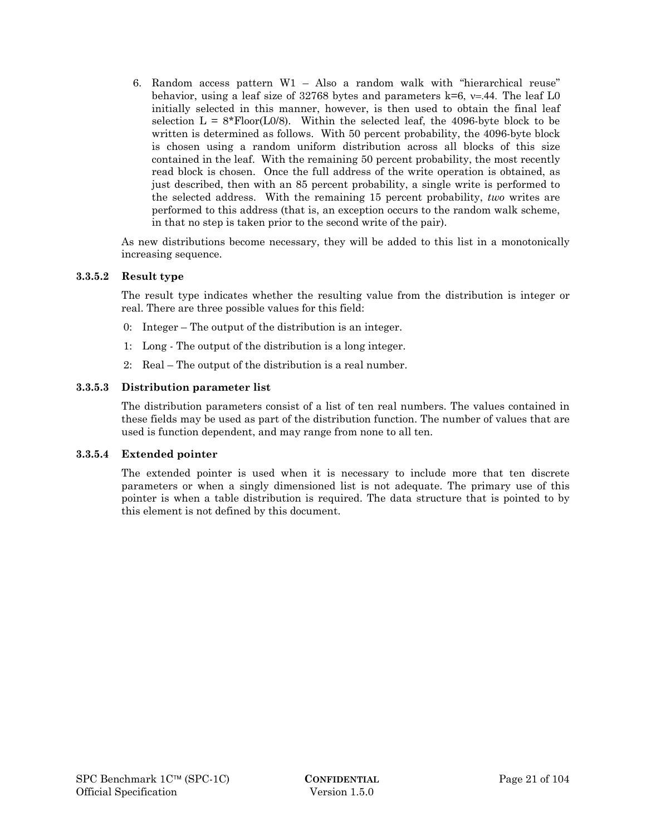6. Random access pattern W1 – Also a random walk with "hierarchical reuse" behavior, using a leaf size of 32768 bytes and parameters  $k=6$ ,  $v=44$ . The leaf L0 initially selected in this manner, however, is then used to obtain the final leaf selection  $L = 8*Flow(L0/8)$ . Within the selected leaf, the 4096-byte block to be written is determined as follows. With 50 percent probability, the 4096-byte block is chosen using a random uniform distribution across all blocks of this size contained in the leaf. With the remaining 50 percent probability, the most recently read block is chosen. Once the full address of the write operation is obtained, as just described, then with an 85 percent probability, a single write is performed to the selected address. With the remaining 15 percent probability, *two* writes are performed to this address (that is, an exception occurs to the random walk scheme, in that no step is taken prior to the second write of the pair).

As new distributions become necessary, they will be added to this list in a monotonically increasing sequence.

#### **3.3.5.2 Result type**

The result type indicates whether the resulting value from the distribution is integer or real. There are three possible values for this field:

- 0: Integer The output of the distribution is an integer.
- 1: Long The output of the distribution is a long integer.
- 2: Real The output of the distribution is a real number.

#### **3.3.5.3 Distribution parameter list**

The distribution parameters consist of a list of ten real numbers. The values contained in these fields may be used as part of the distribution function. The number of values that are used is function dependent, and may range from none to all ten.

#### **3.3.5.4 Extended pointer**

The extended pointer is used when it is necessary to include more that ten discrete parameters or when a singly dimensioned list is not adequate. The primary use of this pointer is when a table distribution is required. The data structure that is pointed to by this element is not defined by this document.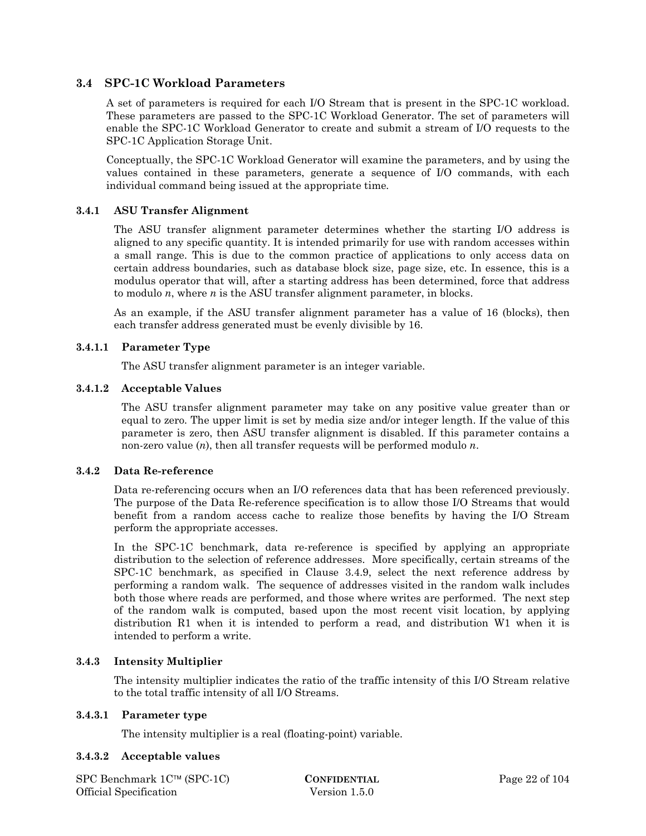# **3.4 SPC-1C Workload Parameters**

A set of parameters is required for each I/O Stream that is present in the SPC-1C workload. These parameters are passed to the SPC-1C Workload Generator. The set of parameters will enable the SPC-1C Workload Generator to create and submit a stream of I/O requests to the SPC-1C Application Storage Unit.

Conceptually, the SPC-1C Workload Generator will examine the parameters, and by using the values contained in these parameters, generate a sequence of I/O commands, with each individual command being issued at the appropriate time*.* 

### **3.4.1 ASU Transfer Alignment**

The ASU transfer alignment parameter determines whether the starting I/O address is aligned to any specific quantity. It is intended primarily for use with random accesses within a small range. This is due to the common practice of applications to only access data on certain address boundaries, such as database block size, page size, etc. In essence, this is a modulus operator that will, after a starting address has been determined, force that address to modulo *n*, where *n* is the ASU transfer alignment parameter, in blocks.

As an example, if the ASU transfer alignment parameter has a value of 16 (blocks), then each transfer address generated must be evenly divisible by 16.

#### **3.4.1.1 Parameter Type**

The ASU transfer alignment parameter is an integer variable.

#### **3.4.1.2 Acceptable Values**

The ASU transfer alignment parameter may take on any positive value greater than or equal to zero. The upper limit is set by media size and/or integer length. If the value of this parameter is zero, then ASU transfer alignment is disabled. If this parameter contains a non-zero value (*n*), then all transfer requests will be performed modulo *n*.

#### **3.4.2 Data Re-reference**

Data re-referencing occurs when an I/O references data that has been referenced previously. The purpose of the Data Re-reference specification is to allow those I/O Streams that would benefit from a random access cache to realize those benefits by having the I/O Stream perform the appropriate accesses.

In the SPC-1C benchmark, data re-reference is specified by applying an appropriate distribution to the selection of reference addresses. More specifically, certain streams of the SPC-1C benchmark, as specified in Clause 3.4.9, select the next reference address by performing a random walk. The sequence of addresses visited in the random walk includes both those where reads are performed, and those where writes are performed. The next step of the random walk is computed, based upon the most recent visit location, by applying distribution R1 when it is intended to perform a read, and distribution W1 when it is intended to perform a write.

#### **3.4.3 Intensity Multiplier**

The intensity multiplier indicates the ratio of the traffic intensity of this I/O Stream relative to the total traffic intensity of all I/O Streams.

#### **3.4.3.1 Parameter type**

The intensity multiplier is a real (floating-point) variable.

#### **3.4.3.2 Acceptable values**

SPC Benchmark 1C™ (SPC-1C) **CONFIDENTIAL** Page 22 of 104 Official Specification Version 1.5.0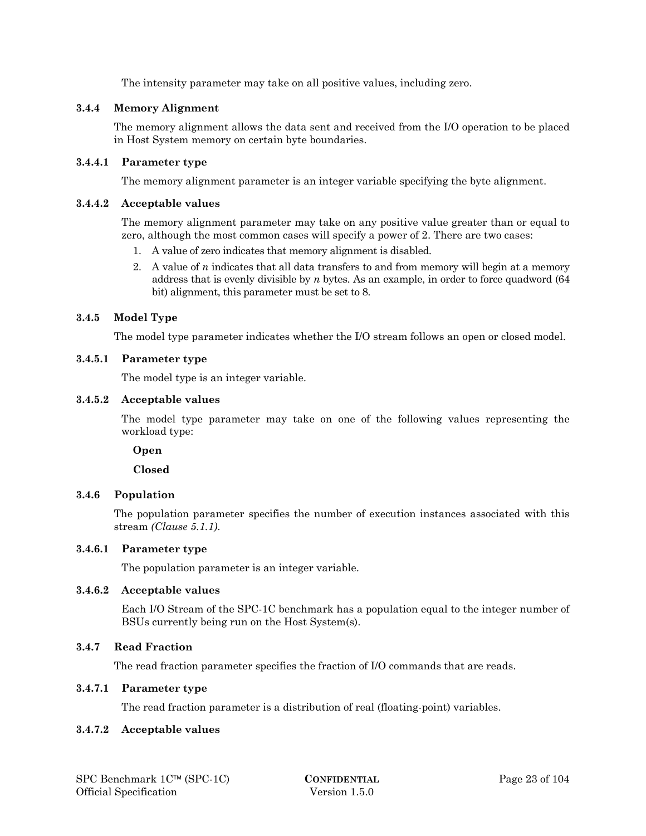The intensity parameter may take on all positive values, including zero.

# **3.4.4 Memory Alignment**

The memory alignment allows the data sent and received from the I/O operation to be placed in Host System memory on certain byte boundaries.

### **3.4.4.1 Parameter type**

The memory alignment parameter is an integer variable specifying the byte alignment.

#### **3.4.4.2 Acceptable values**

The memory alignment parameter may take on any positive value greater than or equal to zero, although the most common cases will specify a power of 2. There are two cases:

- 1. A value of zero indicates that memory alignment is disabled.
- 2. A value of *n* indicates that all data transfers to and from memory will begin at a memory address that is evenly divisible by *n* bytes. As an example, in order to force quadword (64 bit) alignment, this parameter must be set to 8.

# **3.4.5 Model Type**

The model type parameter indicates whether the I/O stream follows an open or closed model.

#### **3.4.5.1 Parameter type**

The model type is an integer variable.

#### **3.4.5.2 Acceptable values**

The model type parameter may take on one of the following values representing the workload type:

 **Open** 

 **Closed** 

# **3.4.6 Population**

The population parameter specifies the number of execution instances associated with this stream *(Clause 5.1.1)*.

# **3.4.6.1 Parameter type**

The population parameter is an integer variable.

#### **3.4.6.2 Acceptable values**

Each I/O Stream of the SPC-1C benchmark has a population equal to the integer number of BSUs currently being run on the Host System(s).

# **3.4.7 Read Fraction**

The read fraction parameter specifies the fraction of I/O commands that are reads.

#### **3.4.7.1 Parameter type**

The read fraction parameter is a distribution of real (floating-point) variables.

#### **3.4.7.2 Acceptable values**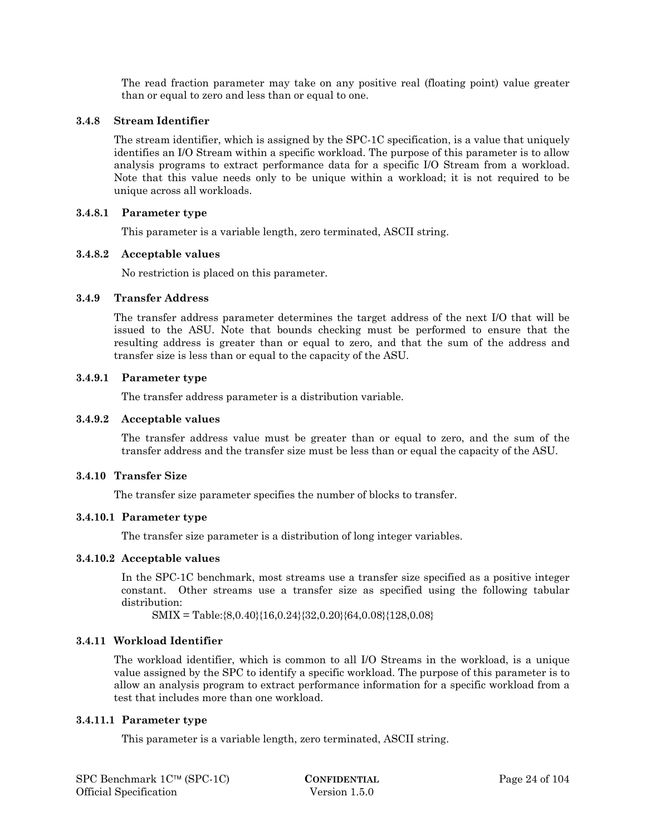The read fraction parameter may take on any positive real (floating point) value greater than or equal to zero and less than or equal to one.

#### **3.4.8 Stream Identifier**

The stream identifier, which is assigned by the SPC-1C specification, is a value that uniquely identifies an I/O Stream within a specific workload. The purpose of this parameter is to allow analysis programs to extract performance data for a specific I/O Stream from a workload. Note that this value needs only to be unique within a workload; it is not required to be unique across all workloads.

### **3.4.8.1 Parameter type**

This parameter is a variable length, zero terminated, ASCII string.

#### **3.4.8.2 Acceptable values**

No restriction is placed on this parameter.

#### **3.4.9 Transfer Address**

The transfer address parameter determines the target address of the next I/O that will be issued to the ASU. Note that bounds checking must be performed to ensure that the resulting address is greater than or equal to zero, and that the sum of the address and transfer size is less than or equal to the capacity of the ASU.

#### **3.4.9.1 Parameter type**

The transfer address parameter is a distribution variable.

#### **3.4.9.2 Acceptable values**

The transfer address value must be greater than or equal to zero, and the sum of the transfer address and the transfer size must be less than or equal the capacity of the ASU.

# **3.4.10 Transfer Size**

The transfer size parameter specifies the number of blocks to transfer.

#### **3.4.10.1 Parameter type**

The transfer size parameter is a distribution of long integer variables.

#### **3.4.10.2 Acceptable values**

In the SPC-1C benchmark, most streams use a transfer size specified as a positive integer constant. Other streams use a transfer size as specified using the following tabular distribution:

SMIX = Table:{8,0.40}{16,0.24}{32,0.20}{64,0.08}{128,0.08}

#### **3.4.11 Workload Identifier**

The workload identifier, which is common to all I/O Streams in the workload, is a unique value assigned by the SPC to identify a specific workload. The purpose of this parameter is to allow an analysis program to extract performance information for a specific workload from a test that includes more than one workload.

#### **3.4.11.1 Parameter type**

This parameter is a variable length, zero terminated, ASCII string.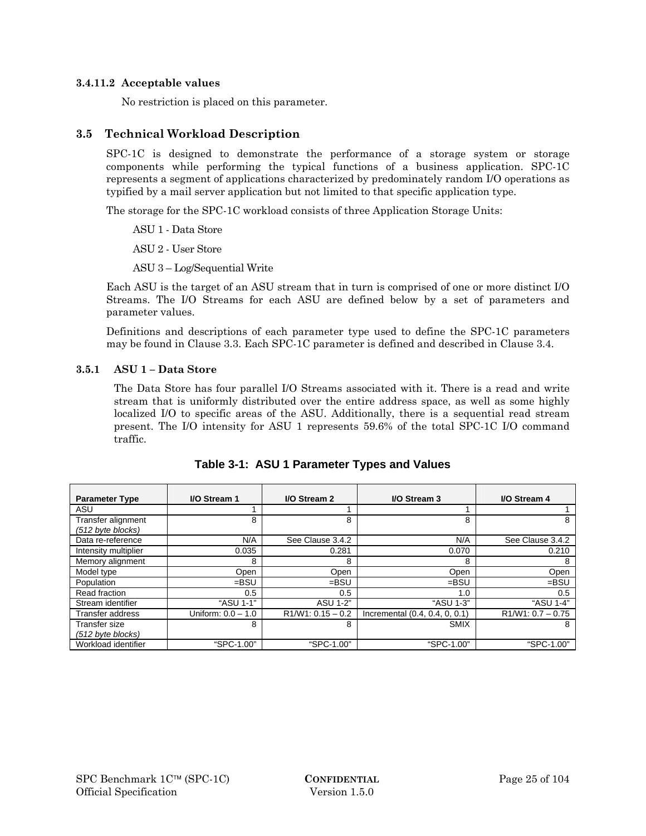#### **3.4.11.2 Acceptable values**

No restriction is placed on this parameter.

# **3.5 Technical Workload Description**

SPC-1C is designed to demonstrate the performance of a storage system or storage components while performing the typical functions of a business application. SPC-1C represents a segment of applications characterized by predominately random I/O operations as typified by a mail server application but not limited to that specific application type.

The storage for the SPC-1C workload consists of three Application Storage Units:

ASU 1 - Data Store

ASU 2 - User Store

ASU 3 – Log/Sequential Write

Each ASU is the target of an ASU stream that in turn is comprised of one or more distinct I/O Streams. The I/O Streams for each ASU are defined below by a set of parameters and parameter values.

Definitions and descriptions of each parameter type used to define the SPC-1C parameters may be found in Clause 3.3. Each SPC-1C parameter is defined and described in Clause 3.4.

# **3.5.1 ASU 1 – Data Store**

The Data Store has four parallel I/O Streams associated with it. There is a read and write stream that is uniformly distributed over the entire address space, as well as some highly localized I/O to specific areas of the ASU. Additionally, there is a sequential read stream present. The I/O intensity for ASU 1 represents 59.6% of the total SPC-1C I/O command traffic.

| <b>Parameter Type</b>                   | I/O Stream 1         | I/O Stream 2        | I/O Stream 3                   | I/O Stream 4        |
|-----------------------------------------|----------------------|---------------------|--------------------------------|---------------------|
| ASU                                     |                      |                     |                                |                     |
| Transfer alignment<br>(512 byte blocks) | 8                    | 8                   | 8                              | 8                   |
| Data re-reference                       | N/A                  | See Clause 3.4.2    | N/A                            | See Clause 3.4.2    |
| Intensity multiplier                    | 0.035                | 0.281               | 0.070                          | 0.210               |
| Memory alignment                        | 8                    | 8                   | 8                              | 8                   |
| Model type                              | Open                 | Open                | Open                           | Open                |
| Population                              | $=$ BSU              | $=$ BSU             | $=$ BSU                        | $=$ BSU             |
| Read fraction                           | 0.5                  | 0.5                 | 1.0                            | 0.5                 |
| Stream identifier                       | "ASU 1-1"            | <b>ASU 1-2"</b>     | "ASU 1-3"                      | "ASU 1-4"           |
| Transfer address                        | Uniform: $0.0 - 1.0$ | $R1/W1: 0.15 - 0.2$ | Incremental (0.4, 0.4, 0, 0.1) | $R1/W1: 0.7 - 0.75$ |
| Transfer size<br>(512 byte blocks)      | 8                    | 8                   | <b>SMIX</b>                    | 8                   |
| Workload identifier                     | "SPC-1.00"           | "SPC-1.00"          | "SPC-1.00"                     | "SPC-1.00"          |

|  |  | Table 3-1: ASU 1 Parameter Types and Values |  |  |  |
|--|--|---------------------------------------------|--|--|--|
|--|--|---------------------------------------------|--|--|--|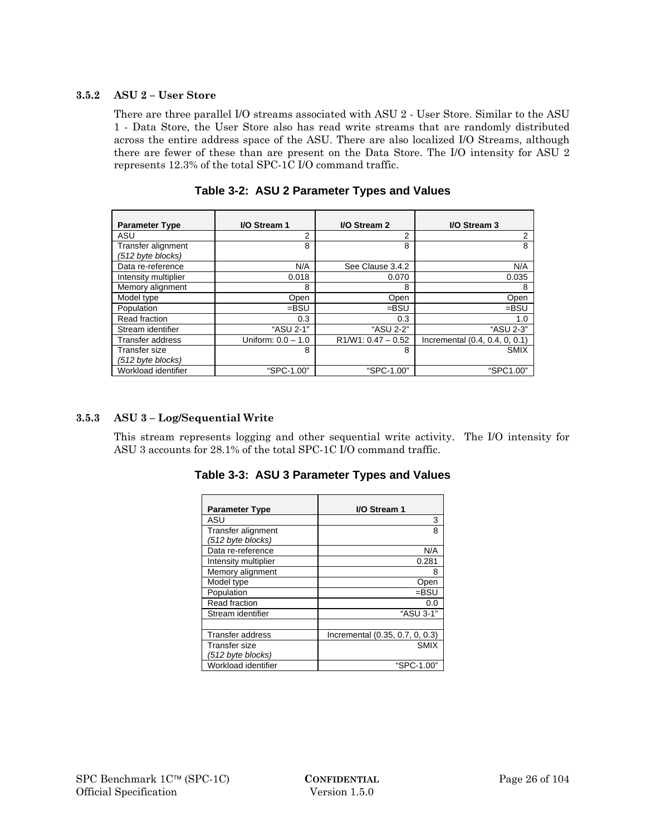### **3.5.2 ASU 2 – User Store**

There are three parallel I/O streams associated with ASU 2 - User Store. Similar to the ASU 1 - Data Store, the User Store also has read write streams that are randomly distributed across the entire address space of the ASU. There are also localized I/O Streams, although there are fewer of these than are present on the Data Store. The I/O intensity for ASU 2 represents 12.3% of the total SPC-1C I/O command traffic.

| <b>Parameter Type</b>   | I/O Stream 1         | I/O Stream 2         | I/O Stream 3                   |
|-------------------------|----------------------|----------------------|--------------------------------|
| ASU                     | 2                    | 2                    | 2                              |
| Transfer alignment      | 8                    | 8                    | 8                              |
| (512 byte blocks)       |                      |                      |                                |
| Data re-reference       | N/A                  | See Clause 3.4.2     | N/A                            |
| Intensity multiplier    | 0.018                | 0.070                | 0.035                          |
| Memory alignment        | 8                    | 8                    | 8                              |
| Model type              | Open                 | Open                 | Open                           |
| Population              | $=$ BSU              | $=$ BSU              | $=$ BSU                        |
| Read fraction           | 0.3                  | 0.3                  | 1.0                            |
| Stream identifier       | "ASU 2-1"            | "ASU 2-2"            | "ASU 2-3"                      |
| <b>Transfer address</b> | Uniform: $0.0 - 1.0$ | $R1/W1: 0.47 - 0.52$ | Incremental (0.4, 0.4, 0, 0.1) |
| Transfer size           | 8                    | 8                    | <b>SMIX</b>                    |
| (512 byte blocks)       |                      |                      |                                |
| Workload identifier     | "SPC-1.00"           | "SPC-1.00"           | "SPC1.00"                      |

**Table 3-2: ASU 2 Parameter Types and Values** 

### **3.5.3 ASU 3 – Log/Sequential Write**

This stream represents logging and other sequential write activity. The I/O intensity for ASU 3 accounts for 28.1% of the total SPC-1C I/O command traffic.

| <b>Parameter Type</b>                   | I/O Stream 1                    |
|-----------------------------------------|---------------------------------|
| ASU                                     | 3                               |
| Transfer alignment<br>(512 byte blocks) | 8                               |
| Data re-reference                       | N/A                             |
| Intensity multiplier                    | 0.281                           |
| Memory alignment                        | 8                               |
| Model type                              | Open                            |
| Population                              | $=$ BSU                         |
| Read fraction                           | 0.0                             |
| Stream identifier                       | "ASU 3-1"                       |
|                                         |                                 |
| Transfer address                        | Incremental (0.35, 0.7, 0, 0.3) |
| Transfer size<br>(512 byte blocks)      | <b>SMIX</b>                     |
| Workload identifier                     | "SPC-1.00"                      |

**Table 3-3: ASU 3 Parameter Types and Values**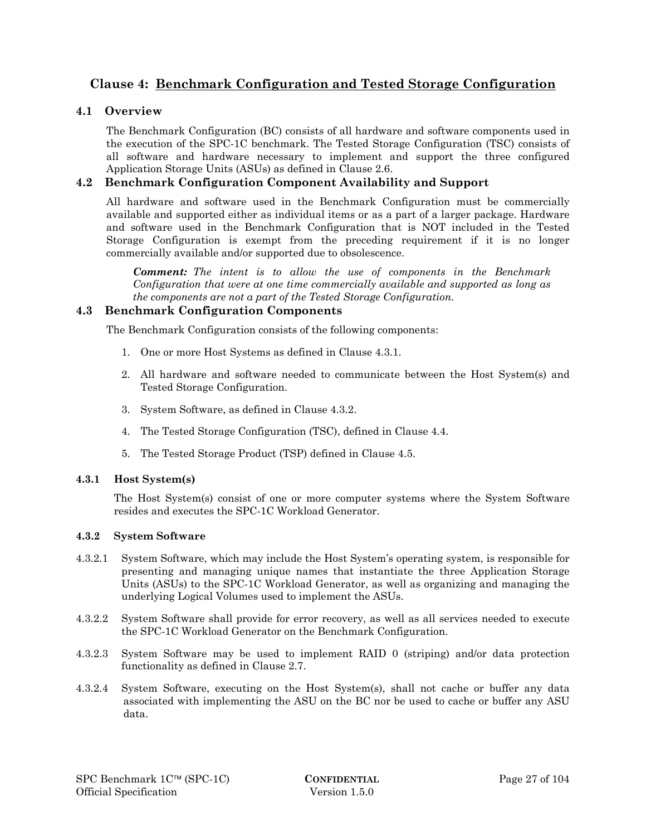# **Clause 4: Benchmark Configuration and Tested Storage Configuration**

# **4.1 Overview**

The Benchmark Configuration (BC) consists of all hardware and software components used in the execution of the SPC-1C benchmark. The Tested Storage Configuration (TSC) consists of all software and hardware necessary to implement and support the three configured Application Storage Units (ASUs) as defined in Clause 2.6.

# **4.2 Benchmark Configuration Component Availability and Support**

All hardware and software used in the Benchmark Configuration must be commercially available and supported either as individual items or as a part of a larger package. Hardware and software used in the Benchmark Configuration that is NOT included in the Tested Storage Configuration is exempt from the preceding requirement if it is no longer commercially available and/or supported due to obsolescence.

*Comment: The intent is to allow the use of components in the Benchmark Configuration that were at one time commercially available and supported as long as the components are not a part of the Tested Storage Configuration.* 

# **4.3 Benchmark Configuration Components**

The Benchmark Configuration consists of the following components:

- 1. One or more Host Systems as defined in Clause 4.3.1.
- 2. All hardware and software needed to communicate between the Host System(s) and Tested Storage Configuration.
- 3. System Software, as defined in Clause 4.3.2.
- 4. The Tested Storage Configuration (TSC), defined in Clause 4.4.
- 5. The Tested Storage Product (TSP) defined in Clause 4.5.

#### **4.3.1 Host System(s)**

The Host System(s) consist of one or more computer systems where the System Software resides and executes the SPC-1C Workload Generator.

#### **4.3.2 System Software**

- 4.3.2.1 System Software, which may include the Host System's operating system, is responsible for presenting and managing unique names that instantiate the three Application Storage Units (ASUs) to the SPC-1C Workload Generator, as well as organizing and managing the underlying Logical Volumes used to implement the ASUs.
- 4.3.2.2 System Software shall provide for error recovery, as well as all services needed to execute the SPC-1C Workload Generator on the Benchmark Configuration.
- 4.3.2.3 System Software may be used to implement RAID 0 (striping) and/or data protection functionality as defined in Clause 2.7.
- 4.3.2.4 System Software, executing on the Host System(s), shall not cache or buffer any data associated with implementing the ASU on the BC nor be used to cache or buffer any ASU data.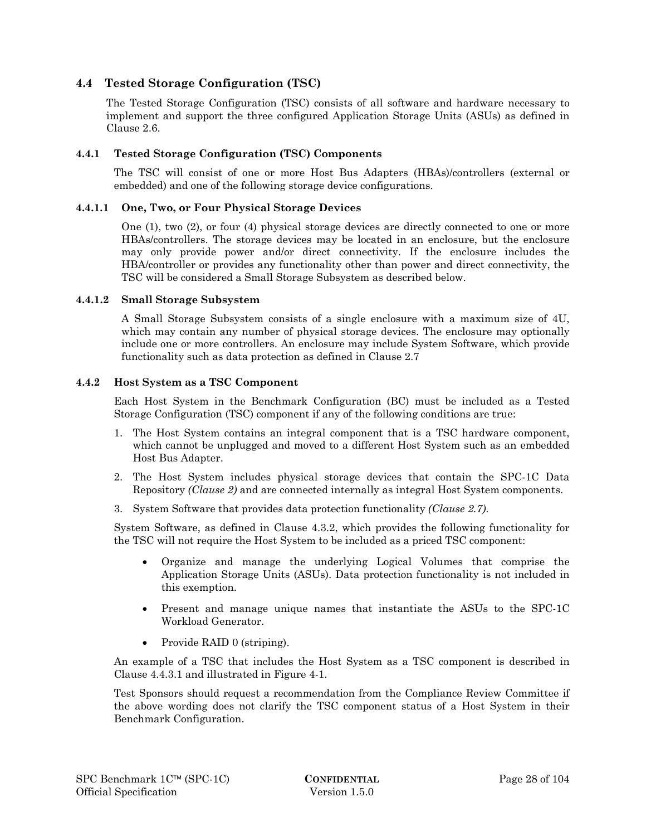# **4.4 Tested Storage Configuration (TSC)**

The Tested Storage Configuration (TSC) consists of all software and hardware necessary to implement and support the three configured Application Storage Units (ASUs) as defined in Clause 2.6.

#### **4.4.1 Tested Storage Configuration (TSC) Components**

The TSC will consist of one or more Host Bus Adapters (HBAs)/controllers (external or embedded) and one of the following storage device configurations.

#### **4.4.1.1 One, Two, or Four Physical Storage Devices**

One (1), two (2), or four (4) physical storage devices are directly connected to one or more HBAs/controllers. The storage devices may be located in an enclosure, but the enclosure may only provide power and/or direct connectivity. If the enclosure includes the HBA/controller or provides any functionality other than power and direct connectivity, the TSC will be considered a Small Storage Subsystem as described below.

#### **4.4.1.2 Small Storage Subsystem**

A Small Storage Subsystem consists of a single enclosure with a maximum size of 4U, which may contain any number of physical storage devices. The enclosure may optionally include one or more controllers. An enclosure may include System Software, which provide functionality such as data protection as defined in Clause 2.7

#### **4.4.2 Host System as a TSC Component**

Each Host System in the Benchmark Configuration (BC) must be included as a Tested Storage Configuration (TSC) component if any of the following conditions are true:

- 1. The Host System contains an integral component that is a TSC hardware component, which cannot be unplugged and moved to a different Host System such as an embedded Host Bus Adapter.
- 2. The Host System includes physical storage devices that contain the SPC-1C Data Repository *(Clause 2)* and are connected internally as integral Host System components.
- 3. System Software that provides data protection functionality *(Clause 2.7)*.

System Software, as defined in Clause 4.3.2, which provides the following functionality for the TSC will not require the Host System to be included as a priced TSC component:

- Organize and manage the underlying Logical Volumes that comprise the Application Storage Units (ASUs). Data protection functionality is not included in this exemption.
- Present and manage unique names that instantiate the ASUs to the SPC-1C Workload Generator.
- Provide RAID 0 (striping).

An example of a TSC that includes the Host System as a TSC component is described in Clause 4.4.3.1 and illustrated in Figure 4-1.

Test Sponsors should request a recommendation from the Compliance Review Committee if the above wording does not clarify the TSC component status of a Host System in their Benchmark Configuration.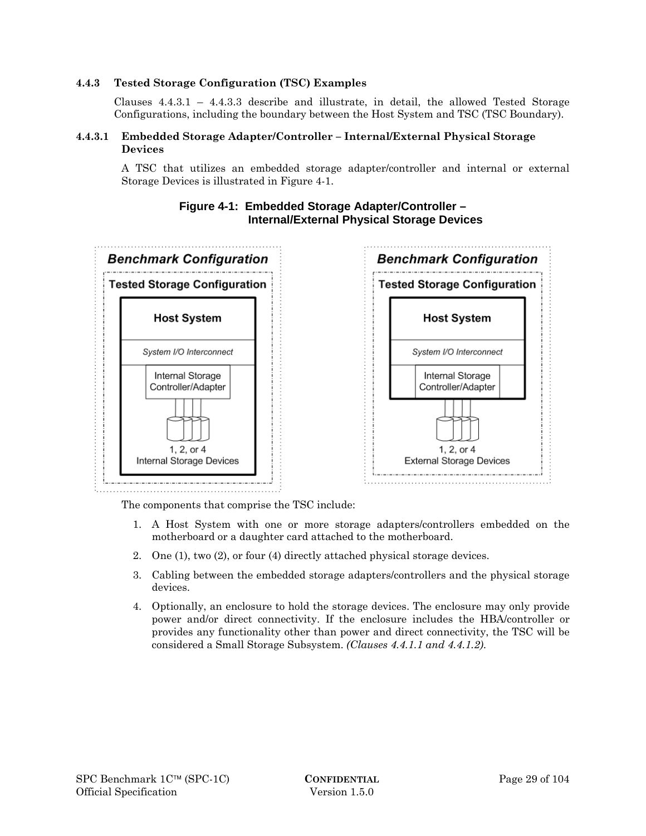### **4.4.3 Tested Storage Configuration (TSC) Examples**

Clauses 4.4.3.1 – 4.4.3.3 describe and illustrate, in detail, the allowed Tested Storage Configurations, including the boundary between the Host System and TSC (TSC Boundary).

# **4.4.3.1 Embedded Storage Adapter/Controller – Internal/External Physical Storage Devices**

A TSC that utilizes an embedded storage adapter/controller and internal or external Storage Devices is illustrated in Figure 4-1.



# **Figure 4-1: Embedded Storage Adapter/Controller – Internal/External Physical Storage Devices**

The components that comprise the TSC include:

- 1. A Host System with one or more storage adapters/controllers embedded on the motherboard or a daughter card attached to the motherboard.
- 2. One (1), two (2), or four (4) directly attached physical storage devices.
- 3. Cabling between the embedded storage adapters/controllers and the physical storage devices.
- 4. Optionally, an enclosure to hold the storage devices. The enclosure may only provide power and/or direct connectivity. If the enclosure includes the HBA/controller or provides any functionality other than power and direct connectivity, the TSC will be considered a Small Storage Subsystem. *(Clauses 4.4.1.1 and 4.4.1.2)*.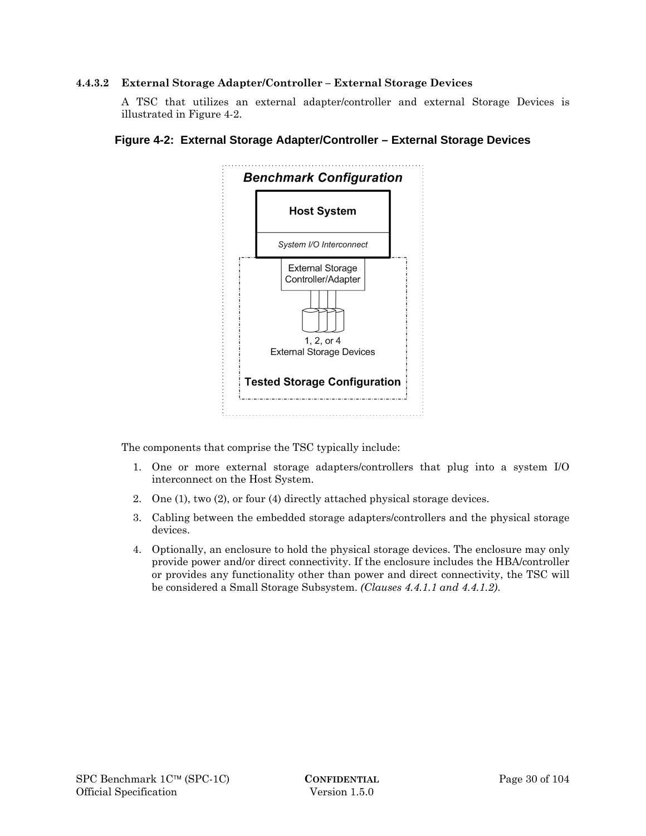### **4.4.3.2 External Storage Adapter/Controller – External Storage Devices**

A TSC that utilizes an external adapter/controller and external Storage Devices is illustrated in Figure 4-2.



# **Figure 4-2: External Storage Adapter/Controller – External Storage Devices**

The components that comprise the TSC typically include:

- 1. One or more external storage adapters/controllers that plug into a system I/O interconnect on the Host System.
- 2. One (1), two (2), or four (4) directly attached physical storage devices.
- 3. Cabling between the embedded storage adapters/controllers and the physical storage devices.
- 4. Optionally, an enclosure to hold the physical storage devices. The enclosure may only provide power and/or direct connectivity. If the enclosure includes the HBA/controller or provides any functionality other than power and direct connectivity, the TSC will be considered a Small Storage Subsystem. *(Clauses 4.4.1.1 and 4.4.1.2)*.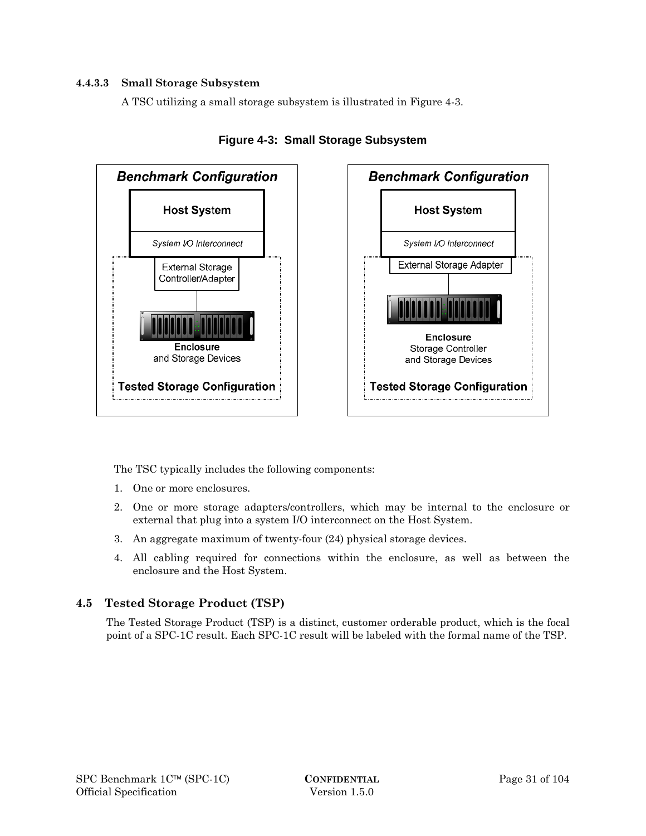# **4.4.3.3 Small Storage Subsystem**

A TSC utilizing a small storage subsystem is illustrated in Figure 4-3.



**Figure 4-3: Small Storage Subsystem** 

The TSC typically includes the following components:

- 1. One or more enclosures.
- 2. One or more storage adapters/controllers, which may be internal to the enclosure or external that plug into a system I/O interconnect on the Host System.
- 3. An aggregate maximum of twenty-four (24) physical storage devices.
- 4. All cabling required for connections within the enclosure, as well as between the enclosure and the Host System.

# **4.5 Tested Storage Product (TSP)**

The Tested Storage Product (TSP) is a distinct, customer orderable product, which is the focal point of a SPC-1C result. Each SPC-1C result will be labeled with the formal name of the TSP.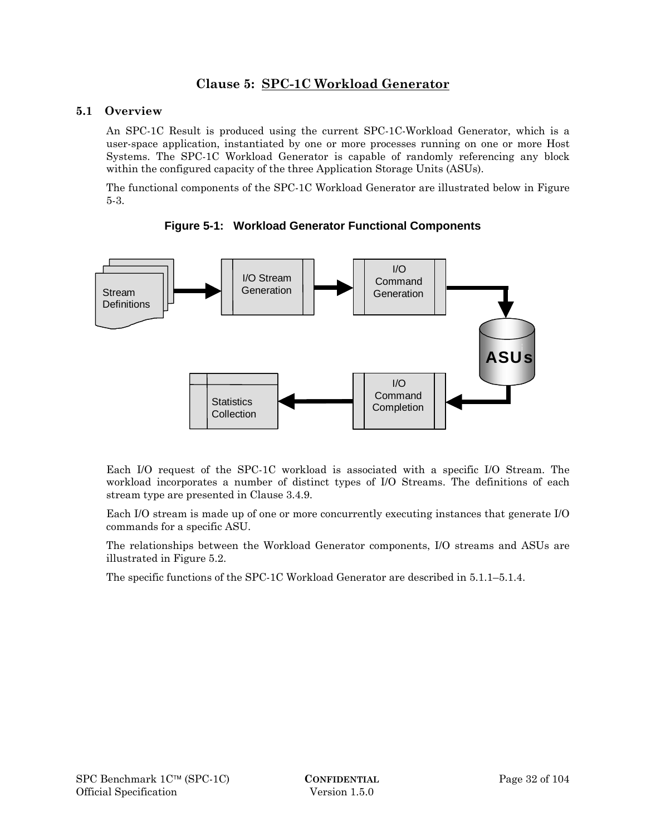# **Clause 5: SPC-1C Workload Generator**

# **5.1 Overview**

An SPC-1C Result is produced using the current SPC-1C-Workload Generator, which is a user-space application, instantiated by one or more processes running on one or more Host Systems. The SPC-1C Workload Generator is capable of randomly referencing any block within the configured capacity of the three Application Storage Units (ASUs).

The functional components of the SPC-1C Workload Generator are illustrated below in Figure 5-3.



**Figure 5-1: Workload Generator Functional Components** 

Each I/O request of the SPC-1C workload is associated with a specific I/O Stream. The workload incorporates a number of distinct types of I/O Streams. The definitions of each stream type are presented in Clause 3.4.9.

Each I/O stream is made up of one or more concurrently executing instances that generate I/O commands for a specific ASU.

The relationships between the Workload Generator components, I/O streams and ASUs are illustrated in Figure 5.2.

The specific functions of the SPC-1C Workload Generator are described in 5.1.1–5.1.4.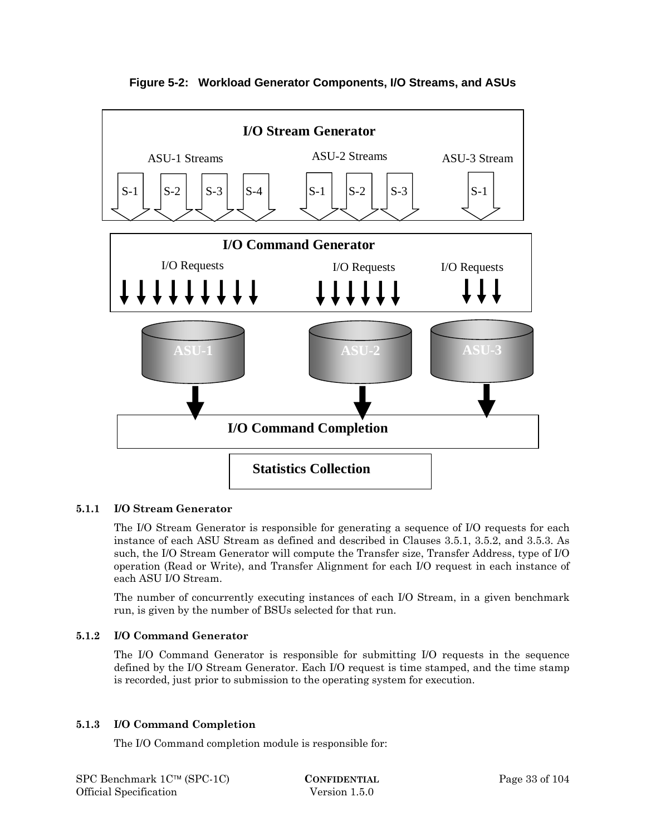

**Figure 5-2: Workload Generator Components, I/O Streams, and ASUs** 

# **5.1.1 I/O Stream Generator**

The I/O Stream Generator is responsible for generating a sequence of I/O requests for each instance of each ASU Stream as defined and described in Clauses 3.5.1, 3.5.2, and 3.5.3. As such, the I/O Stream Generator will compute the Transfer size, Transfer Address, type of I/O operation (Read or Write), and Transfer Alignment for each I/O request in each instance of each ASU I/O Stream.

The number of concurrently executing instances of each I/O Stream, in a given benchmark run, is given by the number of BSUs selected for that run.

#### **5.1.2 I/O Command Generator**

The I/O Command Generator is responsible for submitting I/O requests in the sequence defined by the I/O Stream Generator. Each I/O request is time stamped, and the time stamp is recorded, just prior to submission to the operating system for execution.

#### **5.1.3 I/O Command Completion**

The I/O Command completion module is responsible for: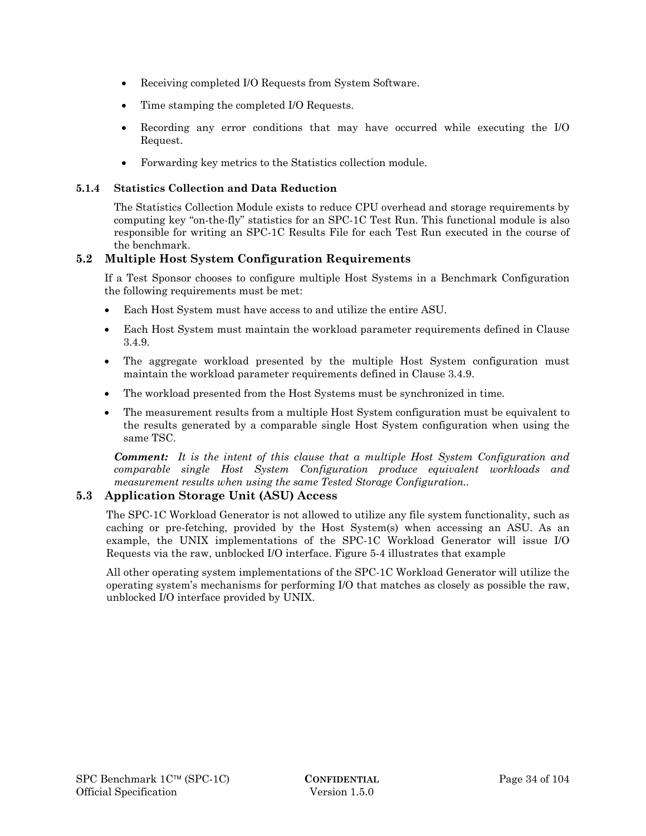- Receiving completed I/O Requests from System Software.
- Time stamping the completed I/O Requests.
- Recording any error conditions that may have occurred while executing the I/O Request.
- Forwarding key metrics to the Statistics collection module.

# **5.1.4 Statistics Collection and Data Reduction**

The Statistics Collection Module exists to reduce CPU overhead and storage requirements by computing key "on-the-fly" statistics for an SPC-1C Test Run. This functional module is also responsible for writing an SPC-1C Results File for each Test Run executed in the course of the benchmark.

# **5.2 Multiple Host System Configuration Requirements**

If a Test Sponsor chooses to configure multiple Host Systems in a Benchmark Configuration the following requirements must be met:

- Each Host System must have access to and utilize the entire ASU.
- Each Host System must maintain the workload parameter requirements defined in Clause 3.4.9.
- The aggregate workload presented by the multiple Host System configuration must maintain the workload parameter requirements defined in Clause 3.4.9.
- The workload presented from the Host Systems must be synchronized in time.
- The measurement results from a multiple Host System configuration must be equivalent to the results generated by a comparable single Host System configuration when using the same TSC.

*Comment: It is the intent of this clause that a multiple Host System Configuration and comparable single Host System Configuration produce equivalent workloads and measurement results when using the same Tested Storage Configuration..* 

# **5.3 Application Storage Unit (ASU) Access**

The SPC-1C Workload Generator is not allowed to utilize any file system functionality, such as caching or pre-fetching, provided by the Host System(s) when accessing an ASU. As an example, the UNIX implementations of the SPC-1C Workload Generator will issue I/O Requests via the raw, unblocked I/O interface. Figure 5-4 illustrates that example

All other operating system implementations of the SPC-1C Workload Generator will utilize the operating system's mechanisms for performing I/O that matches as closely as possible the raw, unblocked I/O interface provided by UNIX.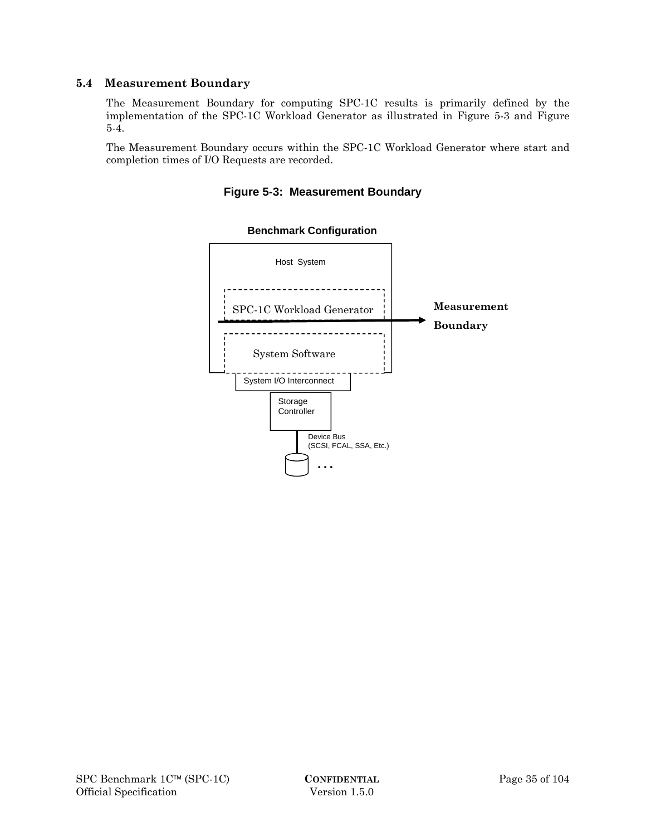# **5.4 Measurement Boundary**

The Measurement Boundary for computing SPC-1C results is primarily defined by the implementation of the SPC-1C Workload Generator as illustrated in Figure 5-3 and Figure 5-4.

The Measurement Boundary occurs within the SPC-1C Workload Generator where start and completion times of I/O Requests are recorded.





#### **Benchmark Configuration**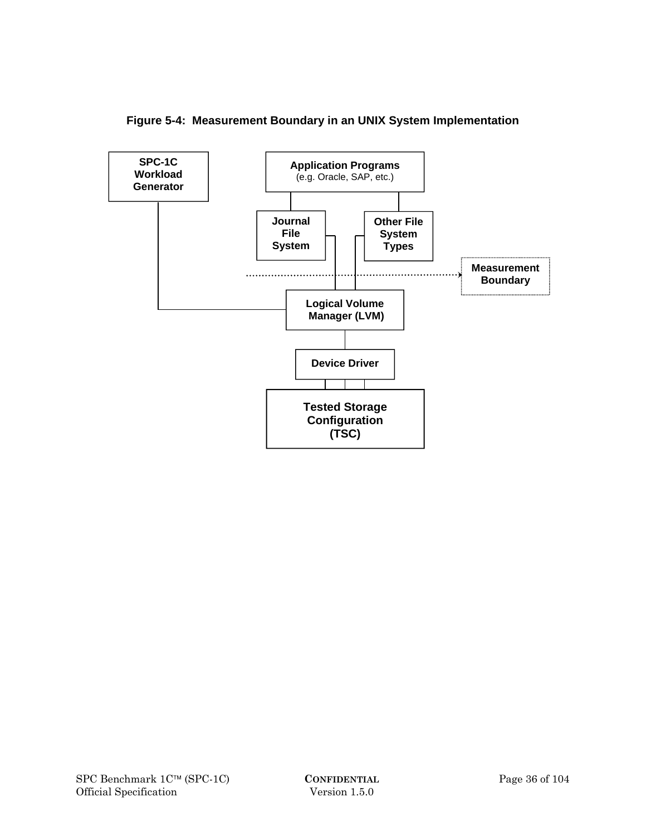

**Figure 5-4: Measurement Boundary in an UNIX System Implementation**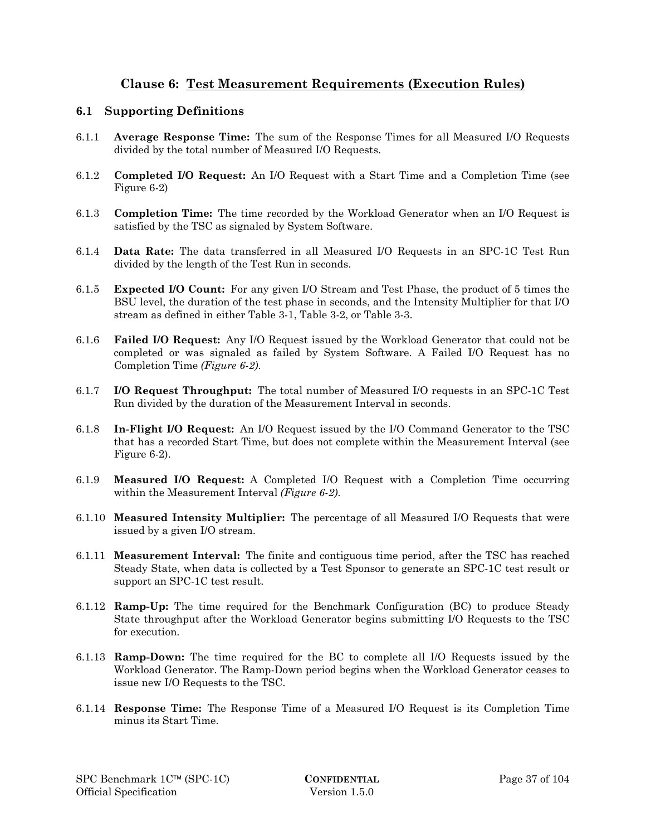# **Clause 6: Test Measurement Requirements (Execution Rules)**

## **6.1 Supporting Definitions**

- 6.1.1 **Average Response Time:** The sum of the Response Times for all Measured I/O Requests divided by the total number of Measured I/O Requests.
- 6.1.2 **Completed I/O Request:** An I/O Request with a Start Time and a Completion Time (see Figure 6-2)
- 6.1.3 **Completion Time:** The time recorded by the Workload Generator when an I/O Request is satisfied by the TSC as signaled by System Software.
- 6.1.4 **Data Rate:** The data transferred in all Measured I/O Requests in an SPC-1C Test Run divided by the length of the Test Run in seconds.
- 6.1.5 **Expected I/O Count:** For any given I/O Stream and Test Phase, the product of 5 times the BSU level, the duration of the test phase in seconds, and the Intensity Multiplier for that I/O stream as defined in either Table 3-1, Table 3-2, or Table 3-3.
- 6.1.6 **Failed I/O Request:** Any I/O Request issued by the Workload Generator that could not be completed or was signaled as failed by System Software. A Failed I/O Request has no Completion Time *(Figure 6-2)*.
- 6.1.7 **I/O Request Throughput:** The total number of Measured I/O requests in an SPC-1C Test Run divided by the duration of the Measurement Interval in seconds.
- 6.1.8 **In-Flight I/O Request:** An I/O Request issued by the I/O Command Generator to the TSC that has a recorded Start Time, but does not complete within the Measurement Interval (see Figure 6-2).
- 6.1.9 **Measured I/O Request:** A Completed I/O Request with a Completion Time occurring within the Measurement Interval *(Figure 6-2)*.
- 6.1.10 **Measured Intensity Multiplier:** The percentage of all Measured I/O Requests that were issued by a given I/O stream.
- 6.1.11 **Measurement Interval:** The finite and contiguous time period, after the TSC has reached Steady State, when data is collected by a Test Sponsor to generate an SPC-1C test result or support an SPC-1C test result.
- 6.1.12 **Ramp-Up:** The time required for the Benchmark Configuration (BC) to produce Steady State throughput after the Workload Generator begins submitting I/O Requests to the TSC for execution.
- 6.1.13 **Ramp-Down:** The time required for the BC to complete all I/O Requests issued by the Workload Generator. The Ramp-Down period begins when the Workload Generator ceases to issue new I/O Requests to the TSC.
- 6.1.14 **Response Time:** The Response Time of a Measured I/O Request is its Completion Time minus its Start Time.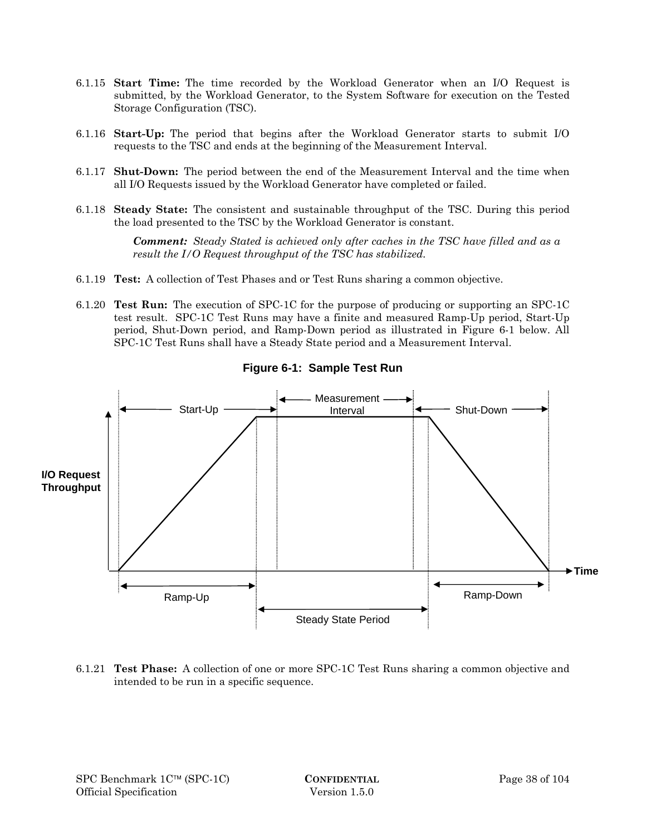- 6.1.15 **Start Time:** The time recorded by the Workload Generator when an I/O Request is submitted, by the Workload Generator, to the System Software for execution on the Tested Storage Configuration (TSC).
- 6.1.16 **Start-Up:** The period that begins after the Workload Generator starts to submit I/O requests to the TSC and ends at the beginning of the Measurement Interval.
- 6.1.17 **Shut-Down:** The period between the end of the Measurement Interval and the time when all I/O Requests issued by the Workload Generator have completed or failed.
- 6.1.18 **Steady State:** The consistent and sustainable throughput of the TSC. During this period the load presented to the TSC by the Workload Generator is constant.

*Comment: Steady Stated is achieved only after caches in the TSC have filled and as a result the I/O Request throughput of the TSC has stabilized.* 

- 6.1.19 **Test:** A collection of Test Phases and or Test Runs sharing a common objective.
- 6.1.20 **Test Run:** The execution of SPC-1C for the purpose of producing or supporting an SPC-1C test result. SPC-1C Test Runs may have a finite and measured Ramp-Up period, Start-Up period, Shut-Down period, and Ramp-Down period as illustrated in Figure 6-1 below. All SPC-1C Test Runs shall have a Steady State period and a Measurement Interval.



**Figure 6-1: Sample Test Run** 

6.1.21 **Test Phase:** A collection of one or more SPC-1C Test Runs sharing a common objective and intended to be run in a specific sequence.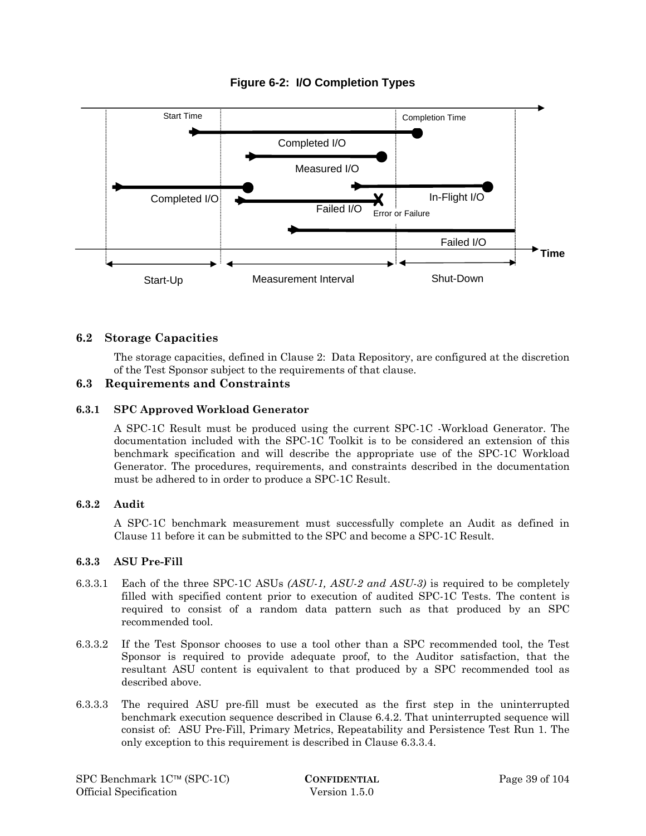

## **Figure 6-2: I/O Completion Types**

## **6.2 Storage Capacities**

The storage capacities, defined in Clause 2: Data Repository, are configured at the discretion of the Test Sponsor subject to the requirements of that clause.

## **6.3 Requirements and Constraints**

#### **6.3.1 SPC Approved Workload Generator**

A SPC-1C Result must be produced using the current SPC-1C -Workload Generator. The documentation included with the SPC-1C Toolkit is to be considered an extension of this benchmark specification and will describe the appropriate use of the SPC-1C Workload Generator. The procedures, requirements, and constraints described in the documentation must be adhered to in order to produce a SPC-1C Result.

#### **6.3.2 Audit**

A SPC-1C benchmark measurement must successfully complete an Audit as defined in Clause 11 before it can be submitted to the SPC and become a SPC-1C Result.

#### **6.3.3 ASU Pre-Fill**

- 6.3.3.1 Each of the three SPC-1C ASUs *(ASU-1, ASU-2 and ASU-3)* is required to be completely filled with specified content prior to execution of audited SPC-1C Tests. The content is required to consist of a random data pattern such as that produced by an SPC recommended tool.
- 6.3.3.2 If the Test Sponsor chooses to use a tool other than a SPC recommended tool, the Test Sponsor is required to provide adequate proof, to the Auditor satisfaction, that the resultant ASU content is equivalent to that produced by a SPC recommended tool as described above.
- 6.3.3.3 The required ASU pre-fill must be executed as the first step in the uninterrupted benchmark execution sequence described in Clause 6.4.2. That uninterrupted sequence will consist of: ASU Pre-Fill, Primary Metrics, Repeatability and Persistence Test Run 1. The only exception to this requirement is described in Clause 6.3.3.4.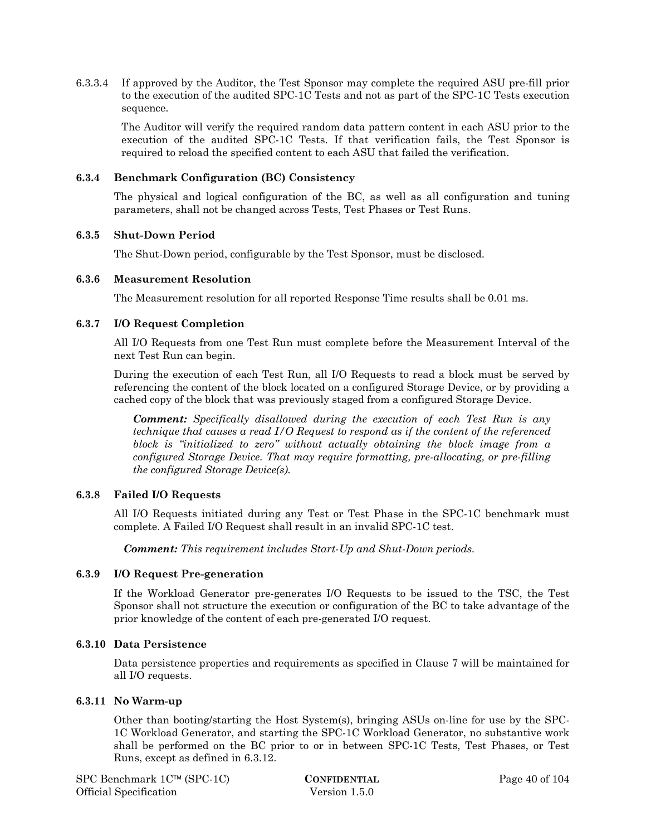6.3.3.4 If approved by the Auditor, the Test Sponsor may complete the required ASU pre-fill prior to the execution of the audited SPC-1C Tests and not as part of the SPC-1C Tests execution sequence.

The Auditor will verify the required random data pattern content in each ASU prior to the execution of the audited SPC-1C Tests. If that verification fails, the Test Sponsor is required to reload the specified content to each ASU that failed the verification.

#### **6.3.4 Benchmark Configuration (BC) Consistency**

The physical and logical configuration of the BC, as well as all configuration and tuning parameters, shall not be changed across Tests, Test Phases or Test Runs.

#### **6.3.5 Shut-Down Period**

The Shut-Down period, configurable by the Test Sponsor, must be disclosed.

#### **6.3.6 Measurement Resolution**

The Measurement resolution for all reported Response Time results shall be 0.01 ms.

#### **6.3.7 I/O Request Completion**

All I/O Requests from one Test Run must complete before the Measurement Interval of the next Test Run can begin.

During the execution of each Test Run, all I/O Requests to read a block must be served by referencing the content of the block located on a configured Storage Device, or by providing a cached copy of the block that was previously staged from a configured Storage Device.

*Comment: Specifically disallowed during the execution of each Test Run is any technique that causes a read I/O Request to respond as if the content of the referenced block is "initialized to zero" without actually obtaining the block image from a configured Storage Device. That may require formatting, pre-allocating, or pre-filling the configured Storage Device(s).* 

#### **6.3.8 Failed I/O Requests**

All I/O Requests initiated during any Test or Test Phase in the SPC-1C benchmark must complete. A Failed I/O Request shall result in an invalid SPC-1C test.

*Comment: This requirement includes Start-Up and Shut-Down periods.* 

#### **6.3.9 I/O Request Pre-generation**

If the Workload Generator pre-generates I/O Requests to be issued to the TSC, the Test Sponsor shall not structure the execution or configuration of the BC to take advantage of the prior knowledge of the content of each pre-generated I/O request.

#### **6.3.10 Data Persistence**

Data persistence properties and requirements as specified in Clause 7 will be maintained for all I/O requests.

#### **6.3.11 No Warm-up**

Other than booting/starting the Host System(s), bringing ASUs on-line for use by the SPC-1C Workload Generator, and starting the SPC-1C Workload Generator, no substantive work shall be performed on the BC prior to or in between SPC-1C Tests, Test Phases, or Test Runs, except as defined in 6.3.12.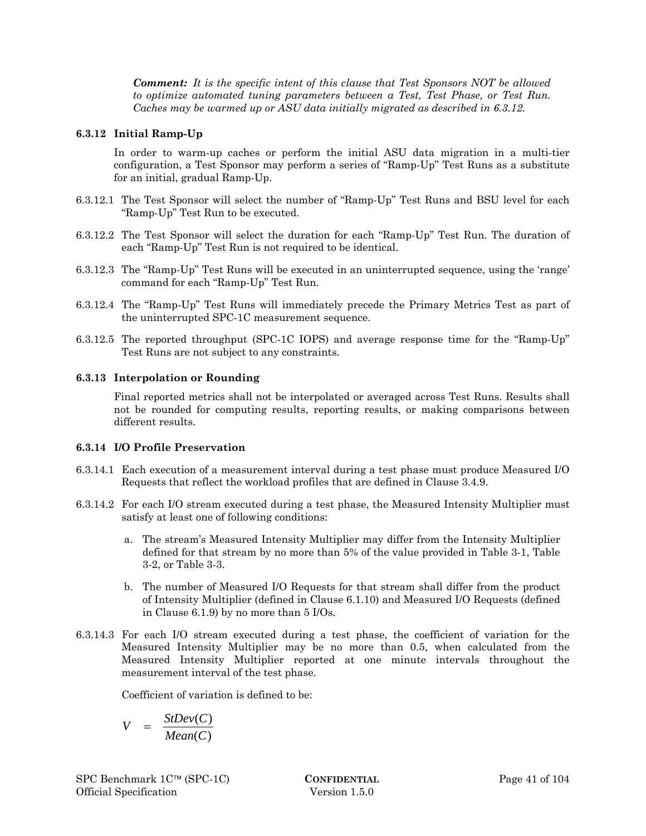*Comment: It is the specific intent of this clause that Test Sponsors NOT be allowed to optimize automated tuning parameters between a Test, Test Phase, or Test Run. Caches may be warmed up or ASU data initially migrated as described in 6.3.12.* 

#### **6.3.12 Initial Ramp-Up**

In order to warm-up caches or perform the initial ASU data migration in a multi-tier configuration, a Test Sponsor may perform a series of "Ramp-Up" Test Runs as a substitute for an initial, gradual Ramp-Up.

- 6.3.12.1 The Test Sponsor will select the number of "Ramp-Up" Test Runs and BSU level for each "Ramp-Up" Test Run to be executed.
- 6.3.12.2 The Test Sponsor will select the duration for each "Ramp-Up" Test Run. The duration of each "Ramp-Up" Test Run is not required to be identical.
- 6.3.12.3 The "Ramp-Up" Test Runs will be executed in an uninterrupted sequence, using the 'range' command for each "Ramp-Up" Test Run.
- 6.3.12.4 The "Ramp-Up" Test Runs will immediately precede the Primary Metrics Test as part of the uninterrupted SPC-1C measurement sequence.
- 6.3.12.5 The reported throughput (SPC-1C IOPS) and average response time for the "Ramp-Up" Test Runs are not subject to any constraints.

#### **6.3.13 Interpolation or Rounding**

Final reported metrics shall not be interpolated or averaged across Test Runs. Results shall not be rounded for computing results, reporting results, or making comparisons between different results.

#### **6.3.14 I/O Profile Preservation**

- 6.3.14.1 Each execution of a measurement interval during a test phase must produce Measured I/O Requests that reflect the workload profiles that are defined in Clause 3.4.9.
- 6.3.14.2 For each I/O stream executed during a test phase, the Measured Intensity Multiplier must satisfy at least one of following conditions:
	- a. The stream's Measured Intensity Multiplier may differ from the Intensity Multiplier defined for that stream by no more than 5% of the value provided in Table 3-1, Table 3-2, or Table 3-3.
	- b. The number of Measured I/O Requests for that stream shall differ from the product of Intensity Multiplier (defined in Clause 6.1.10) and Measured I/O Requests (defined in Clause 6.1.9) by no more than 5 I/Os.
- 6.3.14.3 For each I/O stream executed during a test phase, the coefficient of variation for the Measured Intensity Multiplier may be no more than 0.5, when calculated from the Measured Intensity Multiplier reported at one minute intervals throughout the measurement interval of the test phase.

Coefficient of variation is defined to be:

$$
V = \frac{StDev(C)}{Mean(C)}
$$

SPC Benchmark 1C™ (SPC-1C) **CONFIDENTIAL** Page 41 of 104 Official Specification Version 1.5.0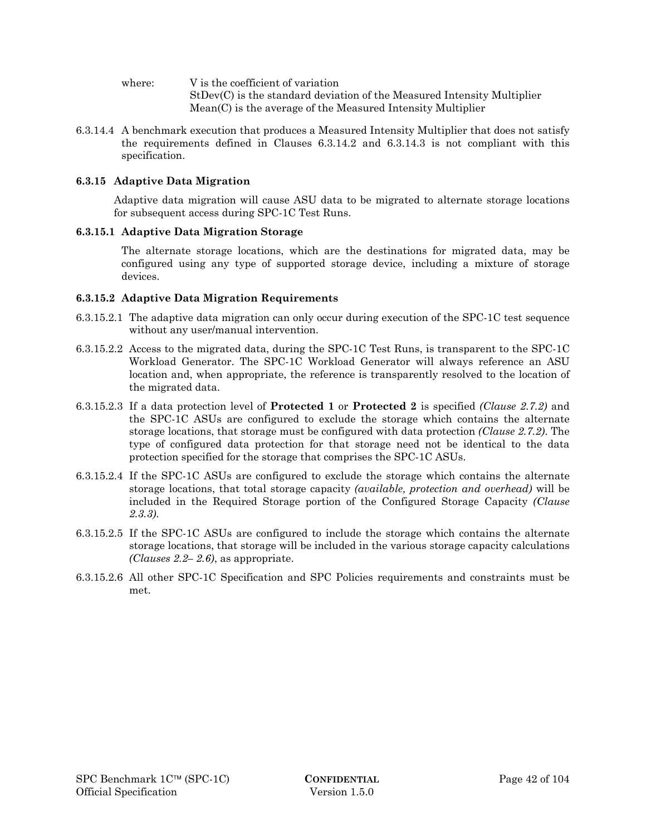where:  $V$  is the coefficient of variation StDev(C) is the standard deviation of the Measured Intensity Multiplier Mean(C) is the average of the Measured Intensity Multiplier

6.3.14.4 A benchmark execution that produces a Measured Intensity Multiplier that does not satisfy the requirements defined in Clauses 6.3.14.2 and 6.3.14.3 is not compliant with this specification.

#### **6.3.15 Adaptive Data Migration**

Adaptive data migration will cause ASU data to be migrated to alternate storage locations for subsequent access during SPC-1C Test Runs.

#### **6.3.15.1 Adaptive Data Migration Storage**

The alternate storage locations, which are the destinations for migrated data, may be configured using any type of supported storage device, including a mixture of storage devices.

#### **6.3.15.2 Adaptive Data Migration Requirements**

- 6.3.15.2.1 The adaptive data migration can only occur during execution of the SPC-1C test sequence without any user/manual intervention.
- 6.3.15.2.2 Access to the migrated data, during the SPC-1C Test Runs, is transparent to the SPC-1C Workload Generator. The SPC-1C Workload Generator will always reference an ASU location and, when appropriate, the reference is transparently resolved to the location of the migrated data.
- 6.3.15.2.3 If a data protection level of **Protected 1** or **Protected 2** is specified *(Clause 2.7.2)* and the SPC-1C ASUs are configured to exclude the storage which contains the alternate storage locations, that storage must be configured with data protection *(Clause 2.7.2)*. The type of configured data protection for that storage need not be identical to the data protection specified for the storage that comprises the SPC-1C ASUs.
- 6.3.15.2.4 If the SPC-1C ASUs are configured to exclude the storage which contains the alternate storage locations, that total storage capacity *(available, protection and overhead)* will be included in the Required Storage portion of the Configured Storage Capacity *(Clause 2.3.3)*.
- 6.3.15.2.5 If the SPC-1C ASUs are configured to include the storage which contains the alternate storage locations, that storage will be included in the various storage capacity calculations *(Clauses 2.2– 2.6)*, as appropriate.
- 6.3.15.2.6 All other SPC-1C Specification and SPC Policies requirements and constraints must be met.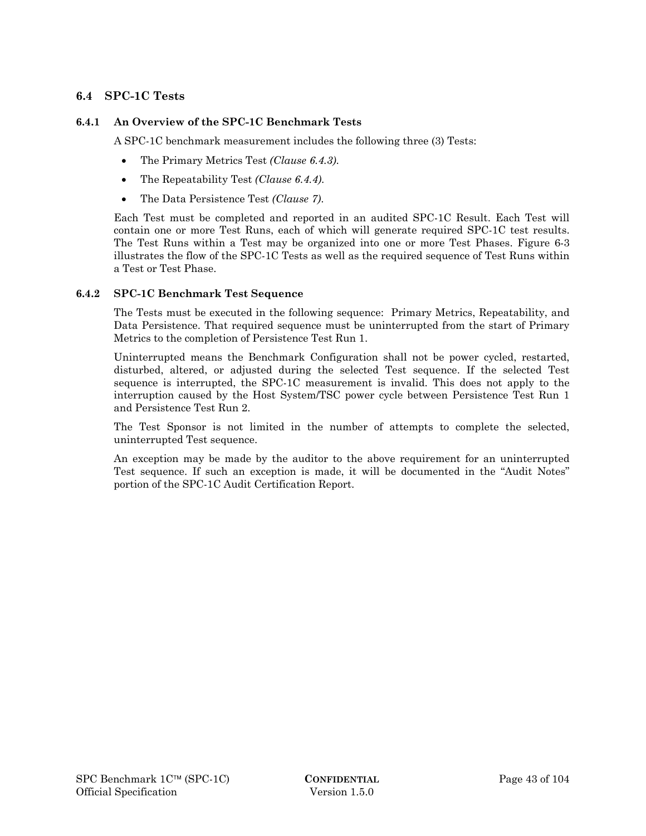## **6.4 SPC-1C Tests**

#### **6.4.1 An Overview of the SPC-1C Benchmark Tests**

A SPC-1C benchmark measurement includes the following three (3) Tests:

- The Primary Metrics Test *(Clause 6.4.3)*.
- The Repeatability Test *(Clause 6.4.4)*.
- The Data Persistence Test *(Clause 7)*.

Each Test must be completed and reported in an audited SPC-1C Result. Each Test will contain one or more Test Runs, each of which will generate required SPC-1C test results. The Test Runs within a Test may be organized into one or more Test Phases. Figure 6-3 illustrates the flow of the SPC-1C Tests as well as the required sequence of Test Runs within a Test or Test Phase.

#### **6.4.2 SPC-1C Benchmark Test Sequence**

The Tests must be executed in the following sequence: Primary Metrics, Repeatability, and Data Persistence. That required sequence must be uninterrupted from the start of Primary Metrics to the completion of Persistence Test Run 1.

Uninterrupted means the Benchmark Configuration shall not be power cycled, restarted, disturbed, altered, or adjusted during the selected Test sequence. If the selected Test sequence is interrupted, the SPC-1C measurement is invalid. This does not apply to the interruption caused by the Host System/TSC power cycle between Persistence Test Run 1 and Persistence Test Run 2.

The Test Sponsor is not limited in the number of attempts to complete the selected, uninterrupted Test sequence.

An exception may be made by the auditor to the above requirement for an uninterrupted Test sequence. If such an exception is made, it will be documented in the "Audit Notes" portion of the SPC-1C Audit Certification Report.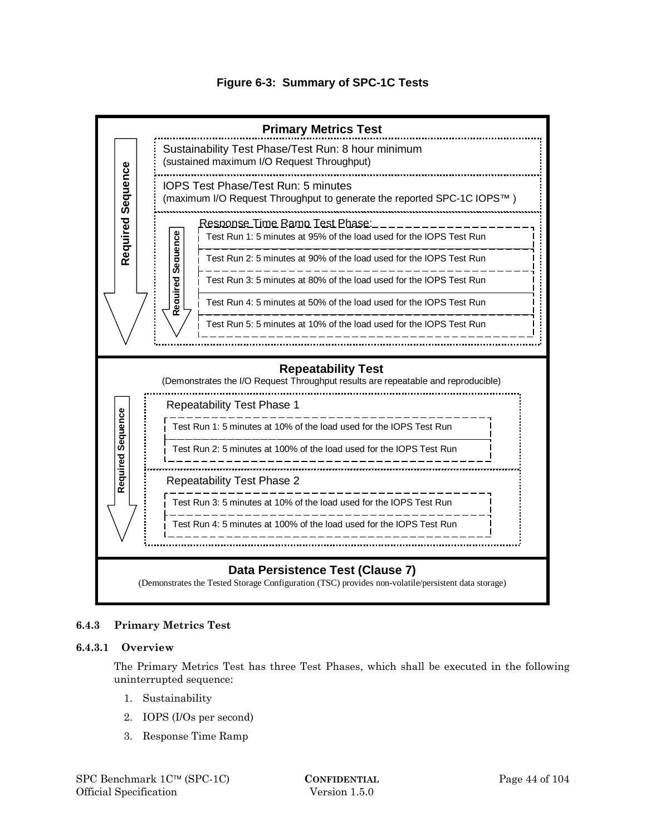



#### **6.4.3 Primary Metrics Test**

#### **6.4.3.1 Overview**

The Primary Metrics Test has three Test Phases, which shall be executed in the following uninterrupted sequence:

- 1. Sustainability
- 2. IOPS (I/Os per second)
- 3. Response Time Ramp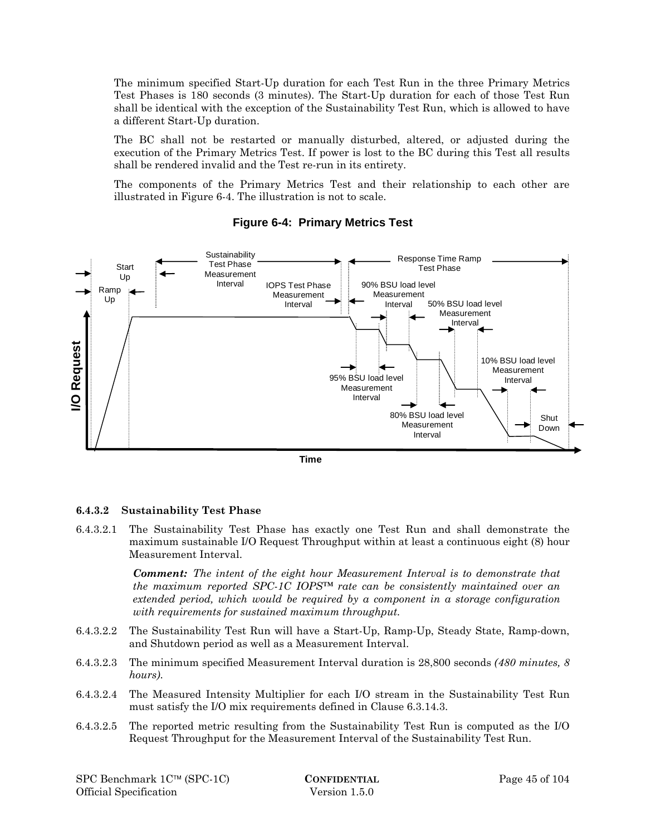The minimum specified Start-Up duration for each Test Run in the three Primary Metrics Test Phases is 180 seconds (3 minutes). The Start-Up duration for each of those Test Run shall be identical with the exception of the Sustainability Test Run, which is allowed to have a different Start-Up duration.

The BC shall not be restarted or manually disturbed, altered, or adjusted during the execution of the Primary Metrics Test. If power is lost to the BC during this Test all results shall be rendered invalid and the Test re-run in its entirety.

The components of the Primary Metrics Test and their relationship to each other are illustrated in Figure 6-4. The illustration is not to scale.



## **Figure 6-4: Primary Metrics Test**



#### **6.4.3.2 Sustainability Test Phase**

6.4.3.2.1 The Sustainability Test Phase has exactly one Test Run and shall demonstrate the maximum sustainable I/O Request Throughput within at least a continuous eight (8) hour Measurement Interval.

> *Comment: The intent of the eight hour Measurement Interval is to demonstrate that the maximum reported SPC-1C IOPS™ rate can be consistently maintained over an extended period, which would be required by a component in a storage configuration with requirements for sustained maximum throughput.*

- 6.4.3.2.2 The Sustainability Test Run will have a Start-Up, Ramp-Up, Steady State, Ramp-down, and Shutdown period as well as a Measurement Interval.
- 6.4.3.2.3 The minimum specified Measurement Interval duration is 28,800 seconds *(480 minutes, 8 hours)*.
- 6.4.3.2.4 The Measured Intensity Multiplier for each I/O stream in the Sustainability Test Run must satisfy the I/O mix requirements defined in Clause 6.3.14.3.
- 6.4.3.2.5 The reported metric resulting from the Sustainability Test Run is computed as the I/O Request Throughput for the Measurement Interval of the Sustainability Test Run.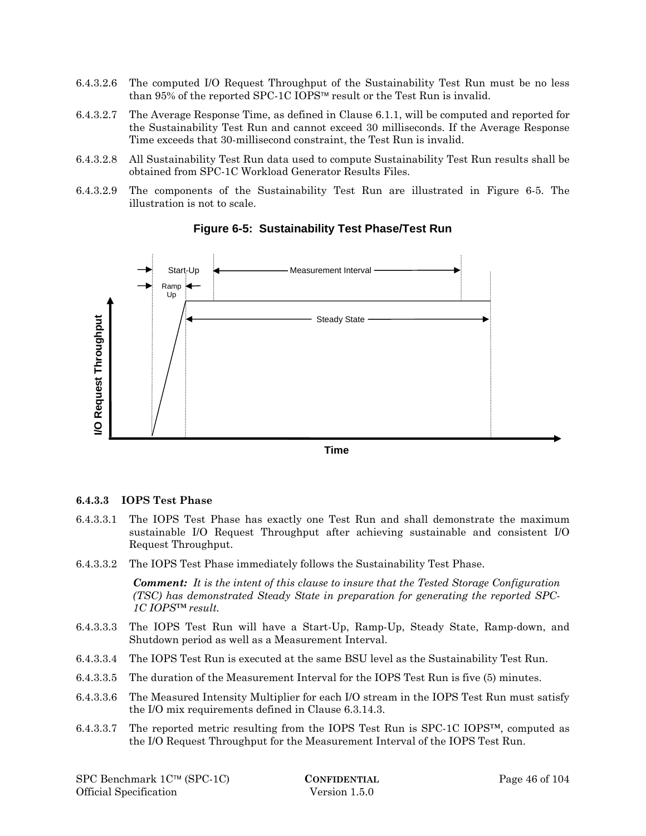- 6.4.3.2.6 The computed I/O Request Throughput of the Sustainability Test Run must be no less than 95% of the reported SPC-1C IOPS<sup>™</sup> result or the Test Run is invalid.
- 6.4.3.2.7 The Average Response Time, as defined in Clause 6.1.1, will be computed and reported for the Sustainability Test Run and cannot exceed 30 milliseconds. If the Average Response Time exceeds that 30-millisecond constraint, the Test Run is invalid.
- 6.4.3.2.8 All Sustainability Test Run data used to compute Sustainability Test Run results shall be obtained from SPC-1C Workload Generator Results Files.
- 6.4.3.2.9 The components of the Sustainability Test Run are illustrated in Figure 6-5. The illustration is not to scale.



## **Figure 6-5: Sustainability Test Phase/Test Run**

**Time** 

#### **6.4.3.3 IOPS Test Phase**

- 6.4.3.3.1 The IOPS Test Phase has exactly one Test Run and shall demonstrate the maximum sustainable I/O Request Throughput after achieving sustainable and consistent I/O Request Throughput.
- 6.4.3.3.2 The IOPS Test Phase immediately follows the Sustainability Test Phase.

*Comment: It is the intent of this clause to insure that the Tested Storage Configuration (TSC) has demonstrated Steady State in preparation for generating the reported SPC-1C IOPS™ result.* 

- 6.4.3.3.3 The IOPS Test Run will have a Start-Up, Ramp-Up, Steady State, Ramp-down, and Shutdown period as well as a Measurement Interval.
- 6.4.3.3.4 The IOPS Test Run is executed at the same BSU level as the Sustainability Test Run.
- 6.4.3.3.5 The duration of the Measurement Interval for the IOPS Test Run is five (5) minutes.
- 6.4.3.3.6 The Measured Intensity Multiplier for each I/O stream in the IOPS Test Run must satisfy the I/O mix requirements defined in Clause 6.3.14.3.
- 6.4.3.3.7 The reported metric resulting from the IOPS Test Run is SPC-1C IOPS™, computed as the I/O Request Throughput for the Measurement Interval of the IOPS Test Run.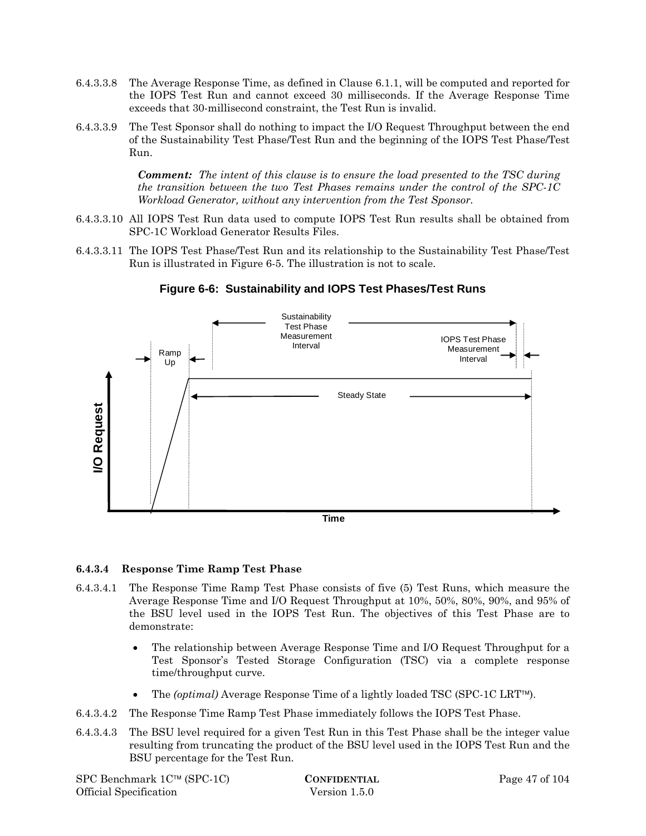- 6.4.3.3.8 The Average Response Time, as defined in Clause 6.1.1, will be computed and reported for the IOPS Test Run and cannot exceed 30 milliseconds. If the Average Response Time exceeds that 30-millisecond constraint, the Test Run is invalid.
- 6.4.3.3.9 The Test Sponsor shall do nothing to impact the I/O Request Throughput between the end of the Sustainability Test Phase/Test Run and the beginning of the IOPS Test Phase/Test Run.

*Comment: The intent of this clause is to ensure the load presented to the TSC during the transition between the two Test Phases remains under the control of the SPC-1C Workload Generator, without any intervention from the Test Sponsor.* 

- 6.4.3.3.10 All IOPS Test Run data used to compute IOPS Test Run results shall be obtained from SPC-1C Workload Generator Results Files.
- 6.4.3.3.11 The IOPS Test Phase/Test Run and its relationship to the Sustainability Test Phase/Test Run is illustrated in Figure 6-5. The illustration is not to scale.



## **Figure 6-6: Sustainability and IOPS Test Phases/Test Runs**

#### **6.4.3.4 Response Time Ramp Test Phase**

- 6.4.3.4.1 The Response Time Ramp Test Phase consists of five (5) Test Runs, which measure the Average Response Time and I/O Request Throughput at 10%, 50%, 80%, 90%, and 95% of the BSU level used in the IOPS Test Run. The objectives of this Test Phase are to demonstrate:
	- The relationship between Average Response Time and I/O Request Throughput for a Test Sponsor's Tested Storage Configuration (TSC) via a complete response time/throughput curve.
	- The *(optimal)* Average Response Time of a lightly loaded TSC (SPC-1C LRT<sup>IM</sup>).
- 6.4.3.4.2 The Response Time Ramp Test Phase immediately follows the IOPS Test Phase.
- 6.4.3.4.3 The BSU level required for a given Test Run in this Test Phase shall be the integer value resulting from truncating the product of the BSU level used in the IOPS Test Run and the BSU percentage for the Test Run.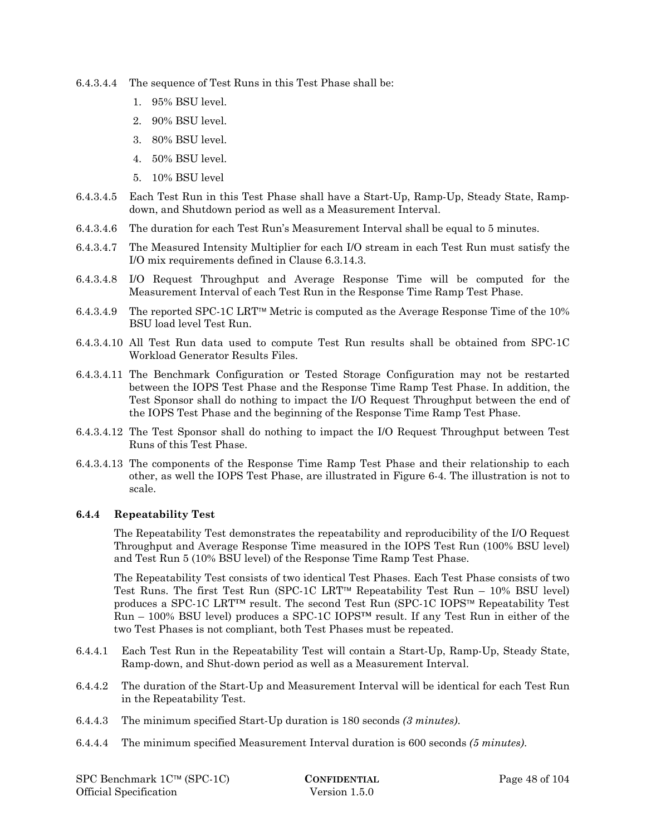- 6.4.3.4.4 The sequence of Test Runs in this Test Phase shall be:
	- 1. 95% BSU level.
	- 2. 90% BSU level.
	- 3. 80% BSU level.
	- 4. 50% BSU level.
	- 5. 10% BSU level
- 6.4.3.4.5 Each Test Run in this Test Phase shall have a Start-Up, Ramp-Up, Steady State, Rampdown, and Shutdown period as well as a Measurement Interval.
- 6.4.3.4.6 The duration for each Test Run's Measurement Interval shall be equal to 5 minutes.
- 6.4.3.4.7 The Measured Intensity Multiplier for each I/O stream in each Test Run must satisfy the I/O mix requirements defined in Clause 6.3.14.3.
- 6.4.3.4.8 I/O Request Throughput and Average Response Time will be computed for the Measurement Interval of each Test Run in the Response Time Ramp Test Phase.
- 6.4.3.4.9 The reported SPC-1C LRT<sup>-M</sup> Metric is computed as the Average Response Time of the 10% BSU load level Test Run.
- 6.4.3.4.10 All Test Run data used to compute Test Run results shall be obtained from SPC-1C Workload Generator Results Files.
- 6.4.3.4.11 The Benchmark Configuration or Tested Storage Configuration may not be restarted between the IOPS Test Phase and the Response Time Ramp Test Phase. In addition, the Test Sponsor shall do nothing to impact the I/O Request Throughput between the end of the IOPS Test Phase and the beginning of the Response Time Ramp Test Phase.
- 6.4.3.4.12 The Test Sponsor shall do nothing to impact the I/O Request Throughput between Test Runs of this Test Phase.
- 6.4.3.4.13 The components of the Response Time Ramp Test Phase and their relationship to each other, as well the IOPS Test Phase, are illustrated in Figure 6-4. The illustration is not to scale.

#### **6.4.4 Repeatability Test**

The Repeatability Test demonstrates the repeatability and reproducibility of the I/O Request Throughput and Average Response Time measured in the IOPS Test Run (100% BSU level) and Test Run 5 (10% BSU level) of the Response Time Ramp Test Phase.

The Repeatability Test consists of two identical Test Phases. Each Test Phase consists of two Test Runs. The first Test Run (SPC-1C LRT<sup> $M$ </sup> Repeatability Test Run – 10% BSU level) produces a SPC-1C LRT<sup>™</sup> result. The second Test Run (SPC-1C IOPS™ Repeatability Test  $Run - 100\%$  BSU level) produces a SPC-1C IOPS<sup>TM</sup> result. If any Test Run in either of the two Test Phases is not compliant, both Test Phases must be repeated.

- 6.4.4.1 Each Test Run in the Repeatability Test will contain a Start-Up, Ramp-Up, Steady State, Ramp-down, and Shut-down period as well as a Measurement Interval.
- 6.4.4.2 The duration of the Start-Up and Measurement Interval will be identical for each Test Run in the Repeatability Test.
- 6.4.4.3 The minimum specified Start-Up duration is 180 seconds *(3 minutes)*.
- 6.4.4.4 The minimum specified Measurement Interval duration is 600 seconds *(5 minutes)*.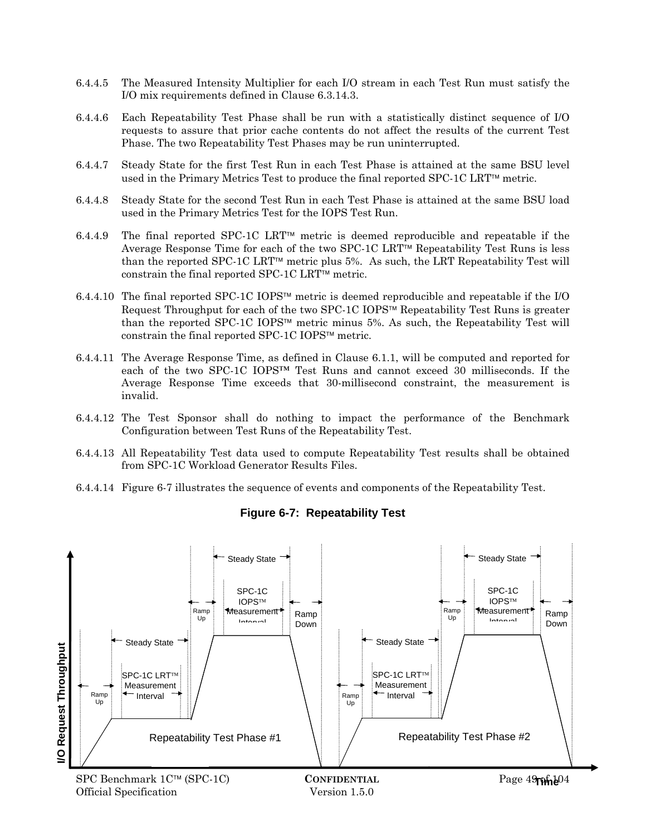- 6.4.4.5 The Measured Intensity Multiplier for each I/O stream in each Test Run must satisfy the I/O mix requirements defined in Clause 6.3.14.3.
- 6.4.4.6 Each Repeatability Test Phase shall be run with a statistically distinct sequence of I/O requests to assure that prior cache contents do not affect the results of the current Test Phase. The two Repeatability Test Phases may be run uninterrupted.
- 6.4.4.7 Steady State for the first Test Run in each Test Phase is attained at the same BSU level used in the Primary Metrics Test to produce the final reported  $SPC-1C LRT^{\tau_M}$  metric.
- 6.4.4.8 Steady State for the second Test Run in each Test Phase is attained at the same BSU load used in the Primary Metrics Test for the IOPS Test Run.
- 6.4.4.9 The final reported SPC-1C LRT<sup>IM</sup> metric is deemed reproducible and repeatable if the Average Response Time for each of the two SPC-1C LRT<sup> $m$ </sup> Repeatability Test Runs is less than the reported SPC-1C LRT<sup>™</sup> metric plus 5%. As such, the LRT Repeatability Test will constrain the final reported SPC-1C LRT<sup>™</sup> metric.
- 6.4.4.10 The final reported SPC-1C IOPS<sup>™</sup> metric is deemed reproducible and repeatable if the I/O Request Throughput for each of the two SPC-1C IOPS<sup> $M$ </sup> Repeatability Test Runs is greater than the reported SPC-1C IOPS<sup>IM</sup> metric minus 5%. As such, the Repeatability Test will constrain the final reported SPC-1C IOPS $\text{TM}$  metric.
- 6.4.4.11 The Average Response Time, as defined in Clause 6.1.1, will be computed and reported for each of the two SPC-1C IOPS™ Test Runs and cannot exceed 30 milliseconds. If the Average Response Time exceeds that 30-millisecond constraint, the measurement is invalid.
- 6.4.4.12 The Test Sponsor shall do nothing to impact the performance of the Benchmark Configuration between Test Runs of the Repeatability Test.
- 6.4.4.13 All Repeatability Test data used to compute Repeatability Test results shall be obtained from SPC-1C Workload Generator Results Files.
- 6.4.4.14 Figure 6-7 illustrates the sequence of events and components of the Repeatability Test.



**Figure 6-7: Repeatability Test**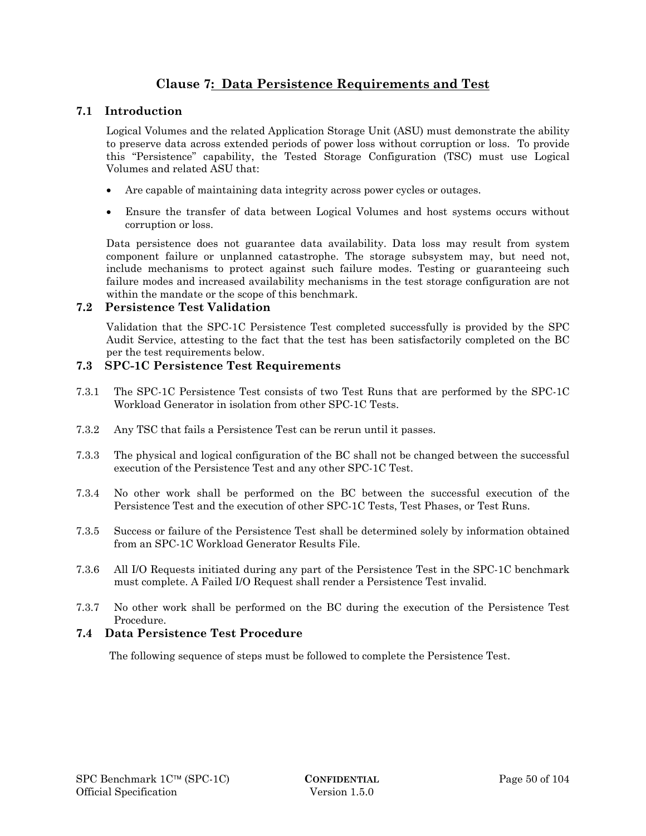# **Clause 7: Data Persistence Requirements and Test**

## **7.1 Introduction**

Logical Volumes and the related Application Storage Unit (ASU) must demonstrate the ability to preserve data across extended periods of power loss without corruption or loss. To provide this "Persistence" capability, the Tested Storage Configuration (TSC) must use Logical Volumes and related ASU that:

- Are capable of maintaining data integrity across power cycles or outages.
- Ensure the transfer of data between Logical Volumes and host systems occurs without corruption or loss.

Data persistence does not guarantee data availability. Data loss may result from system component failure or unplanned catastrophe. The storage subsystem may, but need not, include mechanisms to protect against such failure modes. Testing or guaranteeing such failure modes and increased availability mechanisms in the test storage configuration are not within the mandate or the scope of this benchmark.

#### **7.2 Persistence Test Validation**

Validation that the SPC-1C Persistence Test completed successfully is provided by the SPC Audit Service, attesting to the fact that the test has been satisfactorily completed on the BC per the test requirements below.

#### **7.3 SPC-1C Persistence Test Requirements**

- 7.3.1 The SPC-1C Persistence Test consists of two Test Runs that are performed by the SPC-1C Workload Generator in isolation from other SPC-1C Tests.
- 7.3.2 Any TSC that fails a Persistence Test can be rerun until it passes.
- 7.3.3 The physical and logical configuration of the BC shall not be changed between the successful execution of the Persistence Test and any other SPC-1C Test.
- 7.3.4 No other work shall be performed on the BC between the successful execution of the Persistence Test and the execution of other SPC-1C Tests, Test Phases, or Test Runs.
- 7.3.5 Success or failure of the Persistence Test shall be determined solely by information obtained from an SPC-1C Workload Generator Results File.
- 7.3.6 All I/O Requests initiated during any part of the Persistence Test in the SPC-1C benchmark must complete. A Failed I/O Request shall render a Persistence Test invalid.
- 7.3.7 No other work shall be performed on the BC during the execution of the Persistence Test Procedure.

#### **7.4 Data Persistence Test Procedure**

The following sequence of steps must be followed to complete the Persistence Test.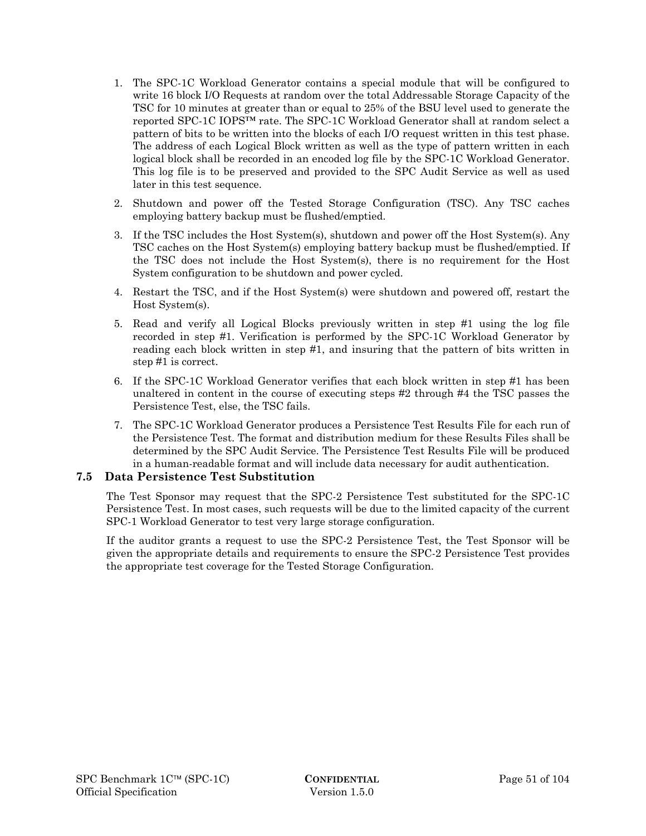- 1. The SPC-1C Workload Generator contains a special module that will be configured to write 16 block I/O Requests at random over the total Addressable Storage Capacity of the TSC for 10 minutes at greater than or equal to 25% of the BSU level used to generate the reported SPC-1C IOPS™ rate. The SPC-1C Workload Generator shall at random select a pattern of bits to be written into the blocks of each I/O request written in this test phase. The address of each Logical Block written as well as the type of pattern written in each logical block shall be recorded in an encoded log file by the SPC-1C Workload Generator. This log file is to be preserved and provided to the SPC Audit Service as well as used later in this test sequence.
- 2. Shutdown and power off the Tested Storage Configuration (TSC). Any TSC caches employing battery backup must be flushed/emptied.
- 3. If the TSC includes the Host System(s), shutdown and power off the Host System(s). Any TSC caches on the Host System(s) employing battery backup must be flushed/emptied. If the TSC does not include the Host System(s), there is no requirement for the Host System configuration to be shutdown and power cycled.
- 4. Restart the TSC, and if the Host System(s) were shutdown and powered off, restart the Host System(s).
- 5. Read and verify all Logical Blocks previously written in step #1 using the log file recorded in step #1. Verification is performed by the SPC-1C Workload Generator by reading each block written in step #1, and insuring that the pattern of bits written in step #1 is correct.
- 6. If the SPC-1C Workload Generator verifies that each block written in step #1 has been unaltered in content in the course of executing steps #2 through #4 the TSC passes the Persistence Test, else, the TSC fails.
- 7. The SPC-1C Workload Generator produces a Persistence Test Results File for each run of the Persistence Test. The format and distribution medium for these Results Files shall be determined by the SPC Audit Service. The Persistence Test Results File will be produced in a human-readable format and will include data necessary for audit authentication.

#### **7.5 Data Persistence Test Substitution**

The Test Sponsor may request that the SPC-2 Persistence Test substituted for the SPC-1C Persistence Test. In most cases, such requests will be due to the limited capacity of the current SPC-1 Workload Generator to test very large storage configuration.

If the auditor grants a request to use the SPC-2 Persistence Test, the Test Sponsor will be given the appropriate details and requirements to ensure the SPC-2 Persistence Test provides the appropriate test coverage for the Tested Storage Configuration.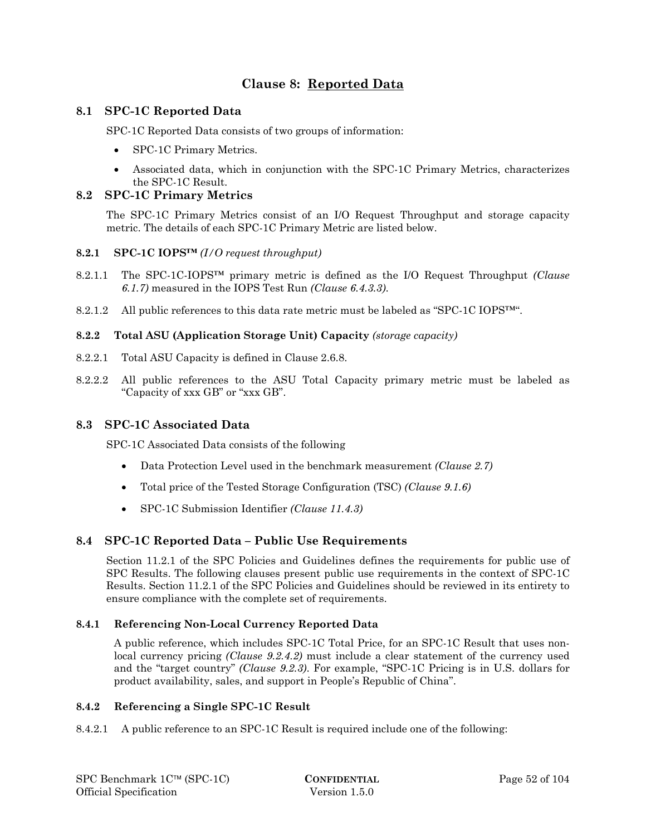# **Clause 8: Reported Data**

## **8.1 SPC-1C Reported Data**

SPC-1C Reported Data consists of two groups of information:

- SPC-1C Primary Metrics.
- Associated data, which in conjunction with the SPC-1C Primary Metrics, characterizes the SPC-1C Result.

#### **8.2 SPC-1C Primary Metrics**

The SPC-1C Primary Metrics consist of an I/O Request Throughput and storage capacity metric. The details of each SPC-1C Primary Metric are listed below.

#### **8.2.1 SPC-1C IOPS™** *(I/O request throughput)*

- 8.2.1.1 The SPC-1C-IOPS™ primary metric is defined as the I/O Request Throughput *(Clause 6.1.7)* measured in the IOPS Test Run *(Clause 6.4.3.3)*.
- 8.2.1.2 All public references to this data rate metric must be labeled as "SPC-1C IOPS<sup>™".</sup>

#### **8.2.2 Total ASU (Application Storage Unit) Capacity** *(storage capacity)*

- 8.2.2.1 Total ASU Capacity is defined in Clause 2.6.8.
- 8.2.2.2 All public references to the ASU Total Capacity primary metric must be labeled as "Capacity of xxx GB" or "xxx GB".

#### **8.3 SPC-1C Associated Data**

SPC-1C Associated Data consists of the following

- Data Protection Level used in the benchmark measurement *(Clause 2.7)*
- Total price of the Tested Storage Configuration (TSC) *(Clause 9.1.6)*
- SPC-1C Submission Identifier *(Clause 11.4.3)*

#### **8.4 SPC-1C Reported Data – Public Use Requirements**

Section 11.2.1 of the SPC Policies and Guidelines defines the requirements for public use of SPC Results. The following clauses present public use requirements in the context of SPC-1C Results. Section 11.2.1 of the SPC Policies and Guidelines should be reviewed in its entirety to ensure compliance with the complete set of requirements.

#### **8.4.1 Referencing Non-Local Currency Reported Data**

A public reference, which includes SPC-1C Total Price, for an SPC-1C Result that uses nonlocal currency pricing *(Clause 9.2.4.2)* must include a clear statement of the currency used and the "target country" *(Clause 9.2.3)*. For example, "SPC-1C Pricing is in U.S. dollars for product availability, sales, and support in People's Republic of China".

#### **8.4.2 Referencing a Single SPC-1C Result**

8.4.2.1 A public reference to an SPC-1C Result is required include one of the following: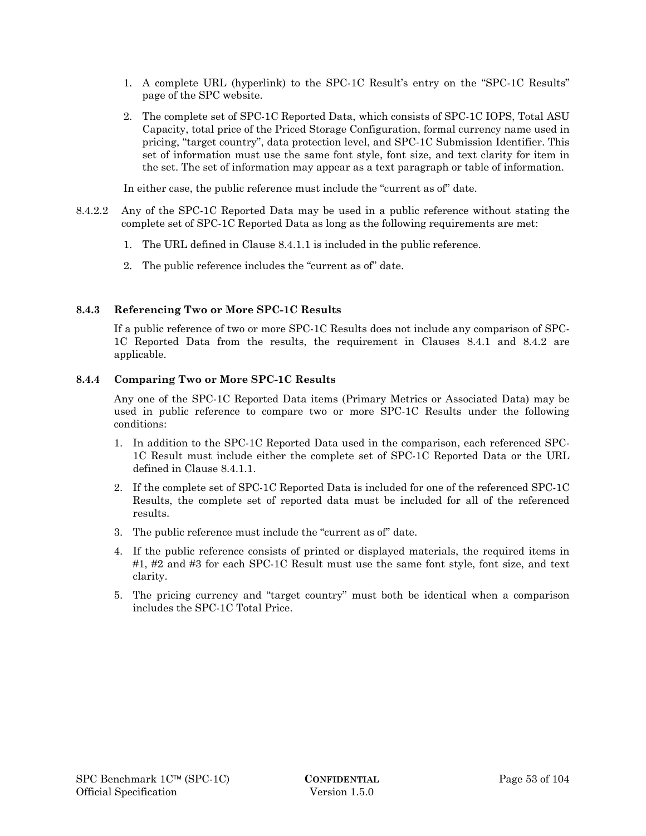- 1. A complete URL (hyperlink) to the SPC-1C Result's entry on the "SPC-1C Results" page of the SPC website.
- 2. The complete set of SPC-1C Reported Data, which consists of SPC-1C IOPS, Total ASU Capacity, total price of the Priced Storage Configuration, formal currency name used in pricing, "target country", data protection level, and SPC-1C Submission Identifier. This set of information must use the same font style, font size, and text clarity for item in the set. The set of information may appear as a text paragraph or table of information.

In either case, the public reference must include the "current as of" date.

- 8.4.2.2 Any of the SPC-1C Reported Data may be used in a public reference without stating the complete set of SPC-1C Reported Data as long as the following requirements are met:
	- 1. The URL defined in Clause 8.4.1.1 is included in the public reference.
	- 2. The public reference includes the "current as of" date.

#### **8.4.3 Referencing Two or More SPC-1C Results**

If a public reference of two or more SPC-1C Results does not include any comparison of SPC-1C Reported Data from the results, the requirement in Clauses 8.4.1 and 8.4.2 are applicable.

#### **8.4.4 Comparing Two or More SPC-1C Results**

Any one of the SPC-1C Reported Data items (Primary Metrics or Associated Data) may be used in public reference to compare two or more SPC-1C Results under the following conditions:

- 1. In addition to the SPC-1C Reported Data used in the comparison, each referenced SPC-1C Result must include either the complete set of SPC-1C Reported Data or the URL defined in Clause 8.4.1.1.
- 2. If the complete set of SPC-1C Reported Data is included for one of the referenced SPC-1C Results, the complete set of reported data must be included for all of the referenced results.
- 3. The public reference must include the "current as of" date.
- 4. If the public reference consists of printed or displayed materials, the required items in #1, #2 and #3 for each SPC-1C Result must use the same font style, font size, and text clarity.
- 5. The pricing currency and "target country" must both be identical when a comparison includes the SPC-1C Total Price.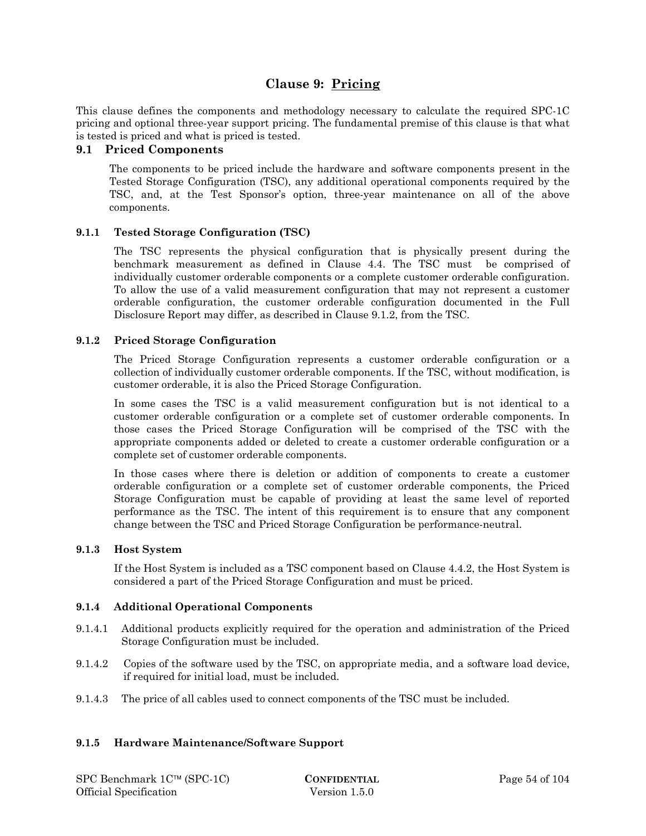## **Clause 9: Pricing**

This clause defines the components and methodology necessary to calculate the required SPC-1C pricing and optional three-year support pricing. The fundamental premise of this clause is that what is tested is priced and what is priced is tested.

#### **9.1 Priced Components**

The components to be priced include the hardware and software components present in the Tested Storage Configuration (TSC), any additional operational components required by the TSC, and, at the Test Sponsor's option, three-year maintenance on all of the above components.

#### **9.1.1 Tested Storage Configuration (TSC)**

The TSC represents the physical configuration that is physically present during the benchmark measurement as defined in Clause 4.4. The TSC must be comprised of individually customer orderable components or a complete customer orderable configuration. To allow the use of a valid measurement configuration that may not represent a customer orderable configuration, the customer orderable configuration documented in the Full Disclosure Report may differ, as described in Clause 9.1.2, from the TSC.

#### **9.1.2 Priced Storage Configuration**

The Priced Storage Configuration represents a customer orderable configuration or a collection of individually customer orderable components. If the TSC, without modification, is customer orderable, it is also the Priced Storage Configuration.

In some cases the TSC is a valid measurement configuration but is not identical to a customer orderable configuration or a complete set of customer orderable components. In those cases the Priced Storage Configuration will be comprised of the TSC with the appropriate components added or deleted to create a customer orderable configuration or a complete set of customer orderable components.

In those cases where there is deletion or addition of components to create a customer orderable configuration or a complete set of customer orderable components, the Priced Storage Configuration must be capable of providing at least the same level of reported performance as the TSC. The intent of this requirement is to ensure that any component change between the TSC and Priced Storage Configuration be performance-neutral.

#### **9.1.3 Host System**

If the Host System is included as a TSC component based on Clause 4.4.2, the Host System is considered a part of the Priced Storage Configuration and must be priced.

#### **9.1.4 Additional Operational Components**

- 9.1.4.1 Additional products explicitly required for the operation and administration of the Priced Storage Configuration must be included.
- 9.1.4.2 Copies of the software used by the TSC, on appropriate media, and a software load device, if required for initial load, must be included.
- 9.1.4.3 The price of all cables used to connect components of the TSC must be included.

#### **9.1.5 Hardware Maintenance/Software Support**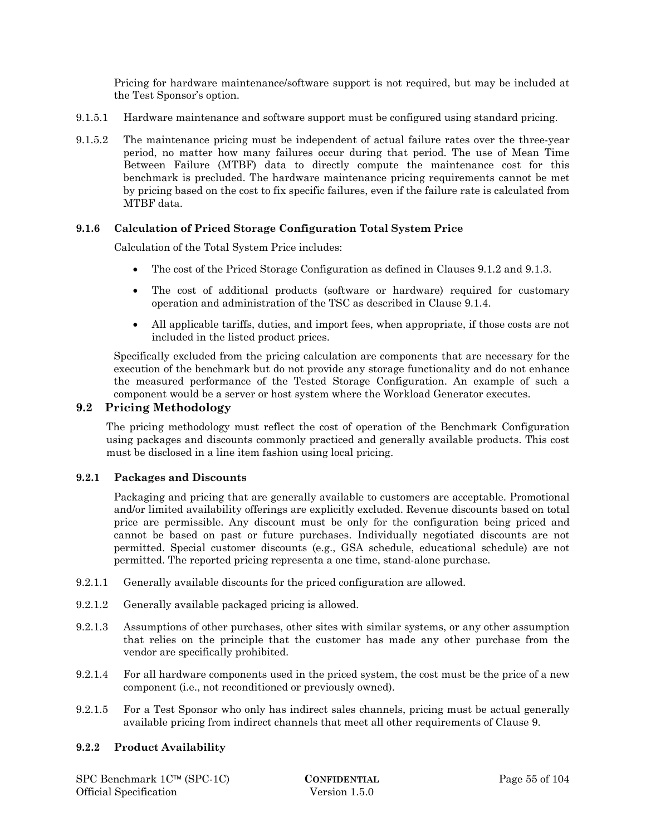Pricing for hardware maintenance/software support is not required, but may be included at the Test Sponsor's option.

- 9.1.5.1 Hardware maintenance and software support must be configured using standard pricing.
- 9.1.5.2 The maintenance pricing must be independent of actual failure rates over the three-year period, no matter how many failures occur during that period. The use of Mean Time Between Failure (MTBF) data to directly compute the maintenance cost for this benchmark is precluded. The hardware maintenance pricing requirements cannot be met by pricing based on the cost to fix specific failures, even if the failure rate is calculated from MTBF data.

#### **9.1.6 Calculation of Priced Storage Configuration Total System Price**

Calculation of the Total System Price includes:

- The cost of the Priced Storage Configuration as defined in Clauses 9.1.2 and 9.1.3.
- The cost of additional products (software or hardware) required for customary operation and administration of the TSC as described in Clause 9.1.4.
- All applicable tariffs, duties, and import fees, when appropriate, if those costs are not included in the listed product prices.

Specifically excluded from the pricing calculation are components that are necessary for the execution of the benchmark but do not provide any storage functionality and do not enhance the measured performance of the Tested Storage Configuration. An example of such a component would be a server or host system where the Workload Generator executes.

#### **9.2 Pricing Methodology**

The pricing methodology must reflect the cost of operation of the Benchmark Configuration using packages and discounts commonly practiced and generally available products. This cost must be disclosed in a line item fashion using local pricing.

#### **9.2.1 Packages and Discounts**

Packaging and pricing that are generally available to customers are acceptable. Promotional and/or limited availability offerings are explicitly excluded. Revenue discounts based on total price are permissible. Any discount must be only for the configuration being priced and cannot be based on past or future purchases. Individually negotiated discounts are not permitted. Special customer discounts (e.g., GSA schedule, educational schedule) are not permitted. The reported pricing representa a one time, stand-alone purchase.

- 9.2.1.1 Generally available discounts for the priced configuration are allowed.
- 9.2.1.2 Generally available packaged pricing is allowed.
- 9.2.1.3 Assumptions of other purchases, other sites with similar systems, or any other assumption that relies on the principle that the customer has made any other purchase from the vendor are specifically prohibited.
- 9.2.1.4 For all hardware components used in the priced system, the cost must be the price of a new component (i.e., not reconditioned or previously owned).
- 9.2.1.5 For a Test Sponsor who only has indirect sales channels, pricing must be actual generally available pricing from indirect channels that meet all other requirements of Clause 9.

#### **9.2.2 Product Availability**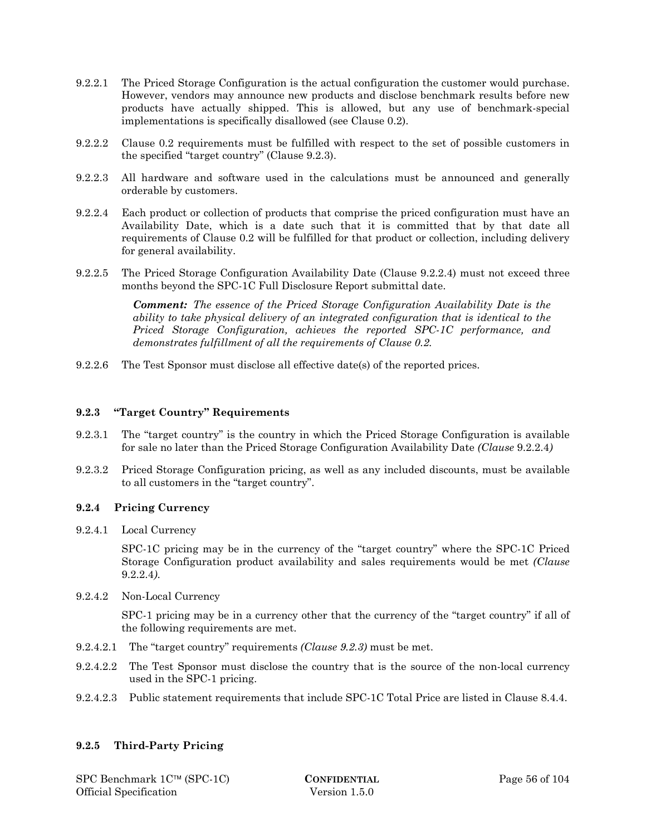- 9.2.2.1 The Priced Storage Configuration is the actual configuration the customer would purchase. However, vendors may announce new products and disclose benchmark results before new products have actually shipped. This is allowed, but any use of benchmark-special implementations is specifically disallowed (see Clause 0.2).
- 9.2.2.2 Clause 0.2 requirements must be fulfilled with respect to the set of possible customers in the specified "target country" (Clause 9.2.3).
- 9.2.2.3 All hardware and software used in the calculations must be announced and generally orderable by customers.
- 9.2.2.4 Each product or collection of products that comprise the priced configuration must have an Availability Date, which is a date such that it is committed that by that date all requirements of Clause 0.2 will be fulfilled for that product or collection, including delivery for general availability.
- 9.2.2.5 The Priced Storage Configuration Availability Date (Clause 9.2.2.4) must not exceed three months beyond the SPC-1C Full Disclosure Report submittal date.

*Comment: The essence of the Priced Storage Configuration Availability Date is the ability to take physical delivery of an integrated configuration that is identical to the Priced Storage Configuration, achieves the reported SPC-1C performance, and demonstrates fulfillment of all the requirements of Clause 0.2.* 

9.2.2.6 The Test Sponsor must disclose all effective date(s) of the reported prices.

#### **9.2.3 "Target Country" Requirements**

- 9.2.3.1 The "target country" is the country in which the Priced Storage Configuration is available for sale no later than the Priced Storage Configuration Availability Date *(Clause* 9.2.2.4*)*
- 9.2.3.2 Priced Storage Configuration pricing, as well as any included discounts, must be available to all customers in the "target country".

#### **9.2.4 Pricing Currency**

9.2.4.1 Local Currency

SPC-1C pricing may be in the currency of the "target country" where the SPC-1C Priced Storage Configuration product availability and sales requirements would be met *(Clause*  9.2.2.4*)*.

9.2.4.2 Non-Local Currency

SPC-1 pricing may be in a currency other that the currency of the "target country" if all of the following requirements are met.

- 9.2.4.2.1 The "target country" requirements *(Clause 9.2.3)* must be met.
- 9.2.4.2.2 The Test Sponsor must disclose the country that is the source of the non-local currency used in the SPC-1 pricing.
- 9.2.4.2.3 Public statement requirements that include SPC-1C Total Price are listed in Clause 8.4.4.

#### **9.2.5 Third-Party Pricing**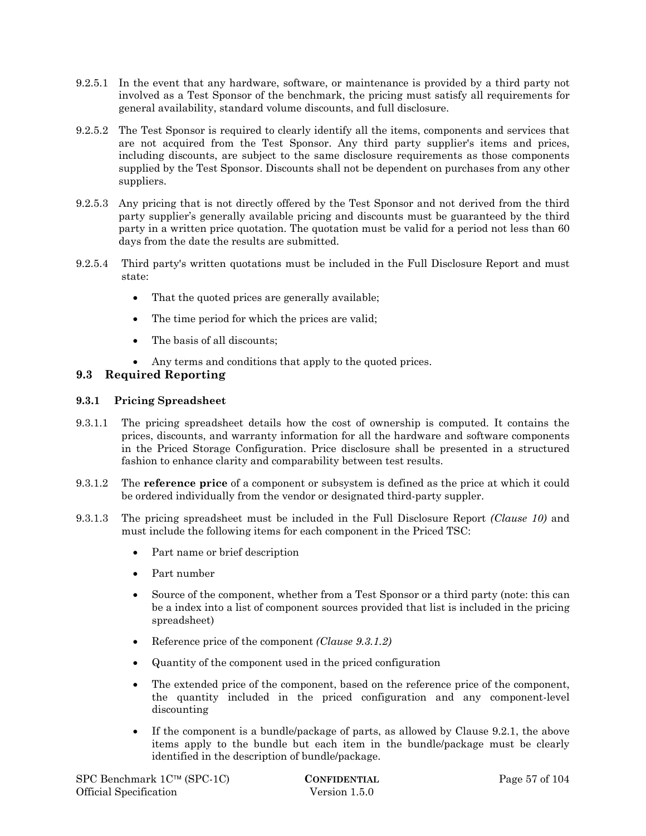- 9.2.5.1 In the event that any hardware, software, or maintenance is provided by a third party not involved as a Test Sponsor of the benchmark, the pricing must satisfy all requirements for general availability, standard volume discounts, and full disclosure.
- 9.2.5.2 The Test Sponsor is required to clearly identify all the items, components and services that are not acquired from the Test Sponsor. Any third party supplier's items and prices, including discounts, are subject to the same disclosure requirements as those components supplied by the Test Sponsor. Discounts shall not be dependent on purchases from any other suppliers.
- 9.2.5.3 Any pricing that is not directly offered by the Test Sponsor and not derived from the third party supplier's generally available pricing and discounts must be guaranteed by the third party in a written price quotation. The quotation must be valid for a period not less than 60 days from the date the results are submitted.
- 9.2.5.4 Third party's written quotations must be included in the Full Disclosure Report and must state:
	- That the quoted prices are generally available;
	- The time period for which the prices are valid;
	- The basis of all discounts:
	- Any terms and conditions that apply to the quoted prices.

## **9.3 Required Reporting**

#### **9.3.1 Pricing Spreadsheet**

- 9.3.1.1 The pricing spreadsheet details how the cost of ownership is computed. It contains the prices, discounts, and warranty information for all the hardware and software components in the Priced Storage Configuration. Price disclosure shall be presented in a structured fashion to enhance clarity and comparability between test results.
- 9.3.1.2 The **reference price** of a component or subsystem is defined as the price at which it could be ordered individually from the vendor or designated third-party suppler.
- 9.3.1.3 The pricing spreadsheet must be included in the Full Disclosure Report *(Clause 10)* and must include the following items for each component in the Priced TSC:
	- Part name or brief description
	- Part number
	- Source of the component, whether from a Test Sponsor or a third party (note: this can be a index into a list of component sources provided that list is included in the pricing spreadsheet)
	- Reference price of the component *(Clause 9.3.1.2)*
	- Quantity of the component used in the priced configuration
	- The extended price of the component, based on the reference price of the component, the quantity included in the priced configuration and any component-level discounting
	- If the component is a bundle/package of parts, as allowed by Clause 9.2.1, the above items apply to the bundle but each item in the bundle/package must be clearly identified in the description of bundle/package.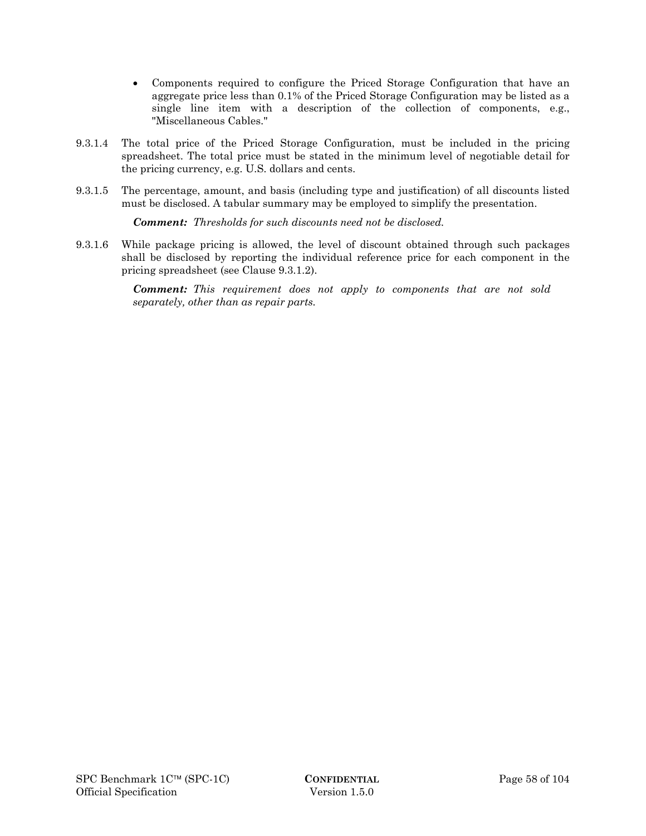- Components required to configure the Priced Storage Configuration that have an aggregate price less than 0.1% of the Priced Storage Configuration may be listed as a single line item with a description of the collection of components, e.g., "Miscellaneous Cables."
- 9.3.1.4 The total price of the Priced Storage Configuration, must be included in the pricing spreadsheet. The total price must be stated in the minimum level of negotiable detail for the pricing currency, e.g. U.S. dollars and cents.
- 9.3.1.5 The percentage, amount, and basis (including type and justification) of all discounts listed must be disclosed. A tabular summary may be employed to simplify the presentation.

*Comment: Thresholds for such discounts need not be disclosed.* 

9.3.1.6 While package pricing is allowed, the level of discount obtained through such packages shall be disclosed by reporting the individual reference price for each component in the pricing spreadsheet (see Clause 9.3.1.2).

> *Comment: This requirement does not apply to components that are not sold separately, other than as repair parts.*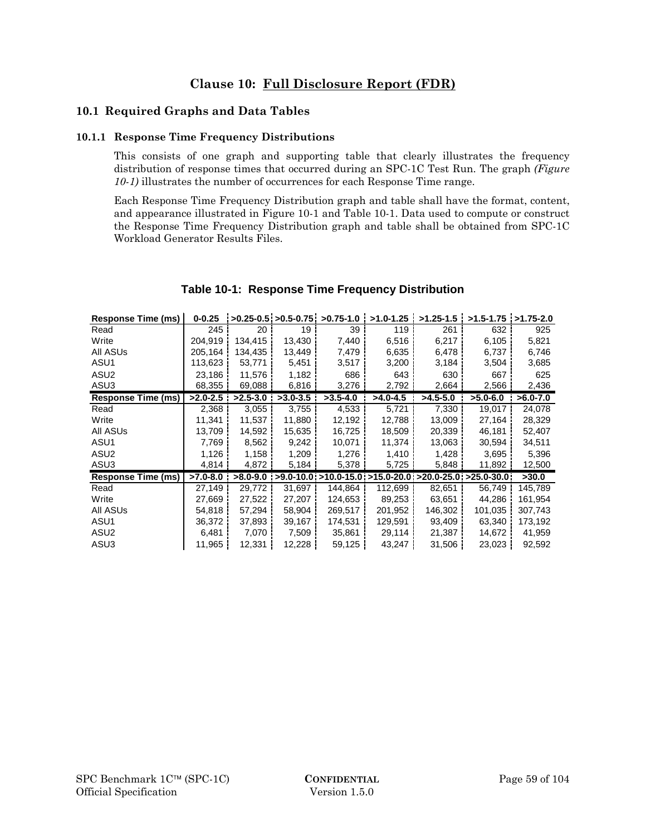## **10.1 Required Graphs and Data Tables**

#### **10.1.1 Response Time Frequency Distributions**

This consists of one graph and supporting table that clearly illustrates the frequency distribution of response times that occurred during an SPC-1C Test Run. The graph *(Figure 10-1)* illustrates the number of occurrences for each Response Time range.

Each Response Time Frequency Distribution graph and table shall have the format, content, and appearance illustrated in Figure 10-1 and Table 10-1. Data used to compute or construct the Response Time Frequency Distribution graph and table shall be obtained from SPC-1C Workload Generator Results Files.

| Response Time (ms)        | $0 - 0.25$   |              |                 | $>0.25-0.5$ : $>0.5-0.75$ : $>0.75-1.0$ | $>1.0 - 1.25$                                                                          | $>1.25 - 1.5$ | $>1.5 - 1.75$ $>1.75 - 2.0$ |              |
|---------------------------|--------------|--------------|-----------------|-----------------------------------------|----------------------------------------------------------------------------------------|---------------|-----------------------------|--------------|
| Read                      | 245          | 20           | 19 <sup>1</sup> | 39                                      | 119                                                                                    | 261           | 632                         | 925          |
| Write                     | 204,919      | 134,415      | 13,430          | 7,440                                   | 6,516                                                                                  | 6,217         | 6,105                       | 5,821        |
| All ASUs                  | 205,164      | 134,435      | 13,449          | 7,479                                   | 6,635                                                                                  | 6,478         | 6,737                       | 6,746        |
| ASU1                      | 113,623      | 53,771       | 5,451           | 3,517                                   | 3,200                                                                                  | 3,184         | 3,504                       | 3,685        |
| ASU <sub>2</sub>          | 23,186       | 11,576       | 1,182           | 686                                     | 643                                                                                    | 630           | 667                         | 625          |
| ASU3                      | 68,355       | 69,088       | 6,816           | 3,276                                   | 2,792                                                                                  | 2,664         | 2,566                       | 2,436        |
| <b>Response Time (ms)</b> | $>2.0 - 2.5$ | $>2.5 - 3.0$ | $>3.0-3.5$      | $>3.5-4.0$                              | $>4.0 - 4.5$                                                                           | $>4.5 - 5.0$  | $>5.0-6.0$                  | $>6.0 - 7.0$ |
| Read                      | 2,368        | 3,055        | 3,755           | 4,533                                   | 5,721                                                                                  | 7,330         | 19,017                      | 24,078       |
| Write                     | 11,341       | 11,537       | 11,880          | 12,192                                  | 12,788                                                                                 | 13,009        | 27,164                      | 28,329       |
| All ASUs                  | 13,709       | 14,592       | 15,635          | 16,725                                  | 18,509                                                                                 | 20,339        | 46,181                      | 52,407       |
| ASU1                      | 7,769        | 8,562        | 9,242           | 10,071                                  | 11,374                                                                                 | 13,063        | 30,594                      | 34,511       |
| ASU <sub>2</sub>          | 1,126        | 1,158        | 1,209           | 1,276                                   | 1,410                                                                                  | 1,428         | 3,695                       | 5,396        |
| ASU3                      | 4,814        | 4,872        | 5,184           | 5,378                                   | 5,725                                                                                  | 5,848         | 11,892                      | 12,500       |
| <b>Response Time (ms)</b> | $>7.0-8.0$   |              |                 |                                         | $>8.0-9.0$ i $>9.0-10.0$ i $>10.0-15.0$ i $>15.0-20.0$ i $>20.0-25.0$ i $>25.0-30.0$ i |               |                             | >30.0        |
| Read                      | 27,149       | 29,772       | 31,697          | 144,864                                 | 112,699                                                                                | 82,651        | 56,749                      | 145,789      |
| Write                     | 27,669       | 27,522       | 27,207          | 124,653                                 | 89,253                                                                                 | 63,651        | 44.286                      | 161,954      |
| All ASUs                  | 54,818       | 57,294       | 58,904          | 269,517                                 | 201,952                                                                                | 146,302       | 101,035                     | 307,743      |
| ASU1                      | 36,372       | 37,893       | 39,167          | 174,531                                 | 129,591                                                                                | 93,409        | 63,340                      | 173,192      |
| ASU <sub>2</sub>          | 6,481        | 7,070        | 7,509           | 35,861                                  | 29,114                                                                                 | 21,387        | 14,672                      | 41,959       |
| ASU3                      | 11,965       | 12,331       | 12,228          | 59,125                                  | 43,247                                                                                 | 31,506        | 23,023                      | 92,592       |

## **Table 10-1: Response Time Frequency Distribution**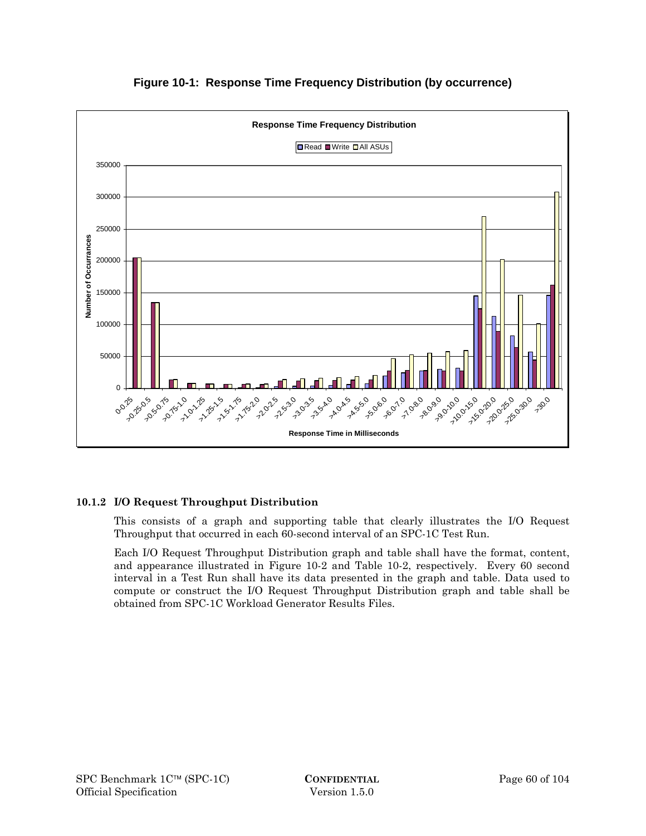

## **Figure 10-1: Response Time Frequency Distribution (by occurrence)**

## **10.1.2 I/O Request Throughput Distribution**

This consists of a graph and supporting table that clearly illustrates the I/O Request Throughput that occurred in each 60-second interval of an SPC-1C Test Run.

Each I/O Request Throughput Distribution graph and table shall have the format, content, and appearance illustrated in Figure 10-2 and Table 10-2, respectively. Every 60 second interval in a Test Run shall have its data presented in the graph and table. Data used to compute or construct the I/O Request Throughput Distribution graph and table shall be obtained from SPC-1C Workload Generator Results Files.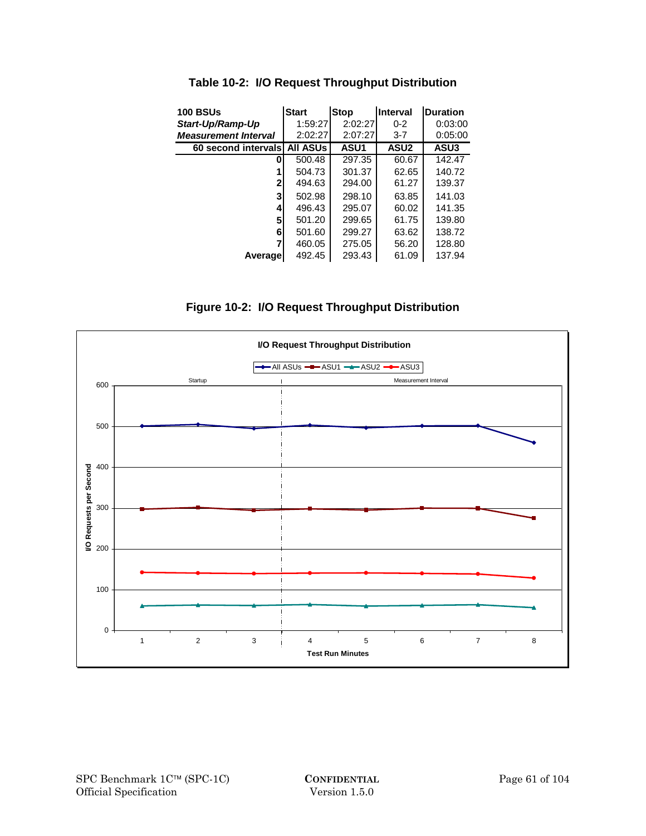| <b>100 BSUs</b>             | <b>Start</b>    | <b>Stop</b> | Interval    | <b>Duration</b> |
|-----------------------------|-----------------|-------------|-------------|-----------------|
| Start-Up/Ramp-Up            | 1:59:27         | 2:02:27     | $0 - 2$     | 0:03:00         |
| <b>Measurement Interval</b> | 2:02:27         | 2:07:27     | $3 - 7$     | 0:05:00         |
| 60 second intervals         | <b>AII ASUS</b> | <b>ASU1</b> | <b>ASU2</b> | ASU3            |
| 0                           | 500.48          | 297.35      | 60.67       | 142.47          |
|                             | 504.73          | 301.37      | 62.65       | 140.72          |
| $\mathbf{2}$                | 494.63          | 294.00      | 61.27       | 139.37          |
| 3                           | 502.98          | 298.10      | 63.85       | 141.03          |
| 4                           | 496.43          | 295.07      | 60.02       | 141.35          |
| 5                           | 501.20          | 299.65      | 61.75       | 139.80          |
| 6                           | 501.60          | 299.27      | 63.62       | 138.72          |
| 7                           | 460.05          | 275.05      | 56.20       | 128.80          |
| Averagel                    | 492.45          | 293.43      | 61.09       | 137.94          |

**Table 10-2: I/O Request Throughput Distribution** 

**Figure 10-2: I/O Request Throughput Distribution** 

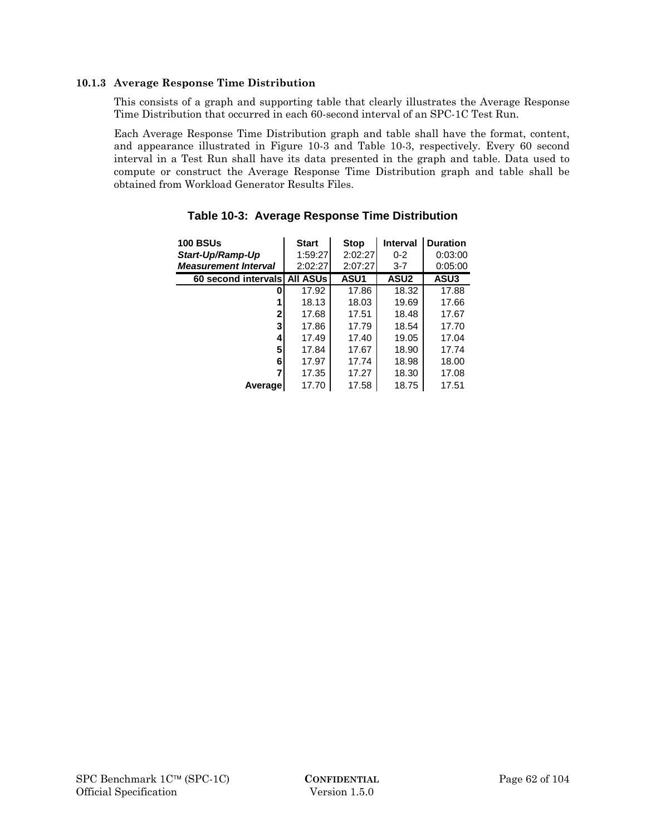#### **10.1.3 Average Response Time Distribution**

This consists of a graph and supporting table that clearly illustrates the Average Response Time Distribution that occurred in each 60-second interval of an SPC-1C Test Run.

Each Average Response Time Distribution graph and table shall have the format, content, and appearance illustrated in Figure 10-3 and Table 10-3, respectively. Every 60 second interval in a Test Run shall have its data presented in the graph and table. Data used to compute or construct the Average Response Time Distribution graph and table shall be obtained from Workload Generator Results Files.

| <b>100 BSUs</b>             | <b>Start</b>    | <b>Stop</b> | <b>Interval</b> | <b>Duration</b> |
|-----------------------------|-----------------|-------------|-----------------|-----------------|
| Start-Up/Ramp-Up            | 1:59:27         | 2:02:27     | $0 - 2$         | 0:03:00         |
| <b>Measurement Interval</b> | 2:02:27         | 2:07:27     | $3 - 7$         | 0:05:00         |
| 60 second intervals         | <b>All ASUs</b> | ASU1        | <b>ASU2</b>     | ASU3            |
| 0                           | 17.92           | 17.86       | 18.32           | 17.88           |
|                             | 18.13           | 18.03       | 19.69           | 17.66           |
| 2                           | 17.68           | 17.51       | 18.48           | 17.67           |
| 3                           | 17.86           | 17.79       | 18.54           | 17.70           |
| 4                           | 17.49           | 17.40       | 19.05           | 17.04           |
| 5                           | 17.84           | 17.67       | 18.90           | 17.74           |
| 6                           | 17.97           | 17.74       | 18.98           | 18.00           |
| 7                           | 17.35           | 17.27       | 18.30           | 17.08           |
| Average                     | 17.70           | 17.58       | 18.75           | 17.51           |

## **Table 10-3: Average Response Time Distribution**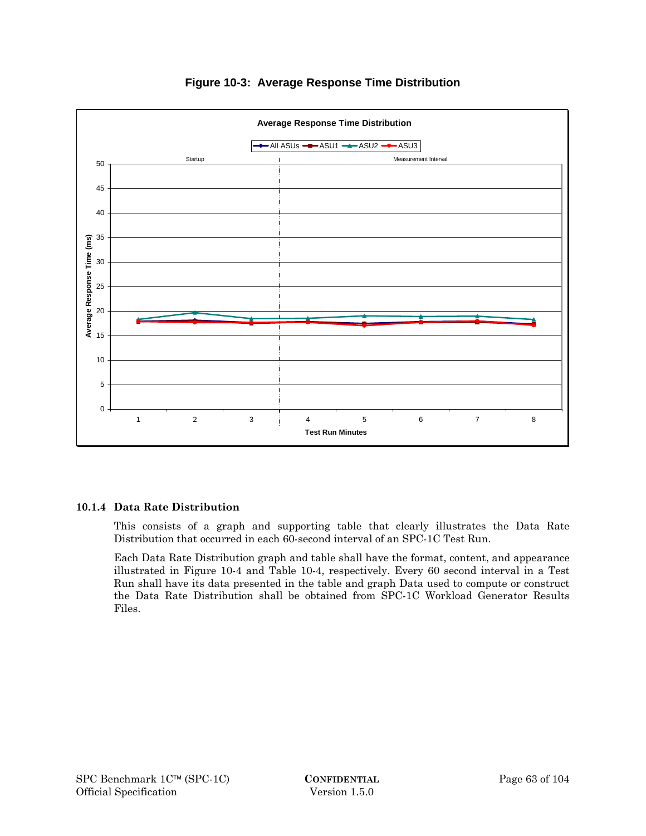

## **Figure 10-3: Average Response Time Distribution**

#### **10.1.4 Data Rate Distribution**

This consists of a graph and supporting table that clearly illustrates the Data Rate Distribution that occurred in each 60-second interval of an SPC-1C Test Run.

Each Data Rate Distribution graph and table shall have the format, content, and appearance illustrated in Figure 10-4 and Table 10-4, respectively. Every 60 second interval in a Test Run shall have its data presented in the table and graph Data used to compute or construct the Data Rate Distribution shall be obtained from SPC-1C Workload Generator Results Files.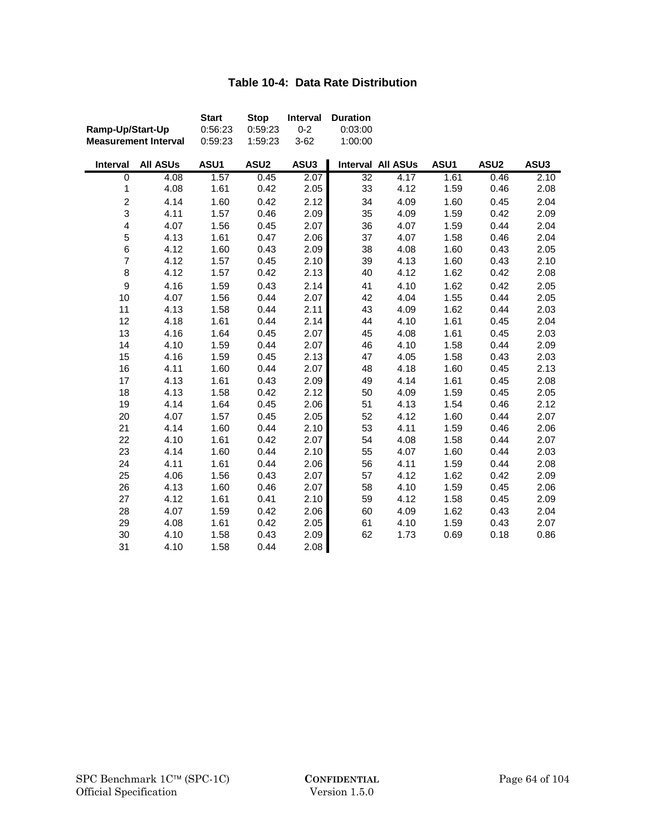# **Table 10-4: Data Rate Distribution**

|                         |                             | <b>Start</b> | <b>Stop</b>      | Interval | <b>Duration</b> |                          |      |                  |      |
|-------------------------|-----------------------------|--------------|------------------|----------|-----------------|--------------------------|------|------------------|------|
| Ramp-Up/Start-Up        |                             | 0:56:23      | 0:59:23          | $0 - 2$  | 0:03:00         |                          |      |                  |      |
|                         | <b>Measurement Interval</b> | 0:59:23      | 1:59:23          | $3 - 62$ | 1:00:00         |                          |      |                  |      |
| Interval                | <b>All ASUs</b>             | ASU1         | ASU <sub>2</sub> | ASU3     |                 | <b>Interval All ASUs</b> | ASU1 | ASU <sub>2</sub> | ASU3 |
| $\overline{0}$          | 4.08                        | 1.57         | 0.45             | 2.07     | $\overline{32}$ | 4.17                     | 1.61 | 0.46             | 2.10 |
| $\mathbf 1$             | 4.08                        | 1.61         | 0.42             | 2.05     | 33              | 4.12                     | 1.59 | 0.46             | 2.08 |
| $\boldsymbol{2}$        | 4.14                        | 1.60         | 0.42             | 2.12     | 34              | 4.09                     | 1.60 | 0.45             | 2.04 |
| 3                       | 4.11                        | 1.57         | 0.46             | 2.09     | 35              | 4.09                     | 1.59 | 0.42             | 2.09 |
| $\overline{\mathbf{4}}$ | 4.07                        | 1.56         | 0.45             | 2.07     | 36              | 4.07                     | 1.59 | 0.44             | 2.04 |
| 5                       | 4.13                        | 1.61         | 0.47             | 2.06     | 37              | 4.07                     | 1.58 | 0.46             | 2.04 |
| 6                       | 4.12                        | 1.60         | 0.43             | 2.09     | 38              | 4.08                     | 1.60 | 0.43             | 2.05 |
| $\overline{7}$          | 4.12                        | 1.57         | 0.45             | 2.10     | 39              | 4.13                     | 1.60 | 0.43             | 2.10 |
| 8                       | 4.12                        | 1.57         | 0.42             | 2.13     | 40              | 4.12                     | 1.62 | 0.42             | 2.08 |
| $\mathbf 9$             | 4.16                        | 1.59         | 0.43             | 2.14     | 41              | 4.10                     | 1.62 | 0.42             | 2.05 |
| 10                      | 4.07                        | 1.56         | 0.44             | 2.07     | 42              | 4.04                     | 1.55 | 0.44             | 2.05 |
| 11                      | 4.13                        | 1.58         | 0.44             | 2.11     | 43              | 4.09                     | 1.62 | 0.44             | 2.03 |
| 12                      | 4.18                        | 1.61         | 0.44             | 2.14     | 44              | 4.10                     | 1.61 | 0.45             | 2.04 |
| 13                      | 4.16                        | 1.64         | 0.45             | 2.07     | 45              | 4.08                     | 1.61 | 0.45             | 2.03 |
| 14                      | 4.10                        | 1.59         | 0.44             | 2.07     | 46              | 4.10                     | 1.58 | 0.44             | 2.09 |
| 15                      | 4.16                        | 1.59         | 0.45             | 2.13     | 47              | 4.05                     | 1.58 | 0.43             | 2.03 |
| 16                      | 4.11                        | 1.60         | 0.44             | 2.07     | 48              | 4.18                     | 1.60 | 0.45             | 2.13 |
| 17                      | 4.13                        | 1.61         | 0.43             | 2.09     | 49              | 4.14                     | 1.61 | 0.45             | 2.08 |
| 18                      | 4.13                        | 1.58         | 0.42             | 2.12     | 50              | 4.09                     | 1.59 | 0.45             | 2.05 |
| 19                      | 4.14                        | 1.64         | 0.45             | 2.06     | 51              | 4.13                     | 1.54 | 0.46             | 2.12 |
| 20                      | 4.07                        | 1.57         | 0.45             | 2.05     | 52              | 4.12                     | 1.60 | 0.44             | 2.07 |
| 21                      | 4.14                        | 1.60         | 0.44             | 2.10     | 53              | 4.11                     | 1.59 | 0.46             | 2.06 |
| 22                      | 4.10                        | 1.61         | 0.42             | 2.07     | 54              | 4.08                     | 1.58 | 0.44             | 2.07 |
| 23                      | 4.14                        | 1.60         | 0.44             | 2.10     | 55              | 4.07                     | 1.60 | 0.44             | 2.03 |
| 24                      | 4.11                        | 1.61         | 0.44             | 2.06     | 56              | 4.11                     | 1.59 | 0.44             | 2.08 |
| 25                      | 4.06                        | 1.56         | 0.43             | 2.07     | 57              | 4.12                     | 1.62 | 0.42             | 2.09 |
| 26                      | 4.13                        | 1.60         | 0.46             | 2.07     | 58              | 4.10                     | 1.59 | 0.45             | 2.06 |
| 27                      | 4.12                        | 1.61         | 0.41             | 2.10     | 59              | 4.12                     | 1.58 | 0.45             | 2.09 |
| 28                      | 4.07                        | 1.59         | 0.42             | 2.06     | 60              | 4.09                     | 1.62 | 0.43             | 2.04 |
| 29                      | 4.08                        | 1.61         | 0.42             | 2.05     | 61              | 4.10                     | 1.59 | 0.43             | 2.07 |
| 30                      | 4.10                        | 1.58         | 0.43             | 2.09     | 62              | 1.73                     | 0.69 | 0.18             | 0.86 |
| 31                      | 4.10                        | 1.58         | 0.44             | 2.08     |                 |                          |      |                  |      |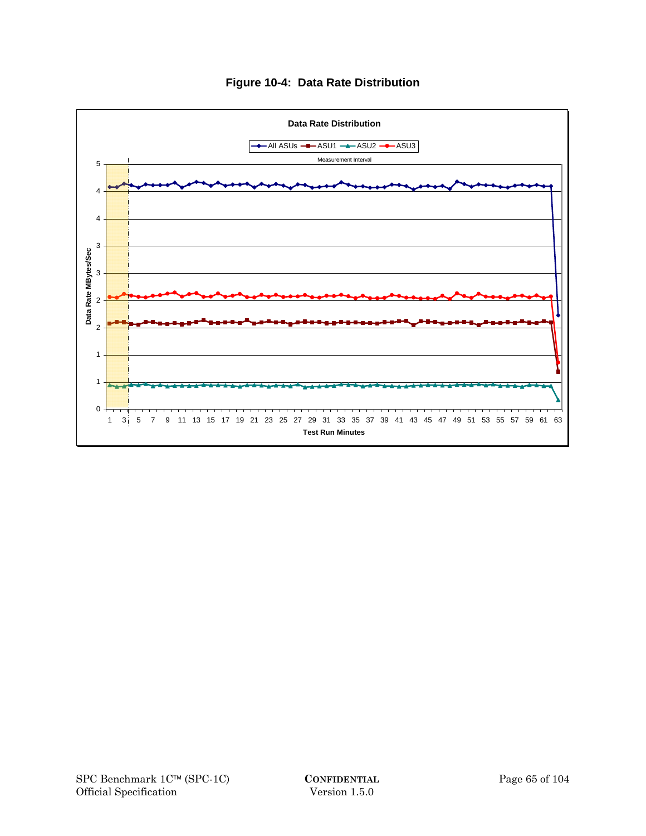

## **Figure 10-4: Data Rate Distribution**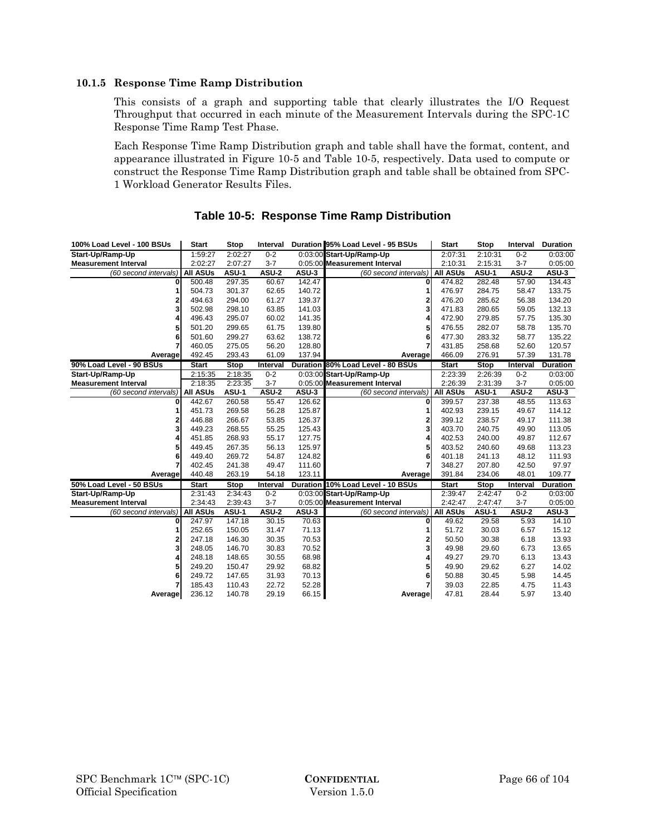#### **10.1.5 Response Time Ramp Distribution**

This consists of a graph and supporting table that clearly illustrates the I/O Request Throughput that occurred in each minute of the Measurement Intervals during the SPC-1C Response Time Ramp Test Phase.

Each Response Time Ramp Distribution graph and table shall have the format, content, and appearance illustrated in Figure 10-5 and Table 10-5, respectively. Data used to compute or construct the Response Time Ramp Distribution graph and table shall be obtained from SPC-1 Workload Generator Results Files.

| 100% Load Level - 100 BSUs  | <b>Start</b>    | <b>Stop</b> | Interval     |                 | Duration 95% Load Level - 95 BSUs | <b>Start</b>    | Stop        | Interval     | <b>Duration</b> |
|-----------------------------|-----------------|-------------|--------------|-----------------|-----------------------------------|-----------------|-------------|--------------|-----------------|
| Start-Up/Ramp-Up            | 1:59:27         | 2:02:27     | $0 - 2$      |                 | 0:03:00 Start-Up/Ramp-Up          | 2:07:31         | 2:10:31     | $0 - 2$      | 0:03:00         |
| <b>Measurement Interval</b> | 2:02:27         | 2:07:27     | $3 - 7$      |                 | 0:05:00 Measurement Interval      | 2:10:31         | 2:15:31     | $3 - 7$      | 0:05:00         |
| (60 second intervals)       | <b>All ASUs</b> | ASU-1       | ASU-2        | ASU-3           | (60 second intervals)             | <b>All ASUs</b> | ASU-1       | ASU-2        | ASU-3           |
| 0                           | 500.48          | 297.35      | 60.67        | 142.47          | 0                                 | 474.82          | 282.48      | 57.90        | 134.43          |
| 1                           | 504.73          | 301.37      | 62.65        | 140.72          |                                   | 476.97          | 284.75      | 58.47        | 133.75          |
| $\mathbf{2}$                | 494.63          | 294.00      | 61.27        | 139.37          | 2                                 | 476.20          | 285.62      | 56.38        | 134.20          |
| 3                           | 502.98          | 298.10      | 63.85        | 141.03          | 3                                 | 471.83          | 280.65      | 59.05        | 132.13          |
| 4                           | 496.43          | 295.07      | 60.02        | 141.35          |                                   | 472.90          | 279.85      | 57.75        | 135.30          |
| 5                           | 501.20          | 299.65      | 61.75        | 139.80          | 5                                 | 476.55          | 282.07      | 58.78        | 135.70          |
| 6                           | 501.60          | 299.27      | 63.62        | 138.72          | 6                                 | 477.30          | 283.32      | 58.77        | 135.22          |
| 7                           | 460.05          | 275.05      | 56.20        | 128.80          |                                   | 431.85          | 258.68      | 52.60        | 120.57          |
| Average                     | 492.45          | 293.43      | 61.09        | 137.94          | Average                           | 466.09          | 276.91      | 57.39        | 131.78          |
| 90% Load Level - 90 BSUs    | <b>Start</b>    | <b>Stop</b> | Interval     | <b>Duration</b> | 80% Load Level - 80 BSUs          | <b>Start</b>    | <b>Stop</b> | Interval     | <b>Duration</b> |
| Start-Up/Ramp-Up            | 2:15:35         | 2:18:35     | $0 - 2$      |                 | 0:03:00 Start-Up/Ramp-Up          | 2:23:39         | 2:26:39     | $0 - 2$      | 0:03:00         |
| <b>Measurement Interval</b> | 2:18:35         | 2:23:35     | $3 - 7$      |                 | 0:05:00 Measurement Interval      | 2:26:39         | 2:31:39     | $3 - 7$      | 0:05:00         |
| (60 second intervals)       | <b>All ASUs</b> | ASU-1       | <b>ASU-2</b> | ASU-3           | (60 second intervals)             | <b>All ASUs</b> | ASU-1       | <b>ASU-2</b> | ASU-3           |
| 0                           | 442.67          | 260.58      | 55.47        | 126.62          | 0                                 | 399.57          | 237.38      | 48.55        | 113.63          |
| 1                           | 451.73          | 269.58      | 56.28        | 125.87          |                                   | 402.93          | 239.15      | 49.67        | 114.12          |
| 2                           | 446.88          | 266.67      | 53.85        | 126.37          | 2                                 | 399.12          | 238.57      | 49.17        | 111.38          |
| 3                           | 449.23          | 268.55      | 55.25        | 125.43          | 3                                 | 403.70          | 240.75      | 49.90        | 113.05          |
| 4                           | 451.85          | 268.93      | 55.17        | 127.75          | 4                                 | 402.53          | 240.00      | 49.87        | 112.67          |
| 5                           | 449.45          | 267.35      | 56.13        | 125.97          | 5                                 | 403.52          | 240.60      | 49.68        | 113.23          |
| 6                           | 449.40          | 269.72      | 54.87        | 124.82          | 6                                 | 401.18          | 241.13      | 48.12        | 111.93          |
| 7                           | 402.45          | 241.38      | 49.47        | 111.60          |                                   | 348.27          | 207.80      | 42.50        | 97.97           |
| Average                     | 440.48          | 263.19      | 54.18        | 123.11          | Average                           | 391.84          | 234.06      | 48.01        | 109.77          |
| 50% Load Level - 50 BSUs    | <b>Start</b>    | <b>Stop</b> | Interval     |                 | Duration 10% Load Level - 10 BSUs | <b>Start</b>    | <b>Stop</b> | Interval     | Duration        |
| Start-Up/Ramp-Up            | 2:31:43         | 2:34:43     | $0 - 2$      |                 | 0:03:00 Start-Up/Ramp-Up          | 2:39:47         | 2:42:47     | $0 - 2$      | 0:03:00         |
| <b>Measurement Interval</b> | 2:34:43         | 2:39:43     | $3 - 7$      |                 | 0:05:00 Measurement Interval      | 2:42:47         | 2:47:47     | $3 - 7$      | 0:05:00         |
| (60 second intervals)       | <b>All ASUs</b> | ASU-1       | <b>ASU-2</b> | ASU-3           | (60 second intervals)             | <b>AII ASUs</b> | ASU-1       | <b>ASU-2</b> | ASU-3           |
| 0                           | 247.97          | 147.18      | 30.15        | 70.63           | 0                                 | 49.62           | 29.58       | 5.93         | 14.10           |
| 1                           | 252.65          | 150.05      | 31.47        | 71.13           | 1                                 | 51.72           | 30.03       | 6.57         | 15.12           |
| 2                           | 247.18          | 146.30      | 30.35        | 70.53           | 2                                 | 50.50           | 30.38       | 6.18         | 13.93           |
| 3                           | 248.05          | 146.70      | 30.83        | 70.52           | 3                                 | 49.98           | 29.60       | 6.73         | 13.65           |
| 4                           | 248.18          | 148.65      | 30.55        | 68.98           | 4                                 | 49.27           | 29.70       | 6.13         | 13.43           |
| 5                           | 249.20          | 150.47      | 29.92        | 68.82           | 5                                 | 49.90           | 29.62       | 6.27         | 14.02           |
| 6                           | 249.72          | 147.65      | 31.93        | 70.13           | 6 <sup>1</sup>                    | 50.88           | 30.45       | 5.98         | 14.45           |
| 7                           | 185.43          | 110.43      | 22.72        | 52.28           | 7                                 | 39.03           | 22.85       | 4.75         | 11.43           |
| Average                     | 236.12          | 140.78      | 29.19        | 66.15           | <b>Average</b>                    | 47.81           | 28.44       | 5.97         | 13.40           |

## **Table 10-5: Response Time Ramp Distribution**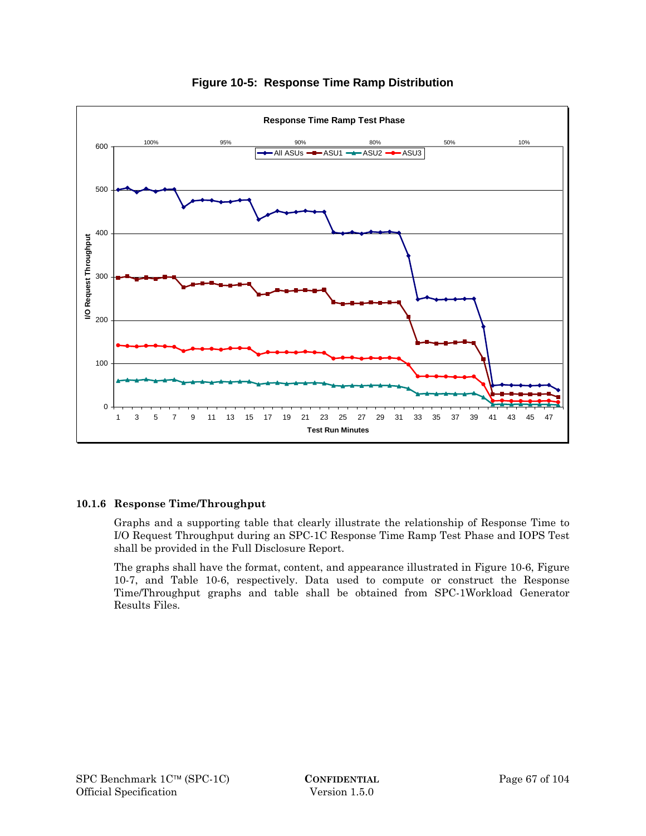

## **Figure 10-5: Response Time Ramp Distribution**

#### **10.1.6 Response Time/Throughput**

Graphs and a supporting table that clearly illustrate the relationship of Response Time to I/O Request Throughput during an SPC-1C Response Time Ramp Test Phase and IOPS Test shall be provided in the Full Disclosure Report.

The graphs shall have the format, content, and appearance illustrated in Figure 10-6, Figure 10-7, and Table 10-6, respectively. Data used to compute or construct the Response Time/Throughput graphs and table shall be obtained from SPC-1Workload Generator Results Files.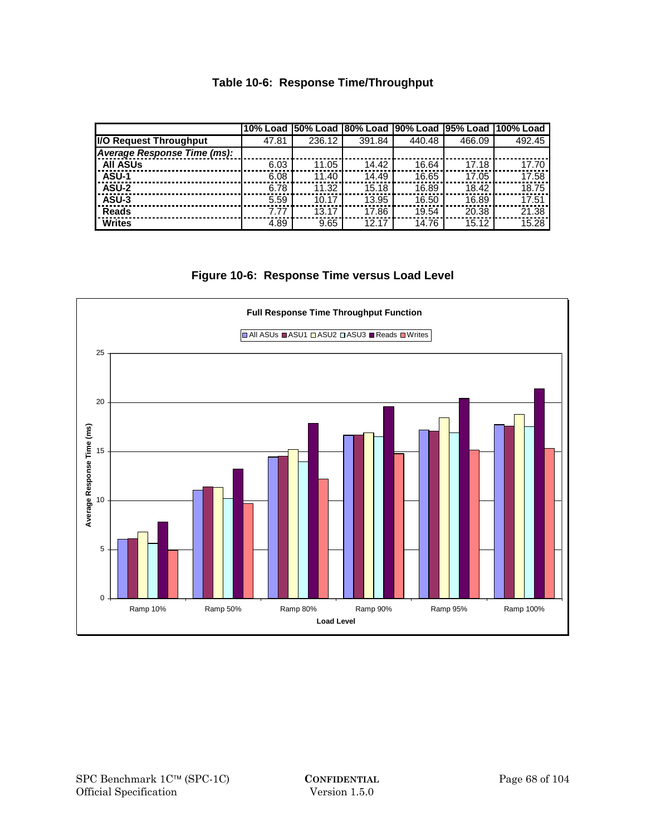# **Table 10-6: Response Time/Throughput**

|                                | 10% Load I | <b>50% Load</b> |        |        |        | 180% Load 190% Load 195% Load 1100% Load |
|--------------------------------|------------|-----------------|--------|--------|--------|------------------------------------------|
| <b>II/O Request Throughput</b> | 47.81      | 236.12          | 391.84 | 440.48 | 466.09 | 492.45                                   |
| Average Response Time (ms):    |            |                 |        |        |        |                                          |
| <b>All ASUs</b>                | 6.03       | 11.05           | 14.42  | 16.64  | 17.18  | 17.70                                    |
| ASU-1                          | 6.08       | 11.40           | 14.49  | 16.65  | 17.05  | 17.58                                    |
| ASU-2                          | 6.78       | 11.32           | 15.18  | 16.89  | 18.42  | 18.75                                    |
| ASU-3                          | 5.59       | 10.17           | 13.95  | 16.50  | 16.89  | 17.51                                    |
| <b>Reads</b>                   | 7.77       | 13.17           | 17.86  | 19.54  | 20.38  | 21.38                                    |
| <b>Writes</b>                  | 4.89       | 9.65            | 12.17  | 14.76  | 15.12  | 15.28                                    |

## **Figure 10-6: Response Time versus Load Level**

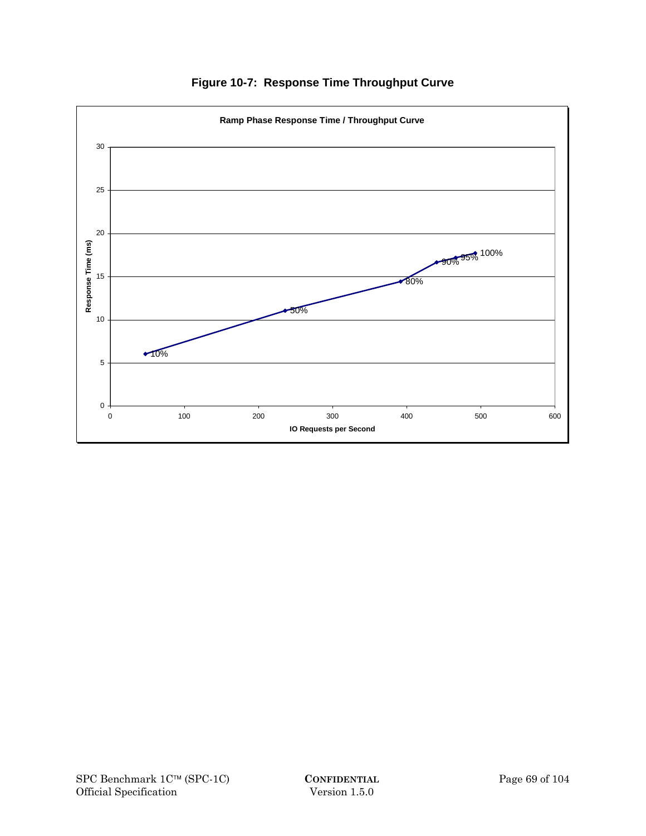

**Figure 10-7: Response Time Throughput Curve**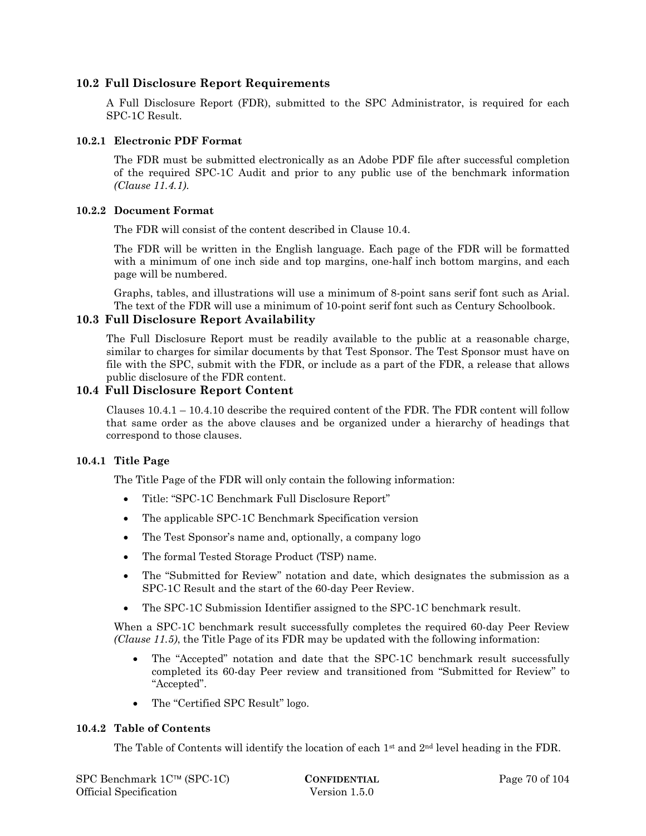#### **10.2 Full Disclosure Report Requirements**

A Full Disclosure Report (FDR), submitted to the SPC Administrator, is required for each SPC-1C Result.

#### **10.2.1 Electronic PDF Format**

The FDR must be submitted electronically as an Adobe PDF file after successful completion of the required SPC-1C Audit and prior to any public use of the benchmark information *(Clause 11.4.1)*.

#### **10.2.2 Document Format**

The FDR will consist of the content described in Clause 10.4.

The FDR will be written in the English language. Each page of the FDR will be formatted with a minimum of one inch side and top margins, one-half inch bottom margins, and each page will be numbered.

Graphs, tables, and illustrations will use a minimum of 8-point sans serif font such as Arial. The text of the FDR will use a minimum of 10-point serif font such as Century Schoolbook.

#### **10.3 Full Disclosure Report Availability**

The Full Disclosure Report must be readily available to the public at a reasonable charge, similar to charges for similar documents by that Test Sponsor. The Test Sponsor must have on file with the SPC, submit with the FDR, or include as a part of the FDR, a release that allows public disclosure of the FDR content.

#### **10.4 Full Disclosure Report Content**

Clauses  $10.4.1 - 10.4.10$  describe the required content of the FDR. The FDR content will follow that same order as the above clauses and be organized under a hierarchy of headings that correspond to those clauses.

#### **10.4.1 Title Page**

The Title Page of the FDR will only contain the following information:

- Title: "SPC-1C Benchmark Full Disclosure Report"
- The applicable SPC-1C Benchmark Specification version
- The Test Sponsor's name and, optionally, a company logo
- The formal Tested Storage Product (TSP) name.
- The "Submitted for Review" notation and date, which designates the submission as a SPC-1C Result and the start of the 60-day Peer Review.
- The SPC-1C Submission Identifier assigned to the SPC-1C benchmark result.

When a SPC-1C benchmark result successfully completes the required 60-day Peer Review *(Clause 11.5)*, the Title Page of its FDR may be updated with the following information:

- The "Accepted" notation and date that the SPC-1C benchmark result successfully completed its 60-day Peer review and transitioned from "Submitted for Review" to "Accepted".
- The "Certified SPC Result" logo.

#### **10.4.2 Table of Contents**

The Table of Contents will identify the location of each  $1<sup>st</sup>$  and  $2<sup>nd</sup>$  level heading in the FDR.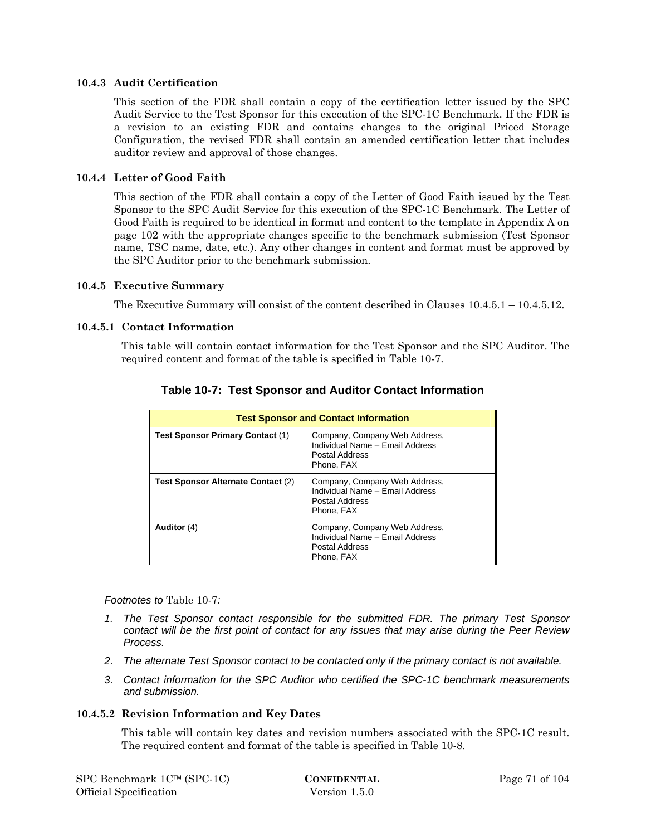#### **10.4.3 Audit Certification**

This section of the FDR shall contain a copy of the certification letter issued by the SPC Audit Service to the Test Sponsor for this execution of the SPC-1C Benchmark. If the FDR is a revision to an existing FDR and contains changes to the original Priced Storage Configuration, the revised FDR shall contain an amended certification letter that includes auditor review and approval of those changes.

#### **10.4.4 Letter of Good Faith**

This section of the FDR shall contain a copy of the Letter of Good Faith issued by the Test Sponsor to the SPC Audit Service for this execution of the SPC-1C Benchmark. The Letter of Good Faith is required to be identical in format and content to the template in Appendix A on page 102 with the appropriate changes specific to the benchmark submission (Test Sponsor name, TSC name, date, etc.). Any other changes in content and format must be approved by the SPC Auditor prior to the benchmark submission.

#### **10.4.5 Executive Summary**

The Executive Summary will consist of the content described in Clauses 10.4.5.1 – 10.4.5.12.

#### **10.4.5.1 Contact Information**

This table will contain contact information for the Test Sponsor and the SPC Auditor. The required content and format of the table is specified in Table 10-7.

| <b>Test Sponsor and Contact Information</b> |                                                                                                  |  |  |  |
|---------------------------------------------|--------------------------------------------------------------------------------------------------|--|--|--|
| <b>Test Sponsor Primary Contact (1)</b>     | Company, Company Web Address,<br>Individual Name - Email Address<br>Postal Address<br>Phone, FAX |  |  |  |
| Test Sponsor Alternate Contact (2)          | Company, Company Web Address,<br>Individual Name - Email Address<br>Postal Address<br>Phone, FAX |  |  |  |
| Auditor $(4)$                               | Company, Company Web Address,<br>Individual Name - Email Address<br>Postal Address<br>Phone, FAX |  |  |  |

## **Table 10-7: Test Sponsor and Auditor Contact Information**

#### *Footnotes to* Table 10-7*:*

- *1. The Test Sponsor contact responsible for the submitted FDR. The primary Test Sponsor contact will be the first point of contact for any issues that may arise during the Peer Review Process.*
- *2. The alternate Test Sponsor contact to be contacted only if the primary contact is not available.*
- *3. Contact information for the SPC Auditor who certified the SPC-1C benchmark measurements and submission.*

#### **10.4.5.2 Revision Information and Key Dates**

This table will contain key dates and revision numbers associated with the SPC-1C result. The required content and format of the table is specified in Table 10-8.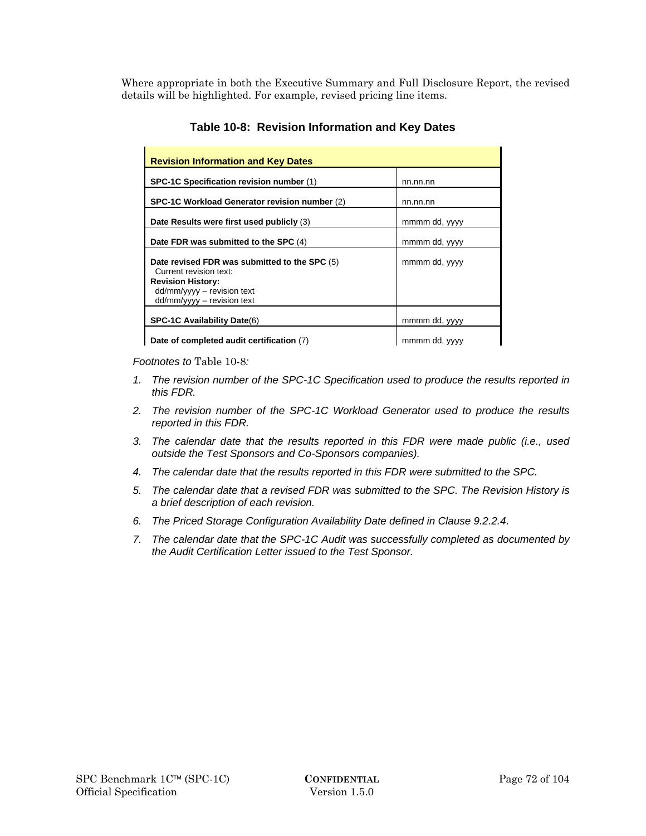Where appropriate in both the Executive Summary and Full Disclosure Report, the revised details will be highlighted. For example, revised pricing line items.

| <b>Revision Information and Key Dates</b>                                                                                                                          |               |
|--------------------------------------------------------------------------------------------------------------------------------------------------------------------|---------------|
| SPC-1C Specification revision number (1)                                                                                                                           | nn.nn.nn      |
| SPC-1C Workload Generator revision number (2)                                                                                                                      | nn.nn.nn      |
| Date Results were first used publicly (3)                                                                                                                          | mmmm dd, yyyy |
| Date FDR was submitted to the SPC (4)                                                                                                                              | mmmm dd, yyyy |
| Date revised FDR was submitted to the SPC (5)<br>Current revision text:<br><b>Revision History:</b><br>$dd/mm/yyyy -$ revision text<br>$dd/mm/yyy -$ revision text | mmmm dd, yyyy |
| <b>SPC-1C Availability Date(6)</b>                                                                                                                                 | mmmm dd, yyyy |
| Date of completed audit certification (7)                                                                                                                          | mmmm dd, yyyy |

# **Table 10-8: Revision Information and Key Dates**

*Footnotes to* Table 10-8*:* 

- *1. The revision number of the SPC-1C Specification used to produce the results reported in this FDR.*
- *2. The revision number of the SPC-1C Workload Generator used to produce the results reported in this FDR.*
- *3. The calendar date that the results reported in this FDR were made public (i.e., used outside the Test Sponsors and Co-Sponsors companies).*
- *4. The calendar date that the results reported in this FDR were submitted to the SPC.*
- *5. The calendar date that a revised FDR was submitted to the SPC. The Revision History is a brief description of each revision.*
- *6. The Priced Storage Configuration Availability Date defined in Clause 9.2.2.4*.
- *7. The calendar date that the SPC-1C Audit was successfully completed as documented by the Audit Certification Letter issued to the Test Sponsor.*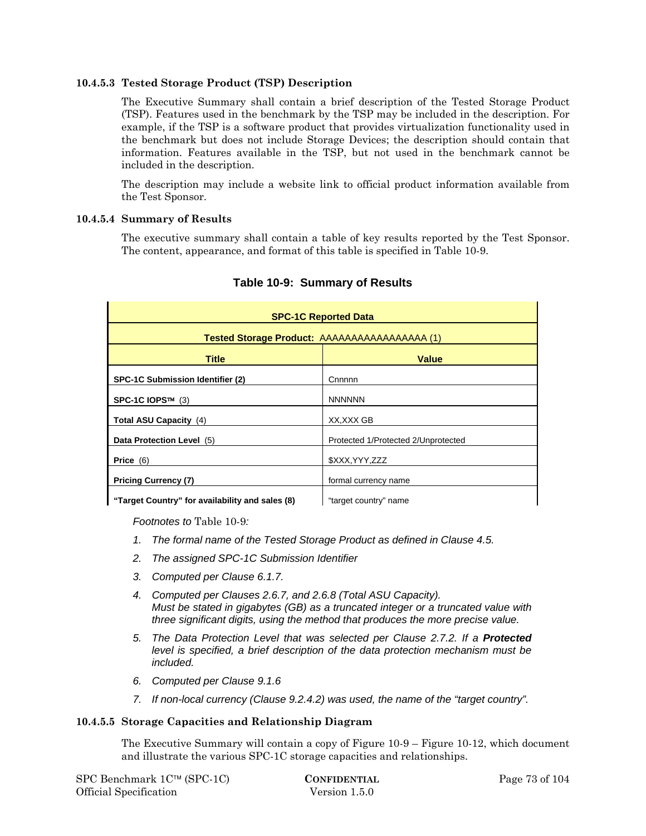### **10.4.5.3 Tested Storage Product (TSP) Description**

The Executive Summary shall contain a brief description of the Tested Storage Product (TSP). Features used in the benchmark by the TSP may be included in the description. For example, if the TSP is a software product that provides virtualization functionality used in the benchmark but does not include Storage Devices; the description should contain that information. Features available in the TSP, but not used in the benchmark cannot be included in the description.

The description may include a website link to official product information available from the Test Sponsor.

### **10.4.5.4 Summary of Results**

The executive summary shall contain a table of key results reported by the Test Sponsor. The content, appearance, and format of this table is specified in Table 10-9.

| <b>SPC-1C Reported Data</b>                          |                                     |  |  |  |
|------------------------------------------------------|-------------------------------------|--|--|--|
| <b>Tested Storage Product: AAAAAAAAAAAAAAAAA</b> (1) |                                     |  |  |  |
| <b>Title</b>                                         | <b>Value</b>                        |  |  |  |
| <b>SPC-1C Submission Identifier (2)</b>              | Cnnnnn                              |  |  |  |
| SPC-1C IOPS™ (3)                                     | <b>NNNNNN</b>                       |  |  |  |
| Total ASU Capacity (4)                               | XX, XXX GB                          |  |  |  |
| Data Protection Level (5)                            | Protected 1/Protected 2/Unprotected |  |  |  |
| Price $(6)$                                          | \$XXX, YYY, ZZZ                     |  |  |  |
| <b>Pricing Currency (7)</b>                          | formal currency name                |  |  |  |
| "Target Country" for availability and sales (8)      | "target country" name               |  |  |  |

# **Table 10-9: Summary of Results**

*Footnotes to* Table 10-9*:* 

- *1. The formal name of the Tested Storage Product as defined in Clause 4.5.*
- *2. The assigned SPC-1C Submission Identifier*
- *3. Computed per Clause 6.1.7.*
- *4. Computed per Clauses 2.6.7, and 2.6.8 (Total ASU Capacity). Must be stated in gigabytes (GB) as a truncated integer or a truncated value with three significant digits, using the method that produces the more precise value.*
- *5. The Data Protection Level that was selected per Clause 2.7.2. If a Protected level is specified, a brief description of the data protection mechanism must be included.*
- *6. Computed per Clause 9.1.6*
- *7. If non-local currency (Clause 9.2.4.2) was used, the name of the "target country".*

#### **10.4.5.5 Storage Capacities and Relationship Diagram**

The Executive Summary will contain a copy of Figure 10-9 – Figure 10-12, which document and illustrate the various SPC-1C storage capacities and relationships.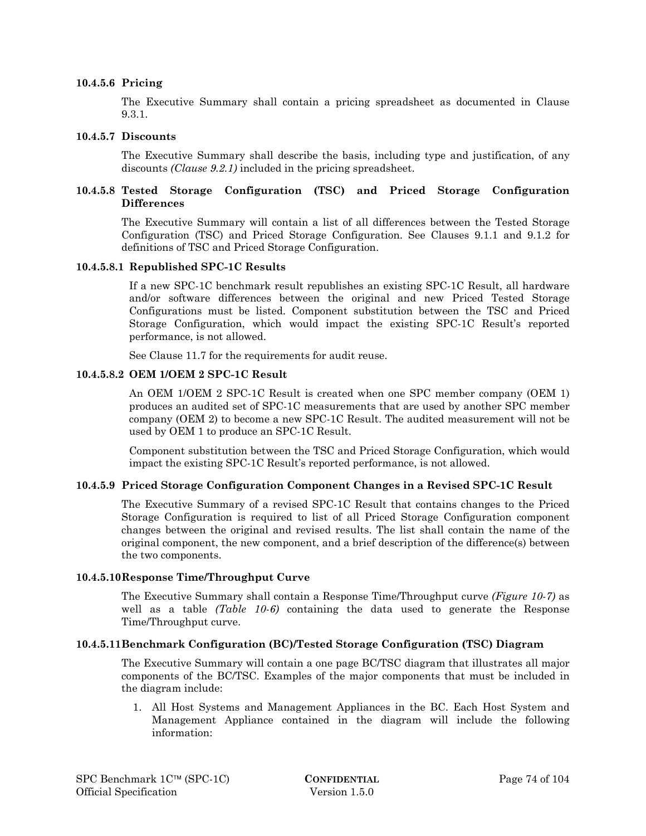#### **10.4.5.6 Pricing**

The Executive Summary shall contain a pricing spreadsheet as documented in Clause 9.3.1.

#### **10.4.5.7 Discounts**

The Executive Summary shall describe the basis, including type and justification, of any discounts *(Clause 9.2.1)* included in the pricing spreadsheet.

### **10.4.5.8 Tested Storage Configuration (TSC) and Priced Storage Configuration Differences**

The Executive Summary will contain a list of all differences between the Tested Storage Configuration (TSC) and Priced Storage Configuration. See Clauses 9.1.1 and 9.1.2 for definitions of TSC and Priced Storage Configuration.

#### **10.4.5.8.1 Republished SPC-1C Results**

If a new SPC-1C benchmark result republishes an existing SPC-1C Result, all hardware and/or software differences between the original and new Priced Tested Storage Configurations must be listed. Component substitution between the TSC and Priced Storage Configuration, which would impact the existing SPC-1C Result's reported performance, is not allowed.

See Clause 11.7 for the requirements for audit reuse.

#### **10.4.5.8.2 OEM 1/OEM 2 SPC-1C Result**

An OEM 1/OEM 2 SPC-1C Result is created when one SPC member company (OEM 1) produces an audited set of SPC-1C measurements that are used by another SPC member company (OEM 2) to become a new SPC-1C Result. The audited measurement will not be used by OEM 1 to produce an SPC-1C Result.

Component substitution between the TSC and Priced Storage Configuration, which would impact the existing SPC-1C Result's reported performance, is not allowed.

#### **10.4.5.9 Priced Storage Configuration Component Changes in a Revised SPC-1C Result**

The Executive Summary of a revised SPC-1C Result that contains changes to the Priced Storage Configuration is required to list of all Priced Storage Configuration component changes between the original and revised results. The list shall contain the name of the original component, the new component, and a brief description of the difference(s) between the two components.

#### **10.4.5.10Response Time/Throughput Curve**

The Executive Summary shall contain a Response Time/Throughput curve *(Figure 10-7)* as well as a table *(Table 10-6)* containing the data used to generate the Response Time/Throughput curve.

#### **10.4.5.11Benchmark Configuration (BC)/Tested Storage Configuration (TSC) Diagram**

The Executive Summary will contain a one page BC/TSC diagram that illustrates all major components of the BC/TSC. Examples of the major components that must be included in the diagram include:

1. All Host Systems and Management Appliances in the BC. Each Host System and Management Appliance contained in the diagram will include the following information: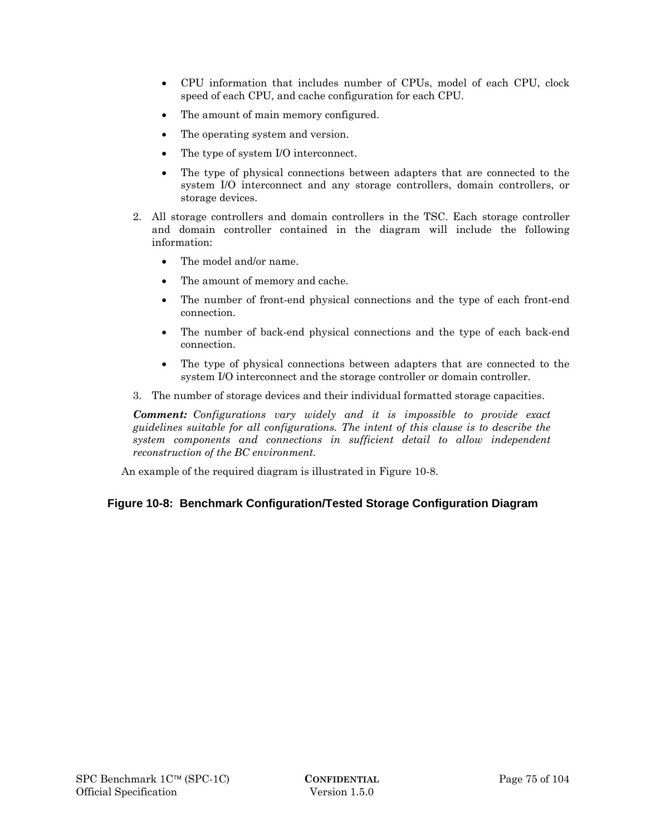- CPU information that includes number of CPUs, model of each CPU, clock speed of each CPU, and cache configuration for each CPU.
- The amount of main memory configured.
- The operating system and version.
- The type of system I/O interconnect.
- The type of physical connections between adapters that are connected to the system I/O interconnect and any storage controllers, domain controllers, or storage devices.
- 2. All storage controllers and domain controllers in the TSC. Each storage controller and domain controller contained in the diagram will include the following information:
	- The model and/or name.
	- The amount of memory and cache.
	- The number of front-end physical connections and the type of each front-end connection.
	- The number of back-end physical connections and the type of each back-end connection.
	- The type of physical connections between adapters that are connected to the system I/O interconnect and the storage controller or domain controller.
- 3. The number of storage devices and their individual formatted storage capacities.

*Comment: Configurations vary widely and it is impossible to provide exact guidelines suitable for all configurations. The intent of this clause is to describe the system components and connections in sufficient detail to allow independent reconstruction of the BC environment.* 

An example of the required diagram is illustrated in Figure 10-8.

# **Figure 10-8: Benchmark Configuration/Tested Storage Configuration Diagram**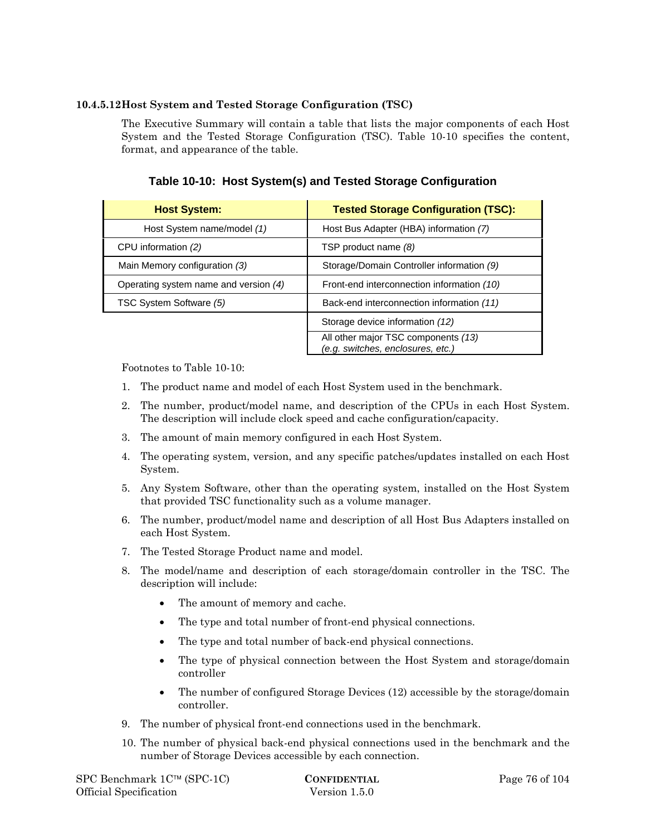### **10.4.5.12Host System and Tested Storage Configuration (TSC)**

The Executive Summary will contain a table that lists the major components of each Host System and the Tested Storage Configuration (TSC). Table 10-10 specifies the content, format, and appearance of the table.

**Table 10-10: Host System(s) and Tested Storage Configuration** 

| <b>Host System:</b>                   | <b>Tested Storage Configuration (TSC):</b>                               |
|---------------------------------------|--------------------------------------------------------------------------|
| Host System name/model (1)            | Host Bus Adapter (HBA) information (7)                                   |
| CPU information (2)                   | TSP product name (8)                                                     |
| Main Memory configuration (3)         | Storage/Domain Controller information (9)                                |
| Operating system name and version (4) | Front-end interconnection information (10)                               |
| TSC System Software (5)               | Back-end interconnection information (11)                                |
|                                       | Storage device information (12)                                          |
|                                       | All other major TSC components (13)<br>(e.g. switches, enclosures, etc.) |

Footnotes to Table 10-10:

- 1. The product name and model of each Host System used in the benchmark.
- 2. The number, product/model name, and description of the CPUs in each Host System. The description will include clock speed and cache configuration/capacity.
- 3. The amount of main memory configured in each Host System.
- 4. The operating system, version, and any specific patches/updates installed on each Host System.
- 5. Any System Software, other than the operating system, installed on the Host System that provided TSC functionality such as a volume manager.
- 6. The number, product/model name and description of all Host Bus Adapters installed on each Host System.
- 7. The Tested Storage Product name and model.
- 8. The model/name and description of each storage/domain controller in the TSC. The description will include:
	- The amount of memory and cache.
	- The type and total number of front-end physical connections.
	- The type and total number of back-end physical connections.
	- The type of physical connection between the Host System and storage/domain controller
	- The number of configured Storage Devices (12) accessible by the storage/domain controller.
- 9. The number of physical front-end connections used in the benchmark.
- 10. The number of physical back-end physical connections used in the benchmark and the number of Storage Devices accessible by each connection.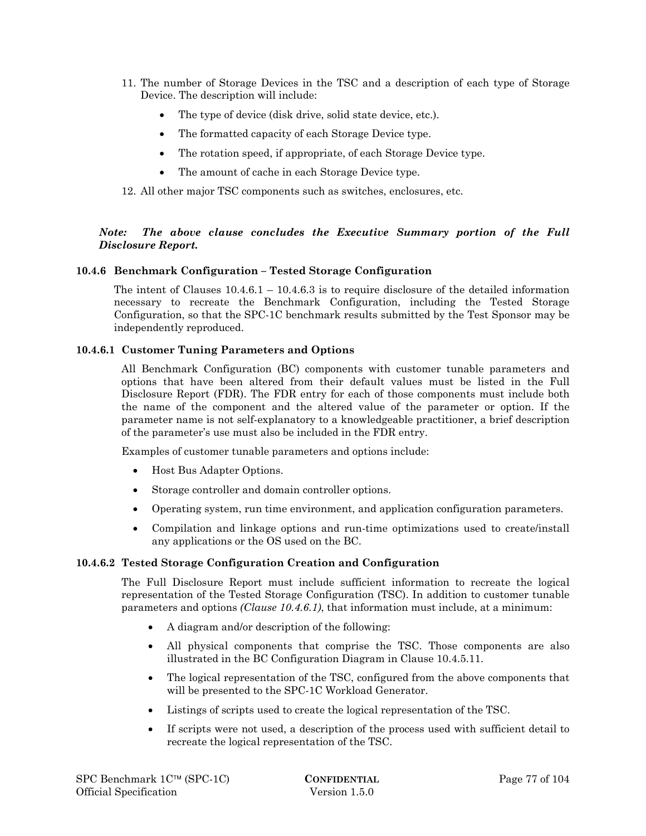- 11. The number of Storage Devices in the TSC and a description of each type of Storage Device. The description will include:
	- The type of device (disk drive, solid state device, etc.).
	- The formatted capacity of each Storage Device type.
	- The rotation speed, if appropriate, of each Storage Device type.
	- The amount of cache in each Storage Device type.

12. All other major TSC components such as switches, enclosures, etc.

### *Note: The above clause concludes the Executive Summary portion of the Full Disclosure Report.*

### **10.4.6 Benchmark Configuration – Tested Storage Configuration**

The intent of Clauses  $10.4.6.1 - 10.4.6.3$  is to require disclosure of the detailed information necessary to recreate the Benchmark Configuration, including the Tested Storage Configuration, so that the SPC-1C benchmark results submitted by the Test Sponsor may be independently reproduced.

### **10.4.6.1 Customer Tuning Parameters and Options**

All Benchmark Configuration (BC) components with customer tunable parameters and options that have been altered from their default values must be listed in the Full Disclosure Report (FDR). The FDR entry for each of those components must include both the name of the component and the altered value of the parameter or option. If the parameter name is not self-explanatory to a knowledgeable practitioner, a brief description of the parameter's use must also be included in the FDR entry.

Examples of customer tunable parameters and options include:

- Host Bus Adapter Options.
- Storage controller and domain controller options.
- Operating system, run time environment, and application configuration parameters.
- Compilation and linkage options and run-time optimizations used to create/install any applications or the OS used on the BC.

### **10.4.6.2 Tested Storage Configuration Creation and Configuration**

The Full Disclosure Report must include sufficient information to recreate the logical representation of the Tested Storage Configuration (TSC). In addition to customer tunable parameters and options *(Clause 10.4.6.1)*, that information must include, at a minimum:

- A diagram and/or description of the following:
- All physical components that comprise the TSC. Those components are also illustrated in the BC Configuration Diagram in Clause 10.4.5.11.
- The logical representation of the TSC, configured from the above components that will be presented to the SPC-1C Workload Generator.
- Listings of scripts used to create the logical representation of the TSC.
- If scripts were not used, a description of the process used with sufficient detail to recreate the logical representation of the TSC.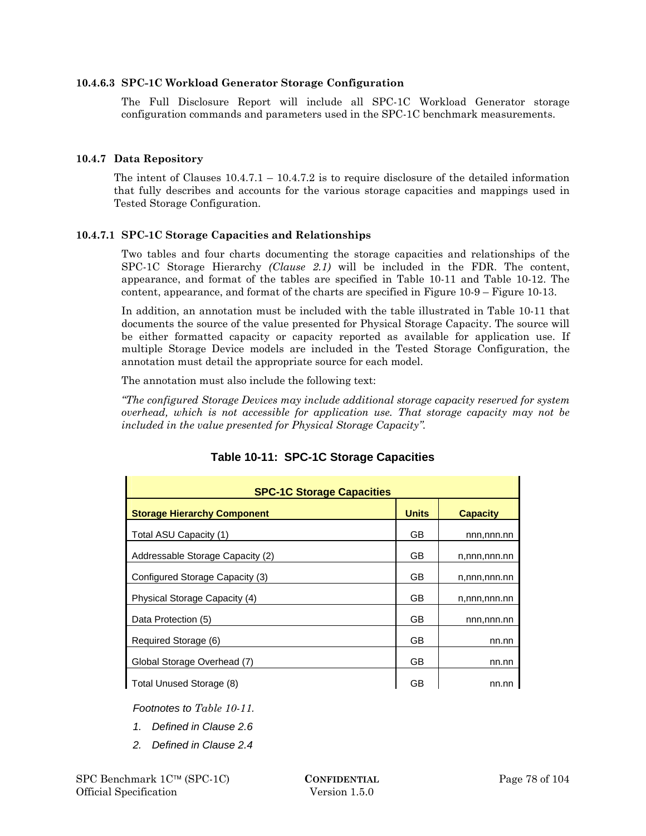### **10.4.6.3 SPC-1C Workload Generator Storage Configuration**

The Full Disclosure Report will include all SPC-1C Workload Generator storage configuration commands and parameters used in the SPC-1C benchmark measurements.

### **10.4.7 Data Repository**

The intent of Clauses  $10.4.7.1 - 10.4.7.2$  is to require disclosure of the detailed information that fully describes and accounts for the various storage capacities and mappings used in Tested Storage Configuration.

### **10.4.7.1 SPC-1C Storage Capacities and Relationships**

Two tables and four charts documenting the storage capacities and relationships of the SPC-1C Storage Hierarchy *(Clause 2.1)* will be included in the FDR. The content, appearance, and format of the tables are specified in Table 10-11 and Table 10-12. The content, appearance, and format of the charts are specified in Figure 10-9 – Figure 10-13.

In addition, an annotation must be included with the table illustrated in Table 10-11 that documents the source of the value presented for Physical Storage Capacity. The source will be either formatted capacity or capacity reported as available for application use. If multiple Storage Device models are included in the Tested Storage Configuration, the annotation must detail the appropriate source for each model.

The annotation must also include the following text:

*"The configured Storage Devices may include additional storage capacity reserved for system overhead, which is not accessible for application use. That storage capacity may not be included in the value presented for Physical Storage Capacity".* 

| <b>SPC-1C Storage Capacities</b>   |              |                 |  |  |  |
|------------------------------------|--------------|-----------------|--|--|--|
| <b>Storage Hierarchy Component</b> | <b>Units</b> | <b>Capacity</b> |  |  |  |
| Total ASU Capacity (1)             | GB           | nnn,nnn.nn      |  |  |  |
| Addressable Storage Capacity (2)   | GB           | n,nnn,nnn.nn    |  |  |  |
| Configured Storage Capacity (3)    | GB           | n,nnn,nnn.nn    |  |  |  |
| Physical Storage Capacity (4)      | GB           | n,nnn,nnn.nn    |  |  |  |
| Data Protection (5)                | GB           | nnn,nnn.nn      |  |  |  |
| Required Storage (6)               | GB           | nn.nn           |  |  |  |
| Global Storage Overhead (7)        | GB           | nn.nn           |  |  |  |
| Total Unused Storage (8)           | GB           | nn.nn           |  |  |  |

# **Table 10-11: SPC-1C Storage Capacities**

*Footnotes to Table 10-11.* 

- *1. Defined in Clause 2.6*
- *2. Defined in Clause 2.4*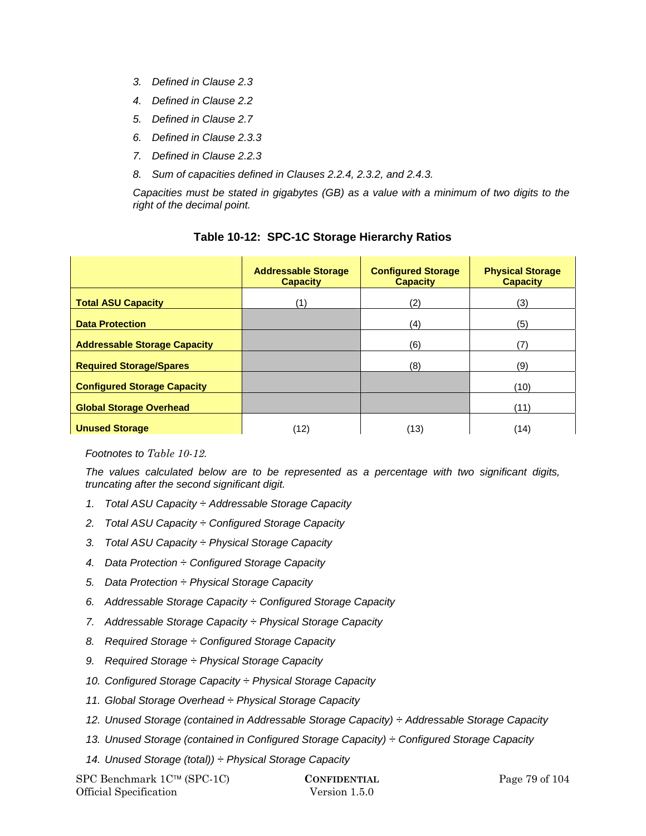- *3. Defined in Clause 2.3*
- *4. Defined in Clause 2.2*
- *5. Defined in Clause 2.7*
- *6. Defined in Clause 2.3.3*
- *7. Defined in Clause 2.2.3*
- *8. Sum of capacities defined in Clauses 2.2.4, 2.3.2, and 2.4.3.*

*Capacities must be stated in gigabytes (GB) as a value with a minimum of two digits to the right of the decimal point.* 

|                                     | <b>Addressable Storage</b><br><b>Capacity</b> | <b>Configured Storage</b><br><b>Capacity</b> | <b>Physical Storage</b><br><b>Capacity</b> |
|-------------------------------------|-----------------------------------------------|----------------------------------------------|--------------------------------------------|
| <b>Total ASU Capacity</b>           | (1                                            | (2)                                          | (3)                                        |
| <b>Data Protection</b>              |                                               | (4)                                          | (5)                                        |
| <b>Addressable Storage Capacity</b> |                                               | (6)                                          | 17                                         |
| <b>Required Storage/Spares</b>      |                                               | (8)                                          | (9)                                        |
| <b>Configured Storage Capacity</b>  |                                               |                                              | (10)                                       |
| <b>Global Storage Overhead</b>      |                                               |                                              | (11)                                       |
| <b>Unused Storage</b>               | (12)                                          | (13)                                         | (14)                                       |

### **Table 10-12: SPC-1C Storage Hierarchy Ratios**

*Footnotes to Table 10-12.* 

*The values calculated below are to be represented as a percentage with two significant digits, truncating after the second significant digit.* 

- *1. Total ASU Capacity ÷ Addressable Storage Capacity*
- *2. Total ASU Capacity ÷ Configured Storage Capacity*
- *3. Total ASU Capacity ÷ Physical Storage Capacity*
- *4. Data Protection ÷ Configured Storage Capacity*
- *5. Data Protection ÷ Physical Storage Capacity*
- *6. Addressable Storage Capacity ÷ Configured Storage Capacity*
- *7. Addressable Storage Capacity ÷ Physical Storage Capacity*
- *8. Required Storage ÷ Configured Storage Capacity*
- *9. Required Storage ÷ Physical Storage Capacity*
- *10. Configured Storage Capacity ÷ Physical Storage Capacity*
- *11. Global Storage Overhead ÷ Physical Storage Capacity*
- *12. Unused Storage (contained in Addressable Storage Capacity) ÷ Addressable Storage Capacity*
- *13. Unused Storage (contained in Configured Storage Capacity) ÷ Configured Storage Capacity*
- *14. Unused Storage (total)) ÷ Physical Storage Capacity*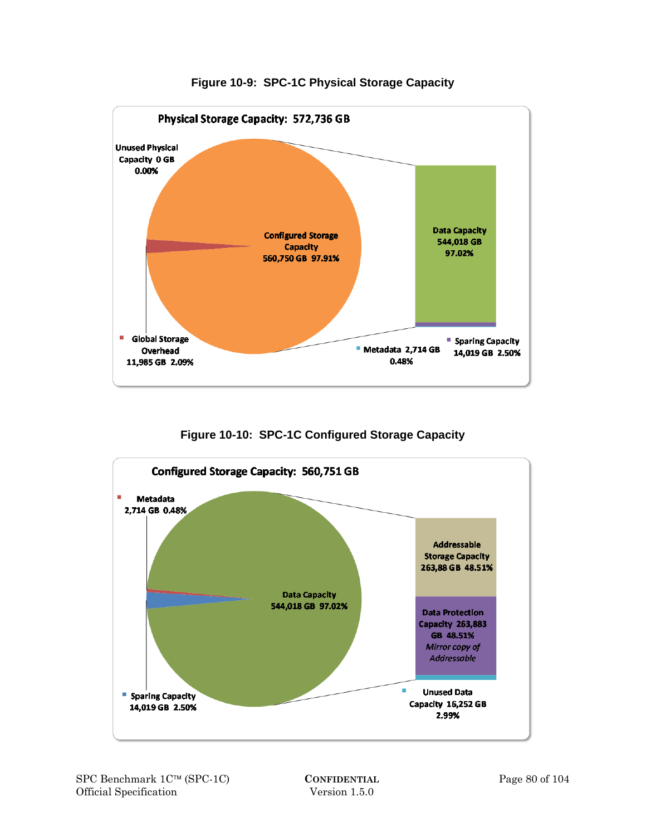

**Figure 10-9: SPC-1C Physical Storage Capacity** 

**Figure 10-10: SPC-1C Configured Storage Capacity** 

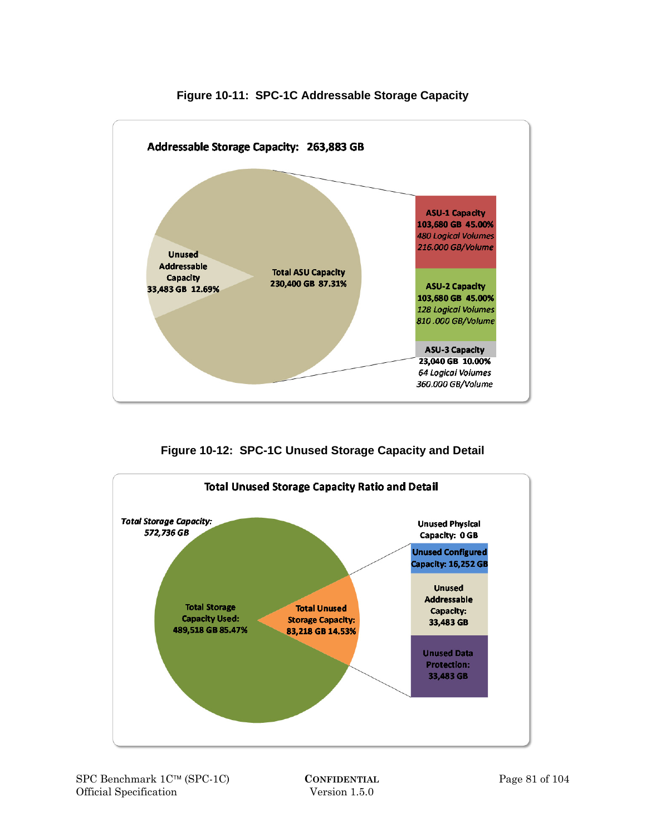

**Figure 10-11: SPC-1C Addressable Storage Capacity** 

**Figure 10-12: SPC-1C Unused Storage Capacity and Detail** 

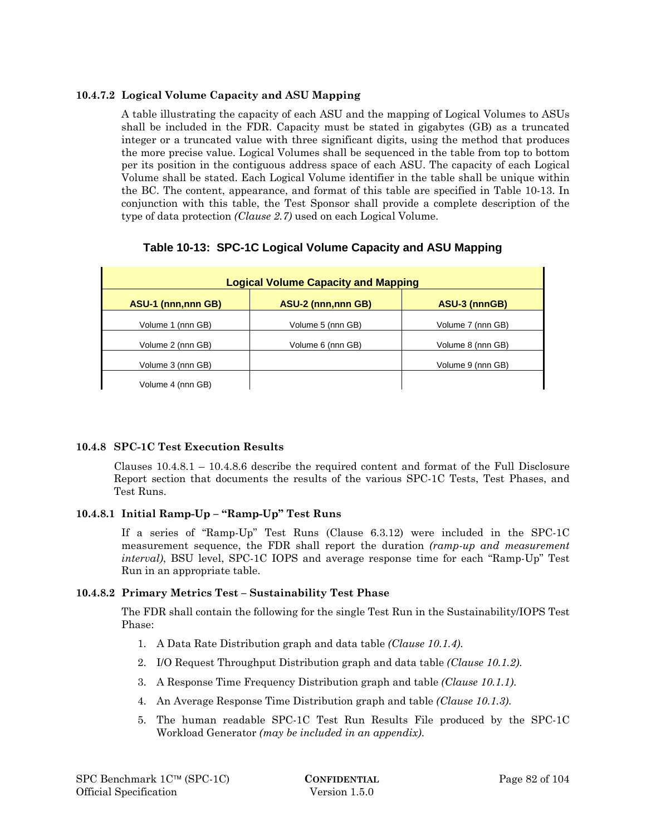# **10.4.7.2 Logical Volume Capacity and ASU Mapping**

A table illustrating the capacity of each ASU and the mapping of Logical Volumes to ASUs shall be included in the FDR. Capacity must be stated in gigabytes (GB) as a truncated integer or a truncated value with three significant digits, using the method that produces the more precise value. Logical Volumes shall be sequenced in the table from top to bottom per its position in the contiguous address space of each ASU. The capacity of each Logical Volume shall be stated. Each Logical Volume identifier in the table shall be unique within the BC. The content, appearance, and format of this table are specified in Table 10-13. In conjunction with this table, the Test Sponsor shall provide a complete description of the type of data protection *(Clause 2.7)* used on each Logical Volume.

# **Table 10-13: SPC-1C Logical Volume Capacity and ASU Mapping**

| <b>Logical Volume Capacity and Mapping</b> |                           |                   |  |  |  |
|--------------------------------------------|---------------------------|-------------------|--|--|--|
| ASU-1 (nnn, nnn GB)                        | <b>ASU-2 (nnn,nnn GB)</b> | ASU-3 (nnnGB)     |  |  |  |
| Volume 1 (nnn GB)                          | Volume 5 (nnn GB)         | Volume 7 (nnn GB) |  |  |  |
| Volume 2 (nnn GB)                          | Volume 6 (nnn GB)         | Volume 8 (nnn GB) |  |  |  |
| Volume 3 (nnn GB)                          |                           | Volume 9 (nnn GB) |  |  |  |
| Volume 4 (nnn GB)                          |                           |                   |  |  |  |

# **10.4.8 SPC-1C Test Execution Results**

Clauses 10.4.8.1 – 10.4.8.6 describe the required content and format of the Full Disclosure Report section that documents the results of the various SPC-1C Tests, Test Phases, and Test Runs.

### **10.4.8.1 Initial Ramp-Up – "Ramp-Up" Test Runs**

If a series of "Ramp-Up" Test Runs (Clause 6.3.12) were included in the SPC-1C measurement sequence, the FDR shall report the duration *(ramp-up and measurement interval)*, BSU level, SPC-1C IOPS and average response time for each "Ramp-Up" Test Run in an appropriate table.

### **10.4.8.2 Primary Metrics Test – Sustainability Test Phase**

The FDR shall contain the following for the single Test Run in the Sustainability/IOPS Test Phase:

- 1. A Data Rate Distribution graph and data table *(Clause 10.1.4)*.
- 2. I/O Request Throughput Distribution graph and data table *(Clause 10.1.2)*.
- 3. A Response Time Frequency Distribution graph and table *(Clause 10.1.1)*.
- 4. An Average Response Time Distribution graph and table *(Clause 10.1.3)*.
- 5. The human readable SPC-1C Test Run Results File produced by the SPC-1C Workload Generator *(may be included in an appendix)*.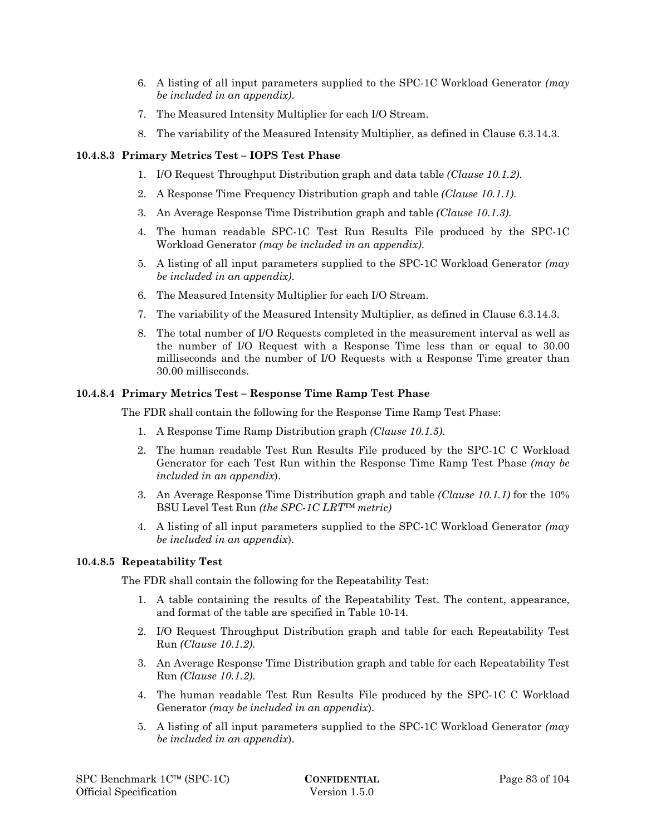- 6. A listing of all input parameters supplied to the SPC-1C Workload Generator *(may be included in an appendix)*.
- 7. The Measured Intensity Multiplier for each I/O Stream.
- 8. The variability of the Measured Intensity Multiplier, as defined in Clause 6.3.14.3.

### **10.4.8.3 Primary Metrics Test – IOPS Test Phase**

- 1. I/O Request Throughput Distribution graph and data table *(Clause 10.1.2)*.
- 2. A Response Time Frequency Distribution graph and table *(Clause 10.1.1)*.
- 3. An Average Response Time Distribution graph and table *(Clause 10.1.3)*.
- 4. The human readable SPC-1C Test Run Results File produced by the SPC-1C Workload Generator *(may be included in an appendix)*.
- 5. A listing of all input parameters supplied to the SPC-1C Workload Generator *(may be included in an appendix)*.
- 6. The Measured Intensity Multiplier for each I/O Stream.
- 7. The variability of the Measured Intensity Multiplier, as defined in Clause 6.3.14.3.
- 8. The total number of I/O Requests completed in the measurement interval as well as the number of I/O Request with a Response Time less than or equal to 30.00 milliseconds and the number of I/O Requests with a Response Time greater than 30.00 milliseconds.

#### **10.4.8.4 Primary Metrics Test – Response Time Ramp Test Phase**

The FDR shall contain the following for the Response Time Ramp Test Phase:

- 1. A Response Time Ramp Distribution graph *(Clause 10.1.5)*.
- 2. The human readable Test Run Results File produced by the SPC-1C C Workload Generator for each Test Run within the Response Time Ramp Test Phase *(may be included in an appendix*).
- 3. An Average Response Time Distribution graph and table *(Clause 10.1.1)* for the 10% BSU Level Test Run *(the SPC-1C LRT™ metric)*
- 4. A listing of all input parameters supplied to the SPC-1C Workload Generator *(may be included in an appendix*).

#### **10.4.8.5 Repeatability Test**

The FDR shall contain the following for the Repeatability Test:

- 1. A table containing the results of the Repeatability Test. The content, appearance, and format of the table are specified in Table 10-14.
- 2. I/O Request Throughput Distribution graph and table for each Repeatability Test Run *(Clause 10.1.2)*.
- 3. An Average Response Time Distribution graph and table for each Repeatability Test Run *(Clause 10.1.2)*.
- 4. The human readable Test Run Results File produced by the SPC-1C C Workload Generator *(may be included in an appendix*).
- 5. A listing of all input parameters supplied to the SPC-1C Workload Generator *(may be included in an appendix*).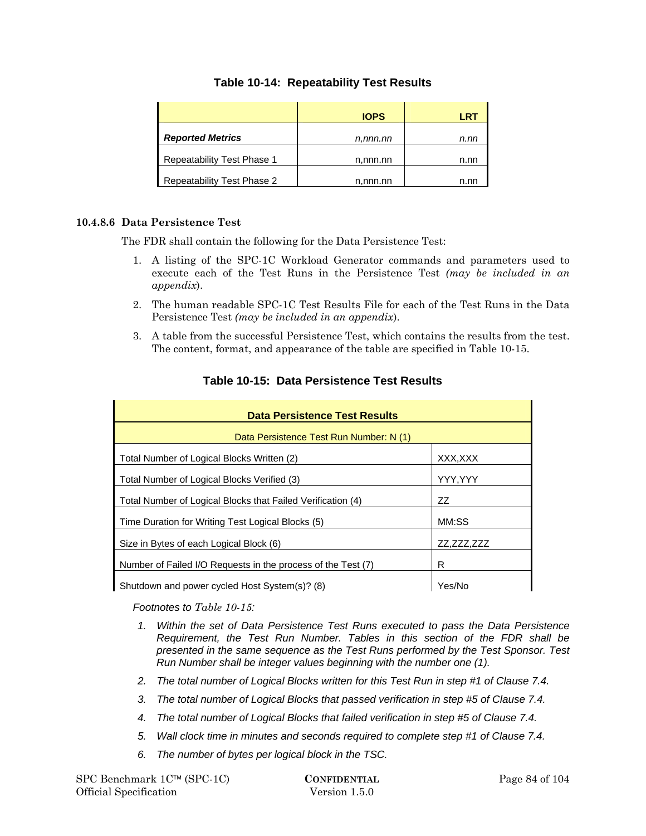# **Table 10-14: Repeatability Test Results**

|                            | <b>IOPS</b> | <b>TRE</b> |
|----------------------------|-------------|------------|
| <b>Reported Metrics</b>    | n,nnn.nn    | n.nn       |
| Repeatability Test Phase 1 | n,nnn.nn    | n.nn       |
| Repeatability Test Phase 2 | n,nnn.nn    | n.nr       |

### **10.4.8.6 Data Persistence Test**

The FDR shall contain the following for the Data Persistence Test:

- 1. A listing of the SPC-1C Workload Generator commands and parameters used to execute each of the Test Runs in the Persistence Test *(may be included in an appendix*).
- 2. The human readable SPC-1C Test Results File for each of the Test Runs in the Data Persistence Test *(may be included in an appendix*).
- 3. A table from the successful Persistence Test, which contains the results from the test. The content, format, and appearance of the table are specified in Table 10-15.

| <b>Data Persistence Test Results</b>                         |            |  |  |  |
|--------------------------------------------------------------|------------|--|--|--|
| Data Persistence Test Run Number: N (1)                      |            |  |  |  |
| Total Number of Logical Blocks Written (2)                   | XXX,XXX    |  |  |  |
| Total Number of Logical Blocks Verified (3)                  | YYY,YYY    |  |  |  |
| Total Number of Logical Blocks that Failed Verification (4)  | ZZ         |  |  |  |
| Time Duration for Writing Test Logical Blocks (5)            | MM:SS      |  |  |  |
| Size in Bytes of each Logical Block (6)                      | ZZ,ZZZ,ZZZ |  |  |  |
| Number of Failed I/O Requests in the process of the Test (7) | R          |  |  |  |
| Shutdown and power cycled Host System(s)? (8)                | Yes/No     |  |  |  |

# **Table 10-15: Data Persistence Test Results**

*Footnotes to Table 10-15:* 

- *1. Within the set of Data Persistence Test Runs executed to pass the Data Persistence Requirement, the Test Run Number. Tables in this section of the FDR shall be presented in the same sequence as the Test Runs performed by the Test Sponsor. Test Run Number shall be integer values beginning with the number one (1).*
- *2. The total number of Logical Blocks written for this Test Run in step #1 of Clause 7.4.*
- *3. The total number of Logical Blocks that passed verification in step #5 of Clause 7.4.*
- *4. The total number of Logical Blocks that failed verification in step #5 of Clause 7.4.*
- *5. Wall clock time in minutes and seconds required to complete step #1 of Clause 7.4.*
- *6. The number of bytes per logical block in the TSC.*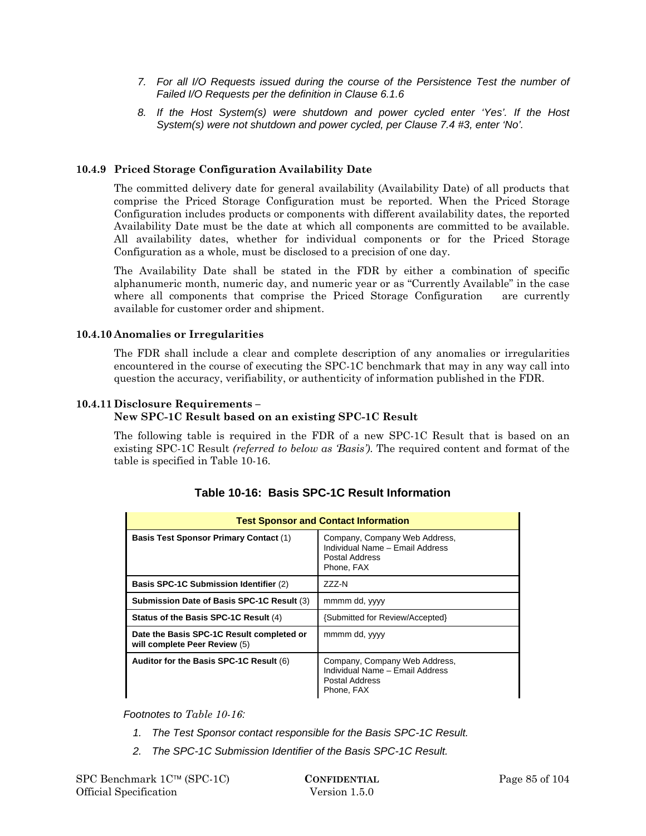- *7. For all I/O Requests issued during the course of the Persistence Test the number of Failed I/O Requests per the definition in Clause 6.1.6*
- *8. If the Host System(s) were shutdown and power cycled enter 'Yes'. If the Host System(s) were not shutdown and power cycled, per Clause 7.4 #3, enter 'No'.*

### **10.4.9 Priced Storage Configuration Availability Date**

The committed delivery date for general availability (Availability Date) of all products that comprise the Priced Storage Configuration must be reported. When the Priced Storage Configuration includes products or components with different availability dates, the reported Availability Date must be the date at which all components are committed to be available. All availability dates, whether for individual components or for the Priced Storage Configuration as a whole, must be disclosed to a precision of one day.

The Availability Date shall be stated in the FDR by either a combination of specific alphanumeric month, numeric day, and numeric year or as "Currently Available" in the case where all components that comprise the Priced Storage Configuration are currently available for customer order and shipment.

### **10.4.10 Anomalies or Irregularities**

The FDR shall include a clear and complete description of any anomalies or irregularities encountered in the course of executing the SPC-1C benchmark that may in any way call into question the accuracy, verifiability, or authenticity of information published in the FDR.

### **10.4.11 Disclosure Requirements –**

### **New SPC-1C Result based on an existing SPC-1C Result**

The following table is required in the FDR of a new SPC-1C Result that is based on an existing SPC-1C Result *(referred to below as 'Basis')*. The required content and format of the table is specified in Table 10-16.

| <b>Test Sponsor and Contact Information</b>                                |                                                                                                  |  |  |  |
|----------------------------------------------------------------------------|--------------------------------------------------------------------------------------------------|--|--|--|
| <b>Basis Test Sponsor Primary Contact (1)</b>                              | Company, Company Web Address,<br>Individual Name - Email Address<br>Postal Address<br>Phone, FAX |  |  |  |
| <b>Basis SPC-1C Submission Identifier (2)</b>                              | 777-N                                                                                            |  |  |  |
| Submission Date of Basis SPC-1C Result (3)                                 | mmmm dd, yyyy                                                                                    |  |  |  |
| Status of the Basis SPC-1C Result (4)                                      | {Submitted for Review/Accepted}                                                                  |  |  |  |
| Date the Basis SPC-1C Result completed or<br>will complete Peer Review (5) | mmmm dd, yyyy                                                                                    |  |  |  |
| Auditor for the Basis SPC-1C Result (6)                                    | Company, Company Web Address,<br>Individual Name - Email Address<br>Postal Address<br>Phone, FAX |  |  |  |

# **Table 10-16: Basis SPC-1C Result Information**

*Footnotes to Table 10-16:* 

- *1. The Test Sponsor contact responsible for the Basis SPC-1C Result.*
- *2. The SPC-1C Submission Identifier of the Basis SPC-1C Result.*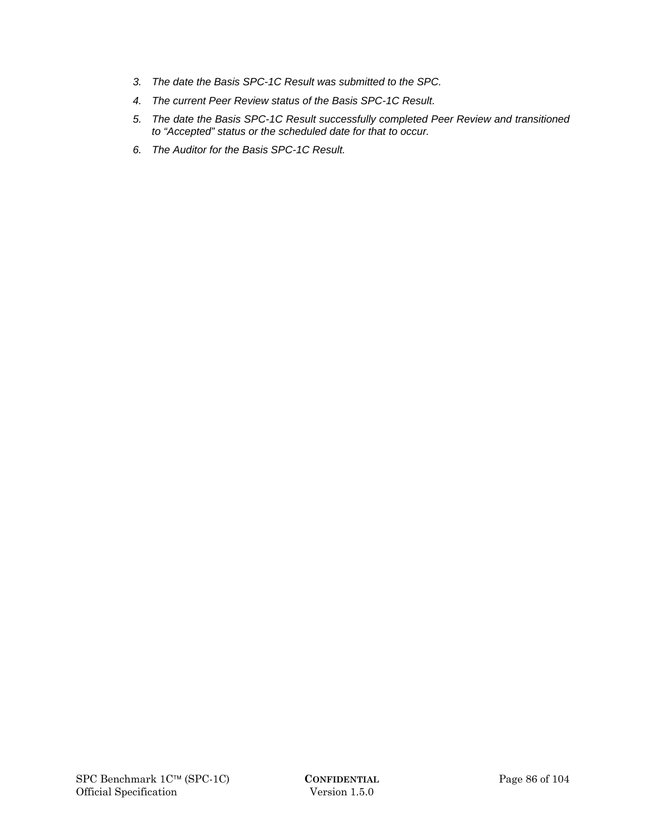- *3. The date the Basis SPC-1C Result was submitted to the SPC.*
- *4. The current Peer Review status of the Basis SPC-1C Result.*
- *5. The date the Basis SPC-1C Result successfully completed Peer Review and transitioned to "Accepted" status or the scheduled date for that to occur.*
- *6. The Auditor for the Basis SPC-1C Result.*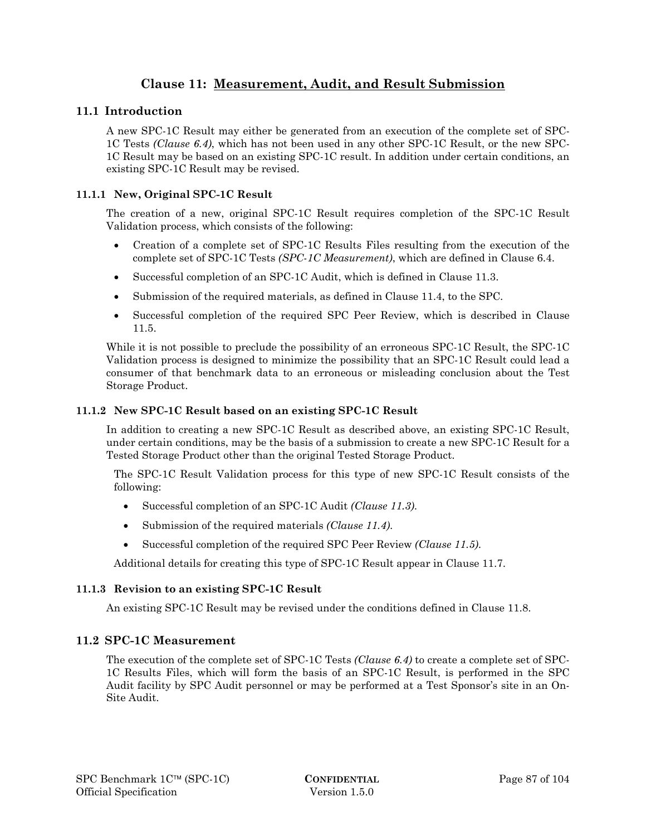# **Clause 11: Measurement, Audit, and Result Submission**

### **11.1 Introduction**

A new SPC-1C Result may either be generated from an execution of the complete set of SPC-1C Tests *(Clause 6.4)*, which has not been used in any other SPC-1C Result, or the new SPC-1C Result may be based on an existing SPC-1C result. In addition under certain conditions, an existing SPC-1C Result may be revised.

### **11.1.1 New, Original SPC-1C Result**

The creation of a new, original SPC-1C Result requires completion of the SPC-1C Result Validation process, which consists of the following:

- Creation of a complete set of SPC-1C Results Files resulting from the execution of the complete set of SPC-1C Tests *(SPC-1C Measurement)*, which are defined in Clause 6.4.
- Successful completion of an SPC-1C Audit, which is defined in Clause 11.3.
- Submission of the required materials, as defined in Clause 11.4, to the SPC.
- Successful completion of the required SPC Peer Review, which is described in Clause 11.5.

While it is not possible to preclude the possibility of an erroneous SPC-1C Result, the SPC-1C Validation process is designed to minimize the possibility that an SPC-1C Result could lead a consumer of that benchmark data to an erroneous or misleading conclusion about the Test Storage Product.

#### **11.1.2 New SPC-1C Result based on an existing SPC-1C Result**

In addition to creating a new SPC-1C Result as described above, an existing SPC-1C Result, under certain conditions, may be the basis of a submission to create a new SPC-1C Result for a Tested Storage Product other than the original Tested Storage Product.

The SPC-1C Result Validation process for this type of new SPC-1C Result consists of the following:

- Successful completion of an SPC-1C Audit *(Clause 11.3)*.
- Submission of the required materials *(Clause 11.4)*.
- Successful completion of the required SPC Peer Review *(Clause 11.5)*.

Additional details for creating this type of SPC-1C Result appear in Clause 11.7.

### **11.1.3 Revision to an existing SPC-1C Result**

An existing SPC-1C Result may be revised under the conditions defined in Clause 11.8.

### **11.2 SPC-1C Measurement**

The execution of the complete set of SPC-1C Tests *(Clause 6.4)* to create a complete set of SPC-1C Results Files, which will form the basis of an SPC-1C Result, is performed in the SPC Audit facility by SPC Audit personnel or may be performed at a Test Sponsor's site in an On-Site Audit.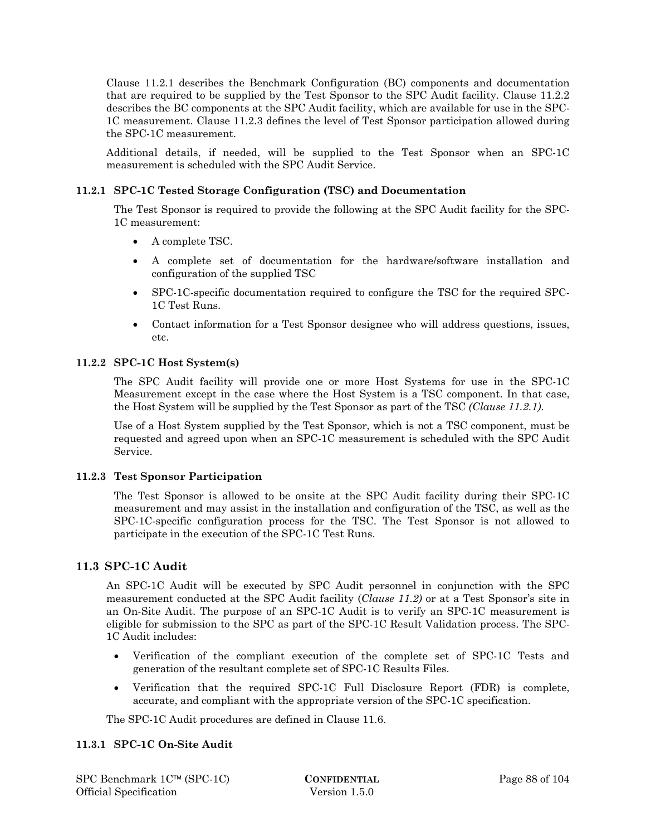Clause 11.2.1 describes the Benchmark Configuration (BC) components and documentation that are required to be supplied by the Test Sponsor to the SPC Audit facility. Clause 11.2.2 describes the BC components at the SPC Audit facility, which are available for use in the SPC-1C measurement. Clause 11.2.3 defines the level of Test Sponsor participation allowed during the SPC-1C measurement.

Additional details, if needed, will be supplied to the Test Sponsor when an SPC-1C measurement is scheduled with the SPC Audit Service.

### **11.2.1 SPC-1C Tested Storage Configuration (TSC) and Documentation**

The Test Sponsor is required to provide the following at the SPC Audit facility for the SPC-1C measurement:

- A complete TSC.
- A complete set of documentation for the hardware/software installation and configuration of the supplied TSC
- SPC-1C-specific documentation required to configure the TSC for the required SPC-1C Test Runs.
- Contact information for a Test Sponsor designee who will address questions, issues, etc.

### **11.2.2 SPC-1C Host System(s)**

The SPC Audit facility will provide one or more Host Systems for use in the SPC-1C Measurement except in the case where the Host System is a TSC component. In that case, the Host System will be supplied by the Test Sponsor as part of the TSC *(Clause 11.2.1)*.

Use of a Host System supplied by the Test Sponsor, which is not a TSC component, must be requested and agreed upon when an SPC-1C measurement is scheduled with the SPC Audit Service.

### **11.2.3 Test Sponsor Participation**

The Test Sponsor is allowed to be onsite at the SPC Audit facility during their SPC-1C measurement and may assist in the installation and configuration of the TSC, as well as the SPC-1C-specific configuration process for the TSC. The Test Sponsor is not allowed to participate in the execution of the SPC-1C Test Runs.

### **11.3 SPC-1C Audit**

An SPC-1C Audit will be executed by SPC Audit personnel in conjunction with the SPC measurement conducted at the SPC Audit facility (*Clause 11.2)* or at a Test Sponsor's site in an On-Site Audit. The purpose of an SPC-1C Audit is to verify an SPC-1C measurement is eligible for submission to the SPC as part of the SPC-1C Result Validation process. The SPC-1C Audit includes:

- Verification of the compliant execution of the complete set of SPC-1C Tests and generation of the resultant complete set of SPC-1C Results Files.
- Verification that the required SPC-1C Full Disclosure Report (FDR) is complete, accurate, and compliant with the appropriate version of the SPC-1C specification.

The SPC-1C Audit procedures are defined in Clause 11.6.

### **11.3.1 SPC-1C On-Site Audit**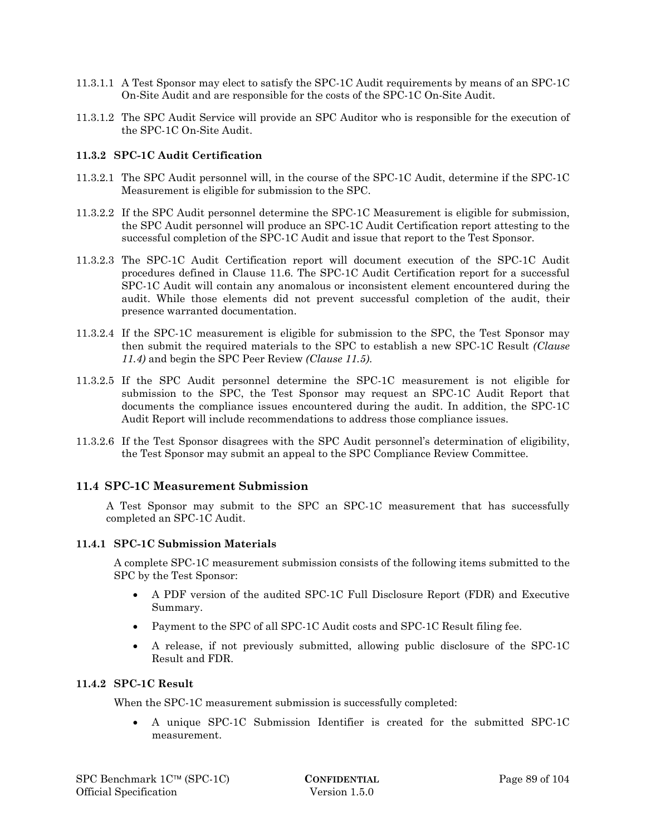- 11.3.1.1 A Test Sponsor may elect to satisfy the SPC-1C Audit requirements by means of an SPC-1C On-Site Audit and are responsible for the costs of the SPC-1C On-Site Audit.
- 11.3.1.2 The SPC Audit Service will provide an SPC Auditor who is responsible for the execution of the SPC-1C On-Site Audit.

### **11.3.2 SPC-1C Audit Certification**

- 11.3.2.1 The SPC Audit personnel will, in the course of the SPC-1C Audit, determine if the SPC-1C Measurement is eligible for submission to the SPC.
- 11.3.2.2 If the SPC Audit personnel determine the SPC-1C Measurement is eligible for submission, the SPC Audit personnel will produce an SPC-1C Audit Certification report attesting to the successful completion of the SPC-1C Audit and issue that report to the Test Sponsor.
- 11.3.2.3 The SPC-1C Audit Certification report will document execution of the SPC-1C Audit procedures defined in Clause 11.6. The SPC-1C Audit Certification report for a successful SPC-1C Audit will contain any anomalous or inconsistent element encountered during the audit. While those elements did not prevent successful completion of the audit, their presence warranted documentation.
- 11.3.2.4 If the SPC-1C measurement is eligible for submission to the SPC, the Test Sponsor may then submit the required materials to the SPC to establish a new SPC-1C Result *(Clause 11.4)* and begin the SPC Peer Review *(Clause 11.5)*.
- 11.3.2.5 If the SPC Audit personnel determine the SPC-1C measurement is not eligible for submission to the SPC, the Test Sponsor may request an SPC-1C Audit Report that documents the compliance issues encountered during the audit. In addition, the SPC-1C Audit Report will include recommendations to address those compliance issues.
- 11.3.2.6 If the Test Sponsor disagrees with the SPC Audit personnel's determination of eligibility, the Test Sponsor may submit an appeal to the SPC Compliance Review Committee.

### **11.4 SPC-1C Measurement Submission**

A Test Sponsor may submit to the SPC an SPC-1C measurement that has successfully completed an SPC-1C Audit.

#### **11.4.1 SPC-1C Submission Materials**

A complete SPC-1C measurement submission consists of the following items submitted to the SPC by the Test Sponsor:

- A PDF version of the audited SPC-1C Full Disclosure Report (FDR) and Executive Summary.
- Payment to the SPC of all SPC-1C Audit costs and SPC-1C Result filing fee.
- A release, if not previously submitted, allowing public disclosure of the SPC-1C Result and FDR.

#### **11.4.2 SPC-1C Result**

When the SPC-1C measurement submission is successfully completed:

 A unique SPC-1C Submission Identifier is created for the submitted SPC-1C measurement.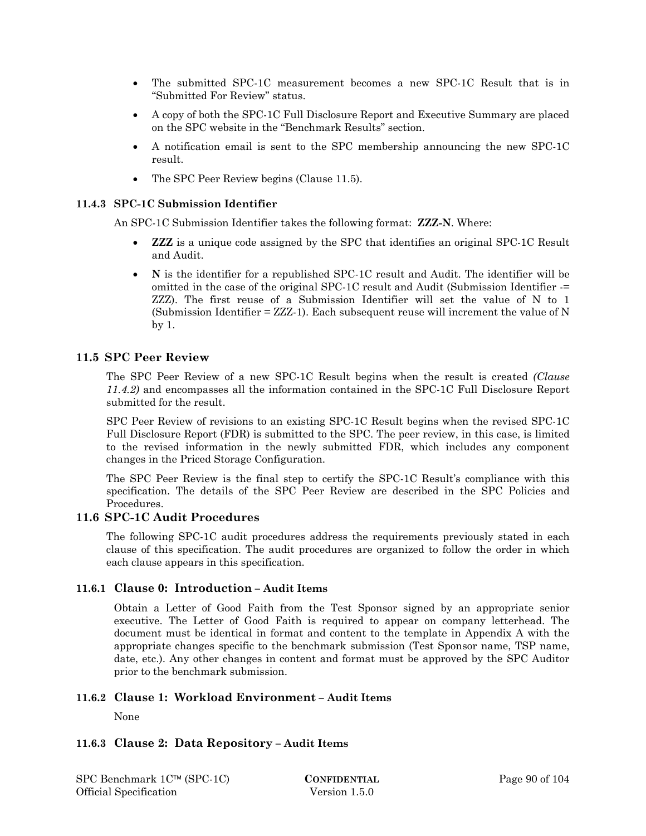- The submitted SPC-1C measurement becomes a new SPC-1C Result that is in "Submitted For Review" status.
- A copy of both the SPC-1C Full Disclosure Report and Executive Summary are placed on the SPC website in the "Benchmark Results" section.
- A notification email is sent to the SPC membership announcing the new SPC-1C result.
- The SPC Peer Review begins (Clause 11.5).

### **11.4.3 SPC-1C Submission Identifier**

An SPC-1C Submission Identifier takes the following format: **ZZZ-N**. Where:

- **ZZZ** is a unique code assigned by the SPC that identifies an original SPC-1C Result and Audit.
- **N** is the identifier for a republished SPC-1C result and Audit. The identifier will be omitted in the case of the original SPC-1C result and Audit (Submission Identifier -= ZZZ). The first reuse of a Submission Identifier will set the value of N to 1 (Submission Identifier = ZZZ-1). Each subsequent reuse will increment the value of N by 1.

### **11.5 SPC Peer Review**

The SPC Peer Review of a new SPC-1C Result begins when the result is created *(Clause 11.4.2)* and encompasses all the information contained in the SPC-1C Full Disclosure Report submitted for the result.

SPC Peer Review of revisions to an existing SPC-1C Result begins when the revised SPC-1C Full Disclosure Report (FDR) is submitted to the SPC. The peer review, in this case, is limited to the revised information in the newly submitted FDR, which includes any component changes in the Priced Storage Configuration.

The SPC Peer Review is the final step to certify the SPC-1C Result's compliance with this specification. The details of the SPC Peer Review are described in the SPC Policies and Procedures.

### **11.6 SPC-1C Audit Procedures**

The following SPC-1C audit procedures address the requirements previously stated in each clause of this specification. The audit procedures are organized to follow the order in which each clause appears in this specification.

### **11.6.1 Clause 0: Introduction – Audit Items**

Obtain a Letter of Good Faith from the Test Sponsor signed by an appropriate senior executive. The Letter of Good Faith is required to appear on company letterhead. The document must be identical in format and content to the template in Appendix A with the appropriate changes specific to the benchmark submission (Test Sponsor name, TSP name, date, etc.). Any other changes in content and format must be approved by the SPC Auditor prior to the benchmark submission.

# **11.6.2 Clause 1: Workload Environment – Audit Items**

None

### **11.6.3 Clause 2: Data Repository – Audit Items**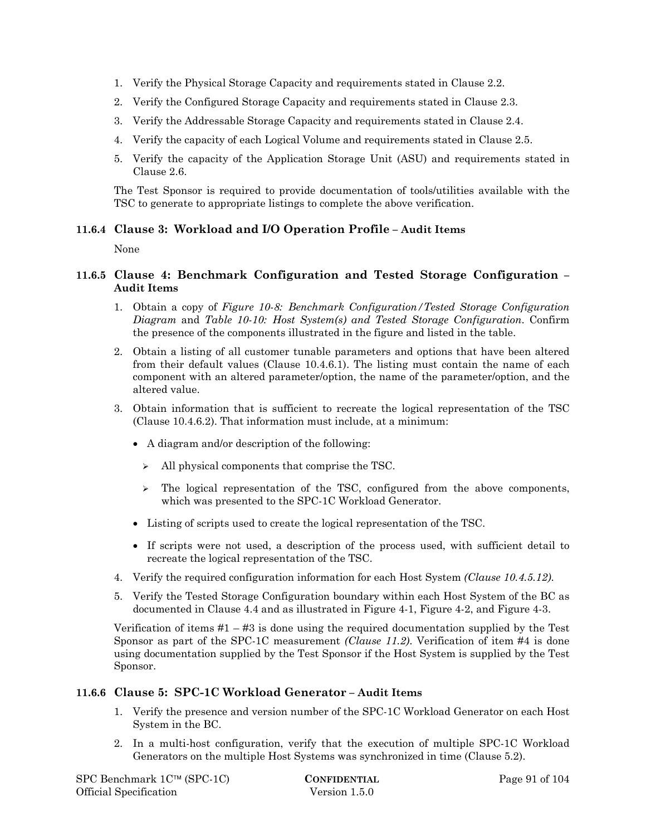- 1. Verify the Physical Storage Capacity and requirements stated in Clause 2.2.
- 2. Verify the Configured Storage Capacity and requirements stated in Clause 2.3.
- 3. Verify the Addressable Storage Capacity and requirements stated in Clause 2.4.
- 4. Verify the capacity of each Logical Volume and requirements stated in Clause 2.5.
- 5. Verify the capacity of the Application Storage Unit (ASU) and requirements stated in Clause 2.6.

The Test Sponsor is required to provide documentation of tools/utilities available with the TSC to generate to appropriate listings to complete the above verification.

### **11.6.4 Clause 3: Workload and I/O Operation Profile – Audit Items**

None

### **11.6.5 Clause 4: Benchmark Configuration and Tested Storage Configuration – Audit Items**

- 1. Obtain a copy of *Figure 10-8: Benchmark Configuration/Tested Storage Configuration Diagram* and *Table 10-10: Host System(s) and Tested Storage Configuration*. Confirm the presence of the components illustrated in the figure and listed in the table.
- 2. Obtain a listing of all customer tunable parameters and options that have been altered from their default values (Clause 10.4.6.1). The listing must contain the name of each component with an altered parameter/option, the name of the parameter/option, and the altered value.
- 3. Obtain information that is sufficient to recreate the logical representation of the TSC (Clause 10.4.6.2). That information must include, at a minimum:
	- A diagram and/or description of the following:
		- $\triangleright$  All physical components that comprise the TSC.
		- $\geq$  The logical representation of the TSC, configured from the above components, which was presented to the SPC-1C Workload Generator.
	- Listing of scripts used to create the logical representation of the TSC.
	- If scripts were not used, a description of the process used, with sufficient detail to recreate the logical representation of the TSC.
- 4. Verify the required configuration information for each Host System *(Clause 10.4.5.12)*.
- 5. Verify the Tested Storage Configuration boundary within each Host System of the BC as documented in Clause 4.4 and as illustrated in Figure 4-1, Figure 4-2, and Figure 4-3.

Verification of items  $#1 - #3$  is done using the required documentation supplied by the Test Sponsor as part of the SPC-1C measurement *(Clause 11.2)*. Verification of item #4 is done using documentation supplied by the Test Sponsor if the Host System is supplied by the Test Sponsor.

### **11.6.6 Clause 5: SPC-1C Workload Generator – Audit Items**

- 1. Verify the presence and version number of the SPC-1C Workload Generator on each Host System in the BC.
- 2. In a multi-host configuration, verify that the execution of multiple SPC-1C Workload Generators on the multiple Host Systems was synchronized in time (Clause 5.2).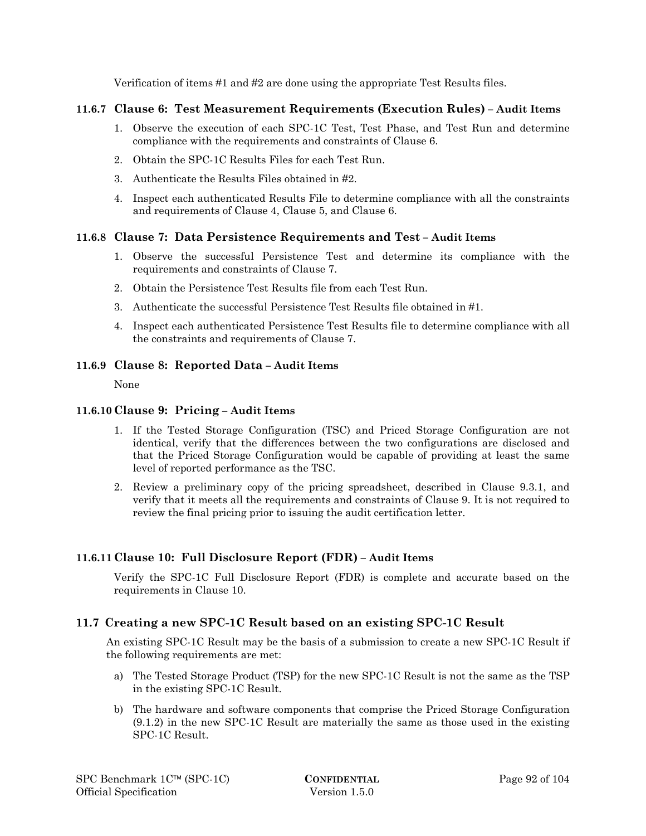Verification of items #1 and #2 are done using the appropriate Test Results files.

# **11.6.7 Clause 6: Test Measurement Requirements (Execution Rules) – Audit Items**

- 1. Observe the execution of each SPC-1C Test, Test Phase, and Test Run and determine compliance with the requirements and constraints of Clause 6.
- 2. Obtain the SPC-1C Results Files for each Test Run.
- 3. Authenticate the Results Files obtained in #2.
- 4. Inspect each authenticated Results File to determine compliance with all the constraints and requirements of Clause 4, Clause 5, and Clause 6.

# **11.6.8 Clause 7: Data Persistence Requirements and Test – Audit Items**

- 1. Observe the successful Persistence Test and determine its compliance with the requirements and constraints of Clause 7.
- 2. Obtain the Persistence Test Results file from each Test Run.
- 3. Authenticate the successful Persistence Test Results file obtained in #1.
- 4. Inspect each authenticated Persistence Test Results file to determine compliance with all the constraints and requirements of Clause 7.

### **11.6.9 Clause 8: Reported Data – Audit Items**

None

# **11.6.10Clause 9: Pricing – Audit Items**

- 1. If the Tested Storage Configuration (TSC) and Priced Storage Configuration are not identical, verify that the differences between the two configurations are disclosed and that the Priced Storage Configuration would be capable of providing at least the same level of reported performance as the TSC.
- 2. Review a preliminary copy of the pricing spreadsheet, described in Clause 9.3.1, and verify that it meets all the requirements and constraints of Clause 9. It is not required to review the final pricing prior to issuing the audit certification letter.

### **11.6.11Clause 10: Full Disclosure Report (FDR) – Audit Items**

Verify the SPC-1C Full Disclosure Report (FDR) is complete and accurate based on the requirements in Clause 10.

# **11.7 Creating a new SPC-1C Result based on an existing SPC-1C Result**

An existing SPC-1C Result may be the basis of a submission to create a new SPC-1C Result if the following requirements are met:

- a) The Tested Storage Product (TSP) for the new SPC-1C Result is not the same as the TSP in the existing SPC-1C Result.
- b) The hardware and software components that comprise the Priced Storage Configuration (9.1.2) in the new SPC-1C Result are materially the same as those used in the existing SPC-1C Result.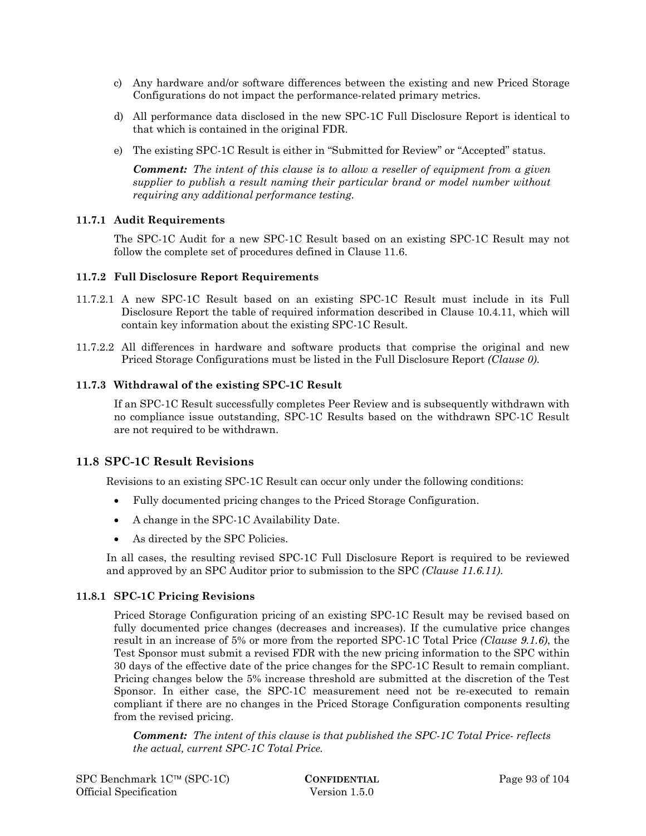- c) Any hardware and/or software differences between the existing and new Priced Storage Configurations do not impact the performance-related primary metrics.
- d) All performance data disclosed in the new SPC-1C Full Disclosure Report is identical to that which is contained in the original FDR.
- e) The existing SPC-1C Result is either in "Submitted for Review" or "Accepted" status.

*Comment: The intent of this clause is to allow a reseller of equipment from a given supplier to publish a result naming their particular brand or model number without requiring any additional performance testing.* 

### **11.7.1 Audit Requirements**

The SPC-1C Audit for a new SPC-1C Result based on an existing SPC-1C Result may not follow the complete set of procedures defined in Clause 11.6.

#### **11.7.2 Full Disclosure Report Requirements**

- 11.7.2.1 A new SPC-1C Result based on an existing SPC-1C Result must include in its Full Disclosure Report the table of required information described in Clause 10.4.11, which will contain key information about the existing SPC-1C Result.
- 11.7.2.2 All differences in hardware and software products that comprise the original and new Priced Storage Configurations must be listed in the Full Disclosure Report *(Clause 0)*.

### **11.7.3 Withdrawal of the existing SPC-1C Result**

If an SPC-1C Result successfully completes Peer Review and is subsequently withdrawn with no compliance issue outstanding, SPC-1C Results based on the withdrawn SPC-1C Result are not required to be withdrawn.

### **11.8 SPC-1C Result Revisions**

Revisions to an existing SPC-1C Result can occur only under the following conditions:

- Fully documented pricing changes to the Priced Storage Configuration.
- A change in the SPC-1C Availability Date.
- As directed by the SPC Policies.

In all cases, the resulting revised SPC-1C Full Disclosure Report is required to be reviewed and approved by an SPC Auditor prior to submission to the SPC *(Clause 11.6.11)*.

### **11.8.1 SPC-1C Pricing Revisions**

Priced Storage Configuration pricing of an existing SPC-1C Result may be revised based on fully documented price changes (decreases and increases). If the cumulative price changes result in an increase of 5% or more from the reported SPC-1C Total Price *(Clause 9.1.6)*, the Test Sponsor must submit a revised FDR with the new pricing information to the SPC within 30 days of the effective date of the price changes for the SPC-1C Result to remain compliant. Pricing changes below the 5% increase threshold are submitted at the discretion of the Test Sponsor. In either case, the SPC-1C measurement need not be re-executed to remain compliant if there are no changes in the Priced Storage Configuration components resulting from the revised pricing.

*Comment: The intent of this clause is that published the SPC-1C Total Price- reflects the actual, current SPC-1C Total Price.*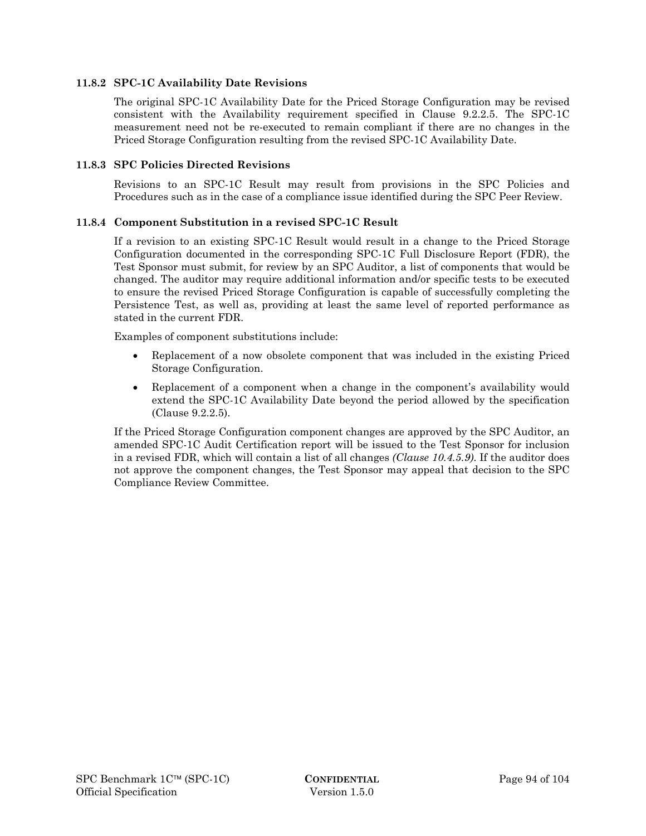### **11.8.2 SPC-1C Availability Date Revisions**

The original SPC-1C Availability Date for the Priced Storage Configuration may be revised consistent with the Availability requirement specified in Clause 9.2.2.5. The SPC-1C measurement need not be re-executed to remain compliant if there are no changes in the Priced Storage Configuration resulting from the revised SPC-1C Availability Date.

#### **11.8.3 SPC Policies Directed Revisions**

Revisions to an SPC-1C Result may result from provisions in the SPC Policies and Procedures such as in the case of a compliance issue identified during the SPC Peer Review.

#### **11.8.4 Component Substitution in a revised SPC-1C Result**

If a revision to an existing SPC-1C Result would result in a change to the Priced Storage Configuration documented in the corresponding SPC-1C Full Disclosure Report (FDR), the Test Sponsor must submit, for review by an SPC Auditor, a list of components that would be changed. The auditor may require additional information and/or specific tests to be executed to ensure the revised Priced Storage Configuration is capable of successfully completing the Persistence Test, as well as, providing at least the same level of reported performance as stated in the current FDR.

Examples of component substitutions include:

- Replacement of a now obsolete component that was included in the existing Priced Storage Configuration.
- Replacement of a component when a change in the component's availability would extend the SPC-1C Availability Date beyond the period allowed by the specification (Clause 9.2.2.5).

If the Priced Storage Configuration component changes are approved by the SPC Auditor, an amended SPC-1C Audit Certification report will be issued to the Test Sponsor for inclusion in a revised FDR, which will contain a list of all changes *(Clause 10.4.5.9)*. If the auditor does not approve the component changes, the Test Sponsor may appeal that decision to the SPC Compliance Review Committee.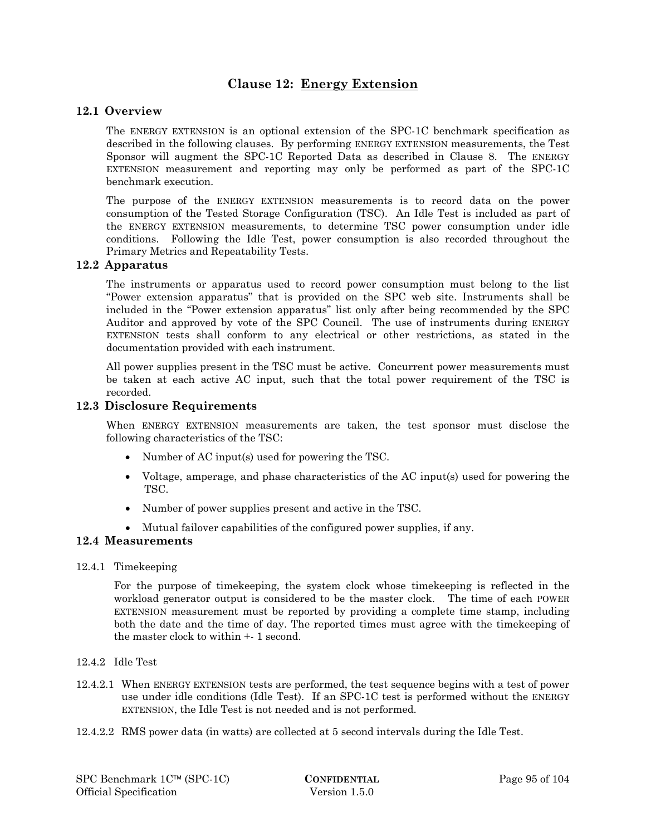# **Clause 12: Energy Extension**

### **12.1 Overview**

The ENERGY EXTENSION is an optional extension of the SPC-1C benchmark specification as described in the following clauses. By performing ENERGY EXTENSION measurements, the Test Sponsor will augment the SPC-1C Reported Data as described in Clause 8. The ENERGY EXTENSION measurement and reporting may only be performed as part of the SPC-1C benchmark execution.

The purpose of the ENERGY EXTENSION measurements is to record data on the power consumption of the Tested Storage Configuration (TSC). An Idle Test is included as part of the ENERGY EXTENSION measurements, to determine TSC power consumption under idle conditions. Following the Idle Test, power consumption is also recorded throughout the Primary Metrics and Repeatability Tests.

### **12.2 Apparatus**

The instruments or apparatus used to record power consumption must belong to the list "Power extension apparatus" that is provided on the SPC web site. Instruments shall be included in the "Power extension apparatus" list only after being recommended by the SPC Auditor and approved by vote of the SPC Council. The use of instruments during ENERGY EXTENSION tests shall conform to any electrical or other restrictions, as stated in the documentation provided with each instrument.

All power supplies present in the TSC must be active. Concurrent power measurements must be taken at each active AC input, such that the total power requirement of the TSC is recorded.

### **12.3 Disclosure Requirements**

When ENERGY EXTENSION measurements are taken, the test sponsor must disclose the following characteristics of the TSC:

- Number of AC input(s) used for powering the TSC.
- Voltage, amperage, and phase characteristics of the AC input(s) used for powering the TSC.
- Number of power supplies present and active in the TSC.
- Mutual failover capabilities of the configured power supplies, if any.

#### **12.4 Measurements**

#### 12.4.1 Timekeeping

For the purpose of timekeeping, the system clock whose timekeeping is reflected in the workload generator output is considered to be the master clock. The time of each POWER EXTENSION measurement must be reported by providing a complete time stamp, including both the date and the time of day. The reported times must agree with the timekeeping of the master clock to within +- 1 second.

- 12.4.2 Idle Test
- 12.4.2.1 When ENERGY EXTENSION tests are performed, the test sequence begins with a test of power use under idle conditions (Idle Test). If an SPC-1C test is performed without the ENERGY EXTENSION, the Idle Test is not needed and is not performed.
- 12.4.2.2 RMS power data (in watts) are collected at 5 second intervals during the Idle Test.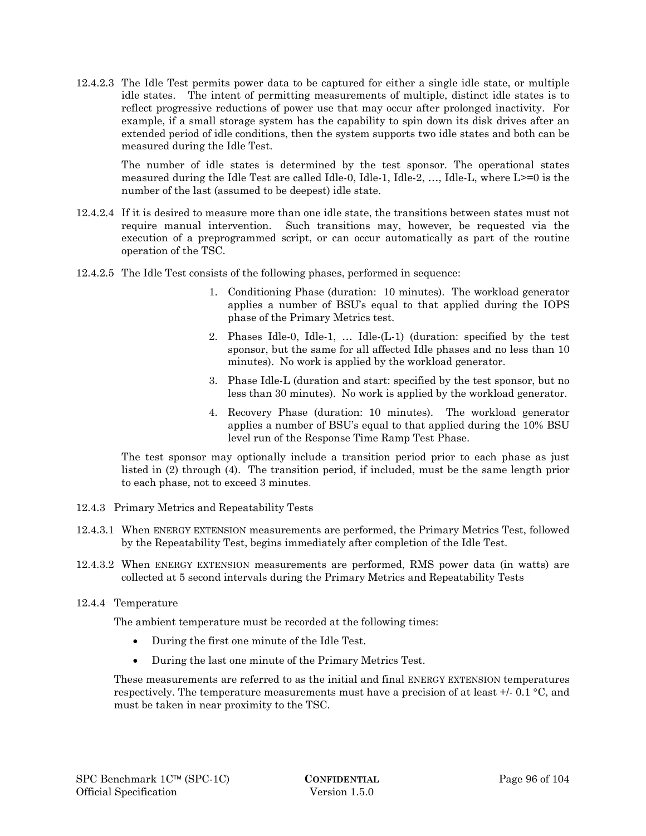12.4.2.3 The Idle Test permits power data to be captured for either a single idle state, or multiple idle states. The intent of permitting measurements of multiple, distinct idle states is to reflect progressive reductions of power use that may occur after prolonged inactivity. For example, if a small storage system has the capability to spin down its disk drives after an extended period of idle conditions, then the system supports two idle states and both can be measured during the Idle Test.

The number of idle states is determined by the test sponsor. The operational states measured during the Idle Test are called Idle-0, Idle-1, Idle-2, …, Idle-L, where L>=0 is the number of the last (assumed to be deepest) idle state.

- 12.4.2.4 If it is desired to measure more than one idle state, the transitions between states must not require manual intervention. Such transitions may, however, be requested via the execution of a preprogrammed script, or can occur automatically as part of the routine operation of the TSC.
- 12.4.2.5 The Idle Test consists of the following phases, performed in sequence:
	- 1. Conditioning Phase (duration: 10 minutes). The workload generator applies a number of BSU's equal to that applied during the IOPS phase of the Primary Metrics test.
	- 2. Phases Idle-0, Idle-1, … Idle-(L-1) (duration: specified by the test sponsor, but the same for all affected Idle phases and no less than 10 minutes). No work is applied by the workload generator.
	- 3. Phase Idle-L (duration and start: specified by the test sponsor, but no less than 30 minutes). No work is applied by the workload generator.
	- 4. Recovery Phase (duration: 10 minutes). The workload generator applies a number of BSU's equal to that applied during the 10% BSU level run of the Response Time Ramp Test Phase.

The test sponsor may optionally include a transition period prior to each phase as just listed in (2) through (4). The transition period, if included, must be the same length prior to each phase, not to exceed 3 minutes.

- 12.4.3 Primary Metrics and Repeatability Tests
- 12.4.3.1 When ENERGY EXTENSION measurements are performed, the Primary Metrics Test, followed by the Repeatability Test, begins immediately after completion of the Idle Test.
- 12.4.3.2 When ENERGY EXTENSION measurements are performed, RMS power data (in watts) are collected at 5 second intervals during the Primary Metrics and Repeatability Tests
- 12.4.4 Temperature

The ambient temperature must be recorded at the following times:

- During the first one minute of the Idle Test.
- During the last one minute of the Primary Metrics Test.

These measurements are referred to as the initial and final ENERGY EXTENSION temperatures respectively. The temperature measurements must have a precision of at least  $+/-0.1\degree C$ , and must be taken in near proximity to the TSC.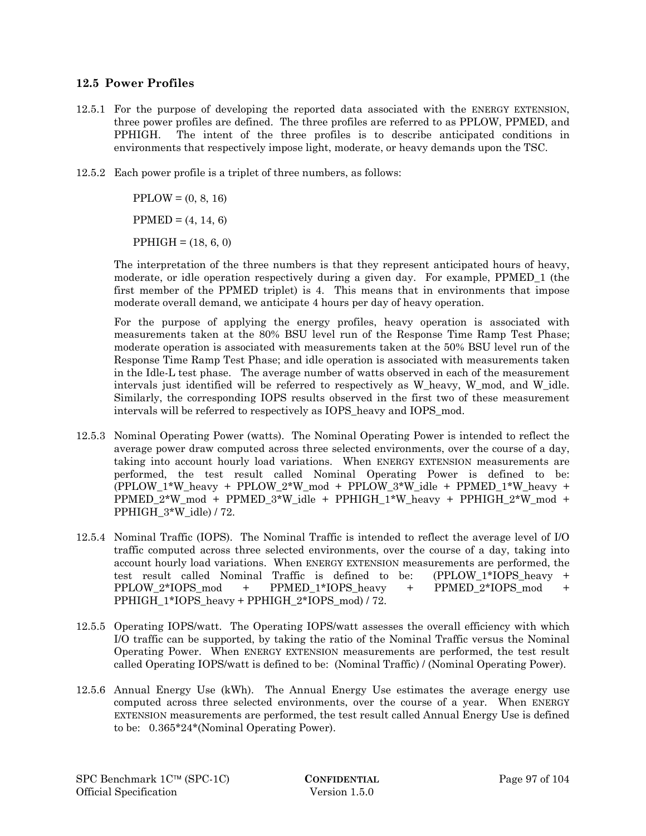### **12.5 Power Profiles**

- 12.5.1 For the purpose of developing the reported data associated with the ENERGY EXTENSION, three power profiles are defined. The three profiles are referred to as PPLOW, PPMED, and PPHIGH. The intent of the three profiles is to describe anticipated conditions in environments that respectively impose light, moderate, or heavy demands upon the TSC.
- 12.5.2 Each power profile is a triplet of three numbers, as follows:

 $PPLOW = (0, 8, 16)$  $PPMED = (4, 14, 6)$ 

 $PPHIGH = (18, 6, 0)$ 

The interpretation of the three numbers is that they represent anticipated hours of heavy, moderate, or idle operation respectively during a given day. For example, PPMED\_1 (the first member of the PPMED triplet) is 4. This means that in environments that impose moderate overall demand, we anticipate 4 hours per day of heavy operation.

For the purpose of applying the energy profiles, heavy operation is associated with measurements taken at the 80% BSU level run of the Response Time Ramp Test Phase; moderate operation is associated with measurements taken at the 50% BSU level run of the Response Time Ramp Test Phase; and idle operation is associated with measurements taken in the Idle-L test phase. The average number of watts observed in each of the measurement intervals just identified will be referred to respectively as W\_heavy, W\_mod, and W\_idle. Similarly, the corresponding IOPS results observed in the first two of these measurement intervals will be referred to respectively as IOPS\_heavy and IOPS\_mod.

- 12.5.3 Nominal Operating Power (watts). The Nominal Operating Power is intended to reflect the average power draw computed across three selected environments, over the course of a day, taking into account hourly load variations. When ENERGY EXTENSION measurements are performed, the test result called Nominal Operating Power is defined to be: (PPLOW\_1\*W\_heavy + PPLOW\_2\*W\_mod + PPLOW\_3\*W\_idle + PPMED\_1\*W\_heavy + PPMED\_2\*W\_mod + PPMED\_3\*W\_idle + PPHIGH\_1\*W\_heavy + PPHIGH\_2\*W\_mod + PPHIGH\_3\*W\_idle) / 72.
- 12.5.4 Nominal Traffic (IOPS). The Nominal Traffic is intended to reflect the average level of I/O traffic computed across three selected environments, over the course of a day, taking into account hourly load variations. When ENERGY EXTENSION measurements are performed, the test result called Nominal Traffic is defined to be: (PPLOW\_1\*IOPS\_heavy + PPLOW\_2\*IOPS\_mod + PPMED\_1\*IOPS\_heavy + PPMED\_2\*IOPS\_mod + PPHIGH\_1\*IOPS\_heavy + PPHIGH\_2\*IOPS\_mod) / 72.
- 12.5.5 Operating IOPS/watt. The Operating IOPS/watt assesses the overall efficiency with which I/O traffic can be supported, by taking the ratio of the Nominal Traffic versus the Nominal Operating Power. When ENERGY EXTENSION measurements are performed, the test result called Operating IOPS/watt is defined to be: (Nominal Traffic) / (Nominal Operating Power).
- 12.5.6 Annual Energy Use (kWh). The Annual Energy Use estimates the average energy use computed across three selected environments, over the course of a year. When ENERGY EXTENSION measurements are performed, the test result called Annual Energy Use is defined to be: 0.365\*24\*(Nominal Operating Power).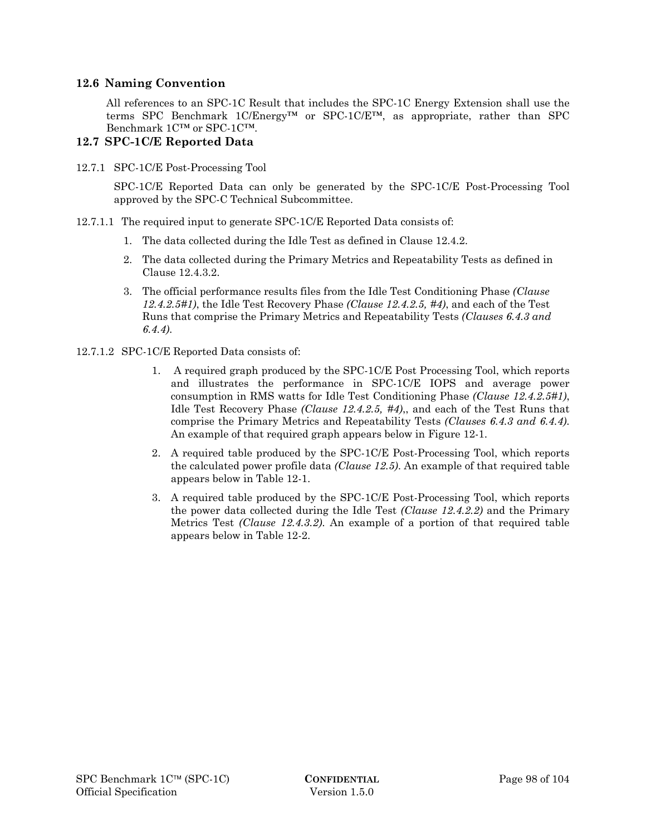### **12.6 Naming Convention**

All references to an SPC-1C Result that includes the SPC-1C Energy Extension shall use the terms SPC Benchmark 1C/Energy™ or SPC-1C/E™, as appropriate, rather than SPC Benchmark 1C™ or SPC-1C™.

### **12.7 SPC-1C/E Reported Data**

12.7.1 SPC-1C/E Post-Processing Tool

SPC-1C/E Reported Data can only be generated by the SPC-1C/E Post-Processing Tool approved by the SPC-C Technical Subcommittee.

- 12.7.1.1 The required input to generate SPC-1C/E Reported Data consists of:
	- 1. The data collected during the Idle Test as defined in Clause 12.4.2.
	- 2. The data collected during the Primary Metrics and Repeatability Tests as defined in Clause 12.4.3.2.
	- 3. The official performance results files from the Idle Test Conditioning Phase *(Clause 12.4.2.5#1)*, the Idle Test Recovery Phase *(Clause 12.4.2.5, #4)*, and each of the Test Runs that comprise the Primary Metrics and Repeatability Tests *(Clauses 6.4.3 and 6.4.4)*.
- 12.7.1.2 SPC-1C/E Reported Data consists of:
	- 1. A required graph produced by the SPC-1C/E Post Processing Tool, which reports and illustrates the performance in SPC-1C/E IOPS and average power consumption in RMS watts for Idle Test Conditioning Phase *(Clause 12.4.2.5#1)*, Idle Test Recovery Phase *(Clause 12.4.2.5, #4)*,, and each of the Test Runs that comprise the Primary Metrics and Repeatability Tests *(Clauses 6.4.3 and 6.4.4)*. An example of that required graph appears below in Figure 12-1.
	- 2. A required table produced by the SPC-1C/E Post-Processing Tool, which reports the calculated power profile data *(Clause 12.5)*. An example of that required table appears below in Table 12-1.
	- 3. A required table produced by the SPC-1C/E Post-Processing Tool, which reports the power data collected during the Idle Test *(Clause 12.4.2.2)* and the Primary Metrics Test *(Clause 12.4.3.2)*. An example of a portion of that required table appears below in Table 12-2.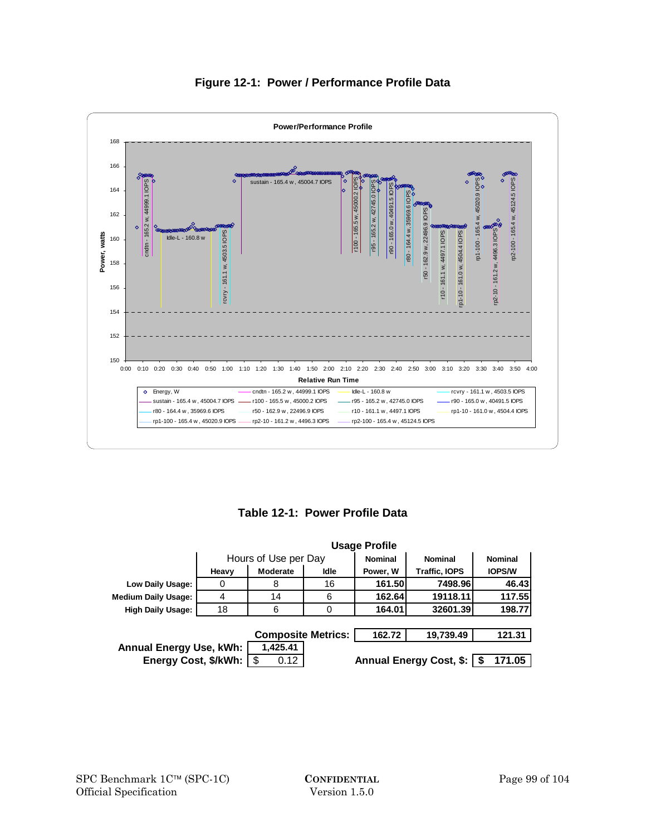

# **Figure 12-1: Power / Performance Profile Data**

**Table 12-1: Power Profile Data** 

|                                                        | <b>Usage Profile</b> |                           |      |                |                         |                |
|--------------------------------------------------------|----------------------|---------------------------|------|----------------|-------------------------|----------------|
|                                                        |                      | Hours of Use per Day      |      | <b>Nominal</b> | <b>Nominal</b>          | <b>Nominal</b> |
|                                                        | Heavy                | Moderate                  | Idle | Power, W       | <b>Traffic, IOPS</b>    | <b>IOPS/W</b>  |
| Low Daily Usage:                                       | O                    | 8                         | 16   | 161.50         | 7498.96                 | 46.43          |
| <b>Medium Daily Usage:</b>                             | 4                    | 14                        | 6    | 162.64         | 19118.11                | 117.55         |
| <b>High Daily Usage:</b>                               | 18                   | 6                         | 0    | 164.01         | 32601.39                | 198.77         |
|                                                        |                      |                           |      |                |                         |                |
|                                                        |                      | <b>Composite Metrics:</b> |      | 162.72         | 19,739.49               | 121.31         |
| <b>Annual Energy Use, kWh:</b><br>Energy Cost, \$/kWh: |                      | 1,425.41<br>-\$<br>0.12   |      |                | Annual Energy Cost, \$: | 171.05         |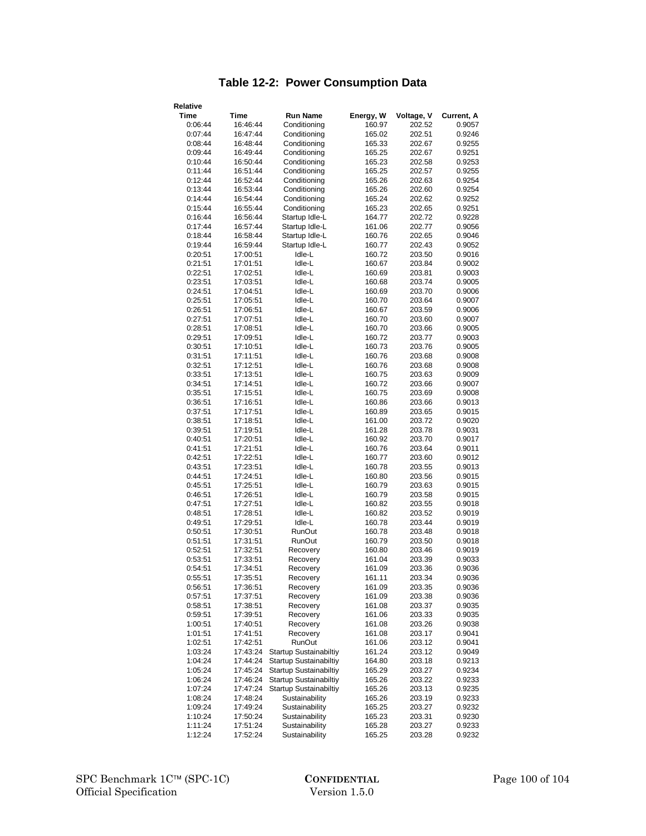# **Table 12-2: Power Consumption Data**

| Relative           |                      |                                          |                  |                  |                  |
|--------------------|----------------------|------------------------------------------|------------------|------------------|------------------|
| Time               | Time                 | <b>Run Name</b>                          | Energy, W        | Voltage, V       | Current, A       |
| 0:06:44            | 16:46:44             | Conditioning                             | 160.97           | 202.52           | 0.9057           |
| 0:07:44            | 16:47:44             | Conditioning                             | 165.02           | 202.51           | 0.9246           |
| 0:08:44            | 16:48:44             | Conditioning                             | 165.33           | 202.67           | 0.9255           |
| 0:09:44            | 16:49:44             | Conditioning                             | 165.25           | 202.67           | 0.9251           |
| 0:10:44            | 16:50:44             | Conditioning                             | 165.23           | 202.58           | 0.9253           |
| 0:11:44            | 16:51:44             | Conditioning                             | 165.25           | 202.57           | 0.9255           |
| 0:12:44            | 16:52:44             | Conditioning                             | 165.26           | 202.63           | 0.9254           |
| 0:13:44            | 16:53:44             | Conditioning                             | 165.26           | 202.60           | 0.9254           |
| 0:14:44            | 16:54:44             | Conditioning                             | 165.24           | 202.62           | 0.9252           |
| 0:15:44            | 16:55:44             | Conditioning                             | 165.23           | 202.65           | 0.9251           |
| 0:16:44            | 16:56:44             | Startup Idle-L                           | 164.77           | 202.72           | 0.9228           |
| 0:17:44            | 16:57:44             | Startup Idle-L                           | 161.06           | 202.77           | 0.9056           |
| 0:18:44            | 16:58:44             | Startup Idle-L                           | 160.76           | 202.65           | 0.9046           |
| 0:19:44            | 16:59:44             | Startup Idle-L                           | 160.77           | 202.43           | 0.9052           |
| 0:20:51            | 17:00:51             | Idle-L                                   | 160.72           | 203.50           | 0.9016           |
| 0:21:51            | 17:01:51             | Idle-L                                   | 160.67           | 203.84           | 0.9002           |
| 0:22:51            | 17:02:51             | Idle-L                                   | 160.69           | 203.81           | 0.9003           |
| 0:23:51            | 17:03:51             | Idle-L                                   | 160.68           | 203.74           | 0.9005           |
| 0:24:51            | 17:04:51             | Idle-L                                   | 160.69           | 203.70           | 0.9006           |
| 0:25:51            | 17:05:51             | Idle-L                                   | 160.70           | 203.64           | 0.9007           |
| 0:26:51            | 17:06:51             | Idle-L                                   | 160.67           | 203.59           | 0.9006           |
| 0:27:51            | 17:07:51             | Idle-L                                   | 160.70           | 203.60           | 0.9007           |
| 0:28:51            | 17:08:51             | Idle-L                                   | 160.70           | 203.66           | 0.9005           |
| 0:29:51            | 17:09:51             | Idle-L                                   | 160.72           | 203.77           | 0.9003           |
| 0:30:51            | 17:10:51             | Idle-L                                   | 160.73           | 203.76           | 0.9005           |
| 0:31:51            | 17:11:51             | Idle-L                                   | 160.76           | 203.68           | 0.9008           |
| 0:32:51            | 17:12:51             | Idle-L                                   | 160.76           | 203.68           | 0.9008           |
| 0:33:51            | 17:13:51             | Idle-L                                   | 160.75           | 203.63           | 0.9009           |
| 0:34:51            | 17:14:51             | Idle-L                                   | 160.72           | 203.66           | 0.9007           |
| 0:35:51<br>0:36:51 | 17:15:51             | Idle-L                                   | 160.75           | 203.69           | 0.9008           |
| 0:37:51            | 17:16:51<br>17:17:51 | Idle-L<br>Idle-L                         | 160.86<br>160.89 | 203.66<br>203.65 | 0.9013<br>0.9015 |
| 0:38:51            | 17:18:51             | Idle-L                                   | 161.00           | 203.72           | 0.9020           |
| 0:39:51            | 17:19:51             | Idle-L                                   | 161.28           | 203.78           | 0.9031           |
| 0:40:51            | 17:20:51             | Idle-L                                   | 160.92           | 203.70           | 0.9017           |
| 0:41:51            | 17:21:51             | Idle-L                                   | 160.76           | 203.64           | 0.9011           |
| 0:42:51            | 17:22:51             | Idle-L                                   | 160.77           | 203.60           | 0.9012           |
| 0:43:51            | 17:23:51             | Idle-L                                   | 160.78           | 203.55           | 0.9013           |
| 0:44:51            | 17:24:51             | Idle-L                                   | 160.80           | 203.56           | 0.9015           |
| 0:45:51            | 17:25:51             | Idle-L                                   | 160.79           | 203.63           | 0.9015           |
| 0:46:51            | 17:26:51             | Idle-L                                   | 160.79           | 203.58           | 0.9015           |
| 0:47:51            | 17:27:51             | Idle-L                                   | 160.82           | 203.55           | 0.9018           |
| 0:48:51            | 17:28:51             | Idle-L                                   | 160.82           | 203.52           | 0.9019           |
| 0:49:51            | 17:29:51             | Idle-L                                   | 160.78           | 203.44           | 0.9019           |
| 0:50:51            | 17:30:51             | RunOut                                   | 160.78           | 203.48           | 0.9018           |
| 0:51:51            | 17:31:51             | RunOut                                   | 160.79           | 203.50           | 0.9018           |
| 0:52:51            | 17:32:51             | Recovery                                 | 160.80           | 203.46           | 0.9019           |
| 0:53:51            | 17:33:51             | Recovery                                 | 161.04           | 203.39           | 0.9033           |
| 0:54:51            | 17:34:51             | Recovery                                 | 161.09           | 203.36           | 0.9036           |
| 0:55:51            | 17:35:51             | Recovery                                 | 161.11           | 203.34           | 0.9036           |
| 0:56:51            | 17:36:51             | Recovery                                 | 161.09           | 203.35           | 0.9036           |
| 0:57:51            | 17:37:51             | Recovery                                 | 161.09           | 203.38           | 0.9036           |
| 0:58:51            | 17:38:51             | Recovery                                 | 161.08           | 203.37           | 0.9035           |
| 0:59:51            | 17:39:51             | Recovery                                 | 161.06           | 203.33           | 0.9035           |
| 1:00:51            | 17:40:51             | Recovery                                 | 161.08           | 203.26           | 0.9038           |
| 1:01:51            | 17:41:51             | Recovery                                 | 161.08           | 203.17           | 0.9041           |
| 1:02:51            | 17:42:51             | RunOut                                   | 161.06           | 203.12           | 0.9041           |
| 1:03:24            | 17:43:24             | Startup Sustainabiltiy                   | 161.24           | 203.12           | 0.9049           |
| 1:04:24            | 17:44:24             | <b>Startup Sustainabiltiy</b>            | 164.80           | 203.18           | 0.9213           |
| 1:05:24            | 17:45:24             | <b>Startup Sustainabiltiy</b>            | 165.29           | 203.27           | 0.9234           |
| 1:06:24<br>1:07:24 | 17:46:24             | Startup Sustainabiltiy                   | 165.26           | 203.22           | 0.9233           |
| 1:08:24            | 17:47:24<br>17:48:24 | Startup Sustainabiltiy<br>Sustainability | 165.26<br>165.26 | 203.13<br>203.19 | 0.9235           |
| 1:09:24            | 17:49:24             | Sustainability                           | 165.25           | 203.27           | 0.9233<br>0.9232 |
| 1:10:24            | 17:50:24             | Sustainability                           | 165.23           | 203.31           | 0.9230           |
| 1:11:24            | 17:51:24             | Sustainability                           | 165.28           | 203.27           | 0.9233           |
| 1:12:24            | 17:52:24             | Sustainability                           | 165.25           | 203.28           | 0.9232           |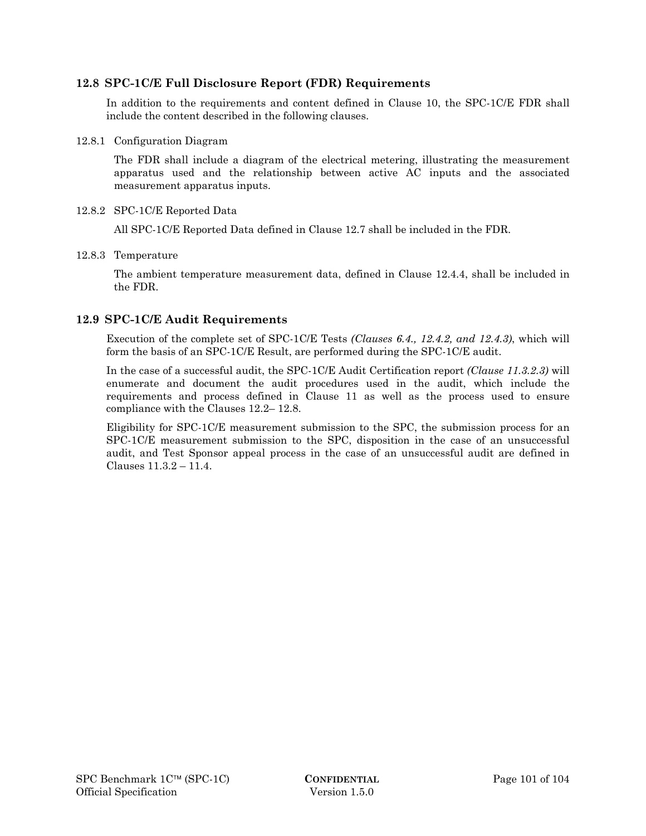### **12.8 SPC-1C/E Full Disclosure Report (FDR) Requirements**

In addition to the requirements and content defined in Clause 10, the SPC-1C/E FDR shall include the content described in the following clauses.

### 12.8.1 Configuration Diagram

The FDR shall include a diagram of the electrical metering, illustrating the measurement apparatus used and the relationship between active AC inputs and the associated measurement apparatus inputs.

### 12.8.2 SPC-1C/E Reported Data

All SPC-1C/E Reported Data defined in Clause 12.7 shall be included in the FDR.

### 12.8.3 Temperature

The ambient temperature measurement data, defined in Clause 12.4.4, shall be included in the FDR.

# **12.9 SPC-1C/E Audit Requirements**

Execution of the complete set of SPC-1C/E Tests *(Clauses 6.4., 12.4.2, and 12.4.3)*, which will form the basis of an SPC-1C/E Result, are performed during the SPC-1C/E audit.

In the case of a successful audit, the SPC-1C/E Audit Certification report *(Clause 11.3.2.3)* will enumerate and document the audit procedures used in the audit, which include the requirements and process defined in Clause 11 as well as the process used to ensure compliance with the Clauses 12.2– 12.8.

Eligibility for SPC-1C/E measurement submission to the SPC, the submission process for an SPC-1C/E measurement submission to the SPC, disposition in the case of an unsuccessful audit, and Test Sponsor appeal process in the case of an unsuccessful audit are defined in Clauses 11.3.2 – 11.4.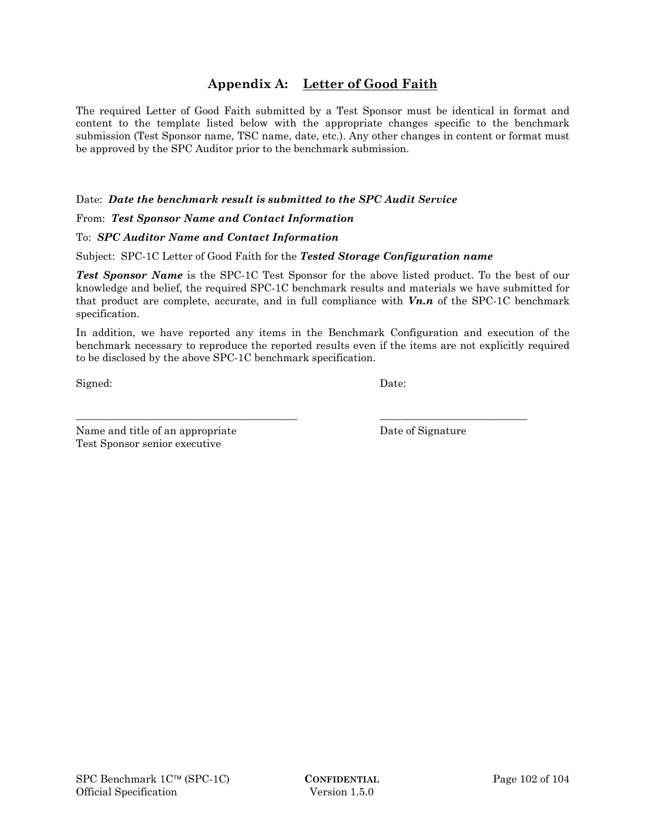# **Appendix A: Letter of Good Faith**

The required Letter of Good Faith submitted by a Test Sponsor must be identical in format and content to the template listed below with the appropriate changes specific to the benchmark submission (Test Sponsor name, TSC name, date, etc.). Any other changes in content or format must be approved by the SPC Auditor prior to the benchmark submission.

### Date: *Date the benchmark result is submitted to the SPC Audit Service*

From: *Test Sponsor Name and Contact Information*

# To: *SPC Auditor Name and Contact Information*

### Subject: SPC-1C Letter of Good Faith for the *Tested Storage Configuration name*

*Test Sponsor Name* is the SPC-1C Test Sponsor for the above listed product. To the best of our knowledge and belief, the required SPC-1C benchmark results and materials we have submitted for that product are complete, accurate, and in full compliance with *Vn.n* of the SPC-1C benchmark specification.

In addition, we have reported any items in the Benchmark Configuration and execution of the benchmark necessary to reproduce the reported results even if the items are not explicitly required to be disclosed by the above SPC-1C benchmark specification.

\_\_\_\_\_\_\_\_\_\_\_\_\_\_\_\_\_\_\_\_\_\_\_\_\_\_\_\_\_\_\_\_\_\_\_\_\_\_\_\_\_\_ \_\_\_\_\_\_\_\_\_\_\_\_\_\_\_\_\_\_\_\_\_\_\_\_\_\_\_\_

Signed: Date:

Name and title of an appropriate Date of Signature Test Sponsor senior executive